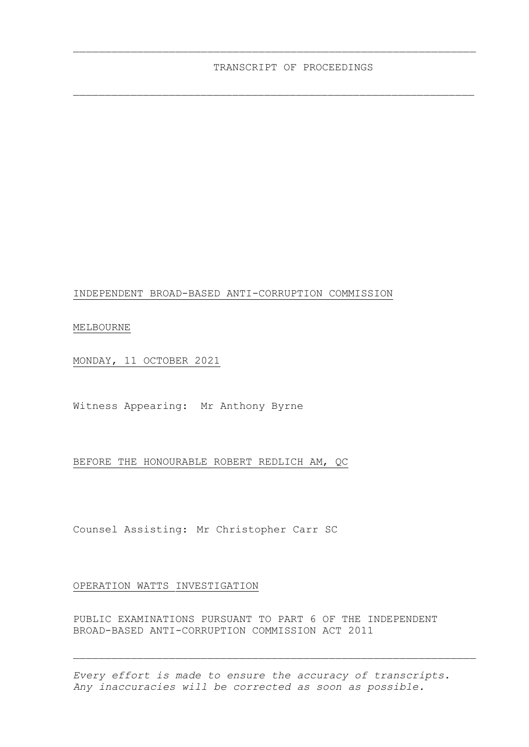\_\_\_\_\_\_\_\_\_\_\_\_\_\_\_\_\_\_\_\_\_\_\_\_\_\_\_\_\_\_\_\_\_\_\_\_\_\_\_\_\_\_\_\_\_\_\_\_\_\_\_\_\_\_\_\_\_\_\_\_\_\_\_

 $\_$  , and the set of the set of the set of the set of the set of the set of the set of the set of the set of the set of the set of the set of the set of the set of the set of the set of the set of the set of the set of th

## INDEPENDENT BROAD-BASED ANTI-CORRUPTION COMMISSION

MELBOURNE

MONDAY, 11 OCTOBER 2021

Witness Appearing: Mr Anthony Byrne

## BEFORE THE HONOURABLE ROBERT REDLICH AM, QC

Counsel Assisting: Mr Christopher Carr SC

## OPERATION WATTS INVESTIGATION

PUBLIC EXAMINATIONS PURSUANT TO PART 6 OF THE INDEPENDENT BROAD-BASED ANTI-CORRUPTION COMMISSION ACT 2011

*Every effort is made to ensure the accuracy of transcripts. Any inaccuracies will be corrected as soon as possible.*

 $\_$  , and the set of the set of the set of the set of the set of the set of the set of the set of the set of the set of the set of the set of the set of the set of the set of the set of the set of the set of the set of th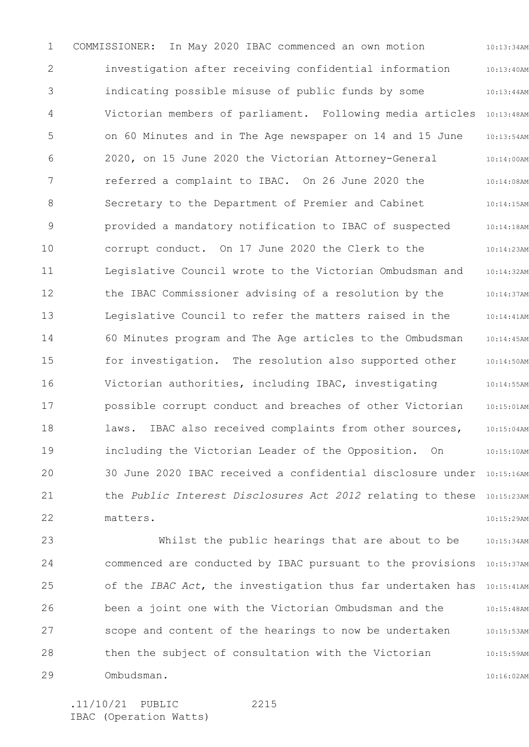1 2 3 4 5 6 7 8 9 10 11 12 13 14 15 16 17 18 19 20 21 22 10:13:34AM 10:13:40AM 10:13:44AM Victorian members of parliament. Following media articles 10:13:48AM 10:13:54AM 10:14:00AM 10:14:08AM 10:14:15AM 10:14:18AM 10:14:23AM 10:14:32AM 10:14:37AM 10:14:41AM 10:14:45AM 10:14:50AM 10:14:55AM 10:15:01AM 10:15:04AM 10:15:10AM 30 June 2020 IBAC received a confidential disclosure under 10:15:16AM the *Public Interest Disclosures Act 2012* relating to these 10:15:23AM 10:15:29AM COMMISSIONER: In May 2020 IBAC commenced an own motion investigation after receiving confidential information indicating possible misuse of public funds by some on 60 Minutes and in The Age newspaper on 14 and 15 June 2020, on 15 June 2020 the Victorian Attorney-General referred a complaint to IBAC. On 26 June 2020 the Secretary to the Department of Premier and Cabinet provided a mandatory notification to IBAC of suspected corrupt conduct. On 17 June 2020 the Clerk to the Legislative Council wrote to the Victorian Ombudsman and the IBAC Commissioner advising of a resolution by the Legislative Council to refer the matters raised in the 60 Minutes program and The Age articles to the Ombudsman for investigation. The resolution also supported other Victorian authorities, including IBAC, investigating possible corrupt conduct and breaches of other Victorian laws. IBAC also received complaints from other sources, including the Victorian Leader of the Opposition. On matters.

23 24 25 26 27 28 29 10:15:34AM commenced are conducted by IBAC pursuant to the provisions 10:15:37AM of the *IBAC Act*, the investigation thus far undertaken has 10:15:41AM 10:15:48AM 10:15:53AM 10:15:59AM 10:16:02AM Whilst the public hearings that are about to be been a joint one with the Victorian Ombudsman and the scope and content of the hearings to now be undertaken then the subject of consultation with the Victorian Ombudsman.

2215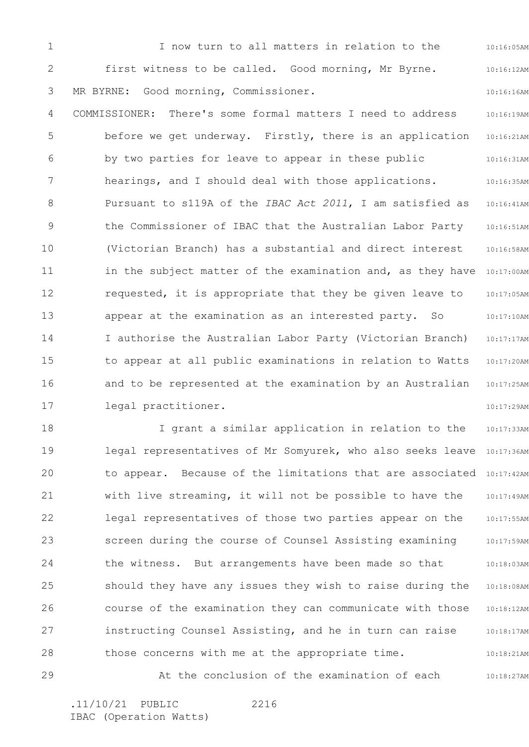1 2 3 4 5 6 7 8 9 10 11 12 13 14 15 16 17 10:16:05AM 10:16:12AM 10:16:16AM 10:16:19AM 10:16:21AM 10:16:31AM 10:16:35AM 10:16:41AM 10:16:51AM 10:16:58AM in the subject matter of the examination and, as they have 10:17:00AM 10:17:05AM 10:17:10AM 10:17:17AM 10:17:20AM 10:17:25AM 10:17:29AM I now turn to all matters in relation to the first witness to be called. Good morning, Mr Byrne. MR BYRNE: Good morning, Commissioner. COMMISSIONER: There's some formal matters I need to address before we get underway. Firstly, there is an application by two parties for leave to appear in these public hearings, and I should deal with those applications. Pursuant to s119A of the *IBAC Act 2011*, I am satisfied as the Commissioner of IBAC that the Australian Labor Party (Victorian Branch) has a substantial and direct interest requested, it is appropriate that they be given leave to appear at the examination as an interested party. So I authorise the Australian Labor Party (Victorian Branch) to appear at all public examinations in relation to Watts and to be represented at the examination by an Australian legal practitioner.

18 19 20 21 22 23 24 25 26 27 28 10:17:33AM legal representatives of Mr Somyurek, who also seeks leave 10:17:36AM to appear. Because of the limitations that are associated 10:17:42AM 10:17:49AM 10:17:55AM 10:17:59AM 10:18:03AM 10:18:08AM 10:18:12AM 10:18:17AM 10:18:21AM I grant a similar application in relation to the with live streaming, it will not be possible to have the legal representatives of those two parties appear on the screen during the course of Counsel Assisting examining the witness. But arrangements have been made so that should they have any issues they wish to raise during the course of the examination they can communicate with those instructing Counsel Assisting, and he in turn can raise those concerns with me at the appropriate time.

29 10:18:27AM At the conclusion of the examination of each

2216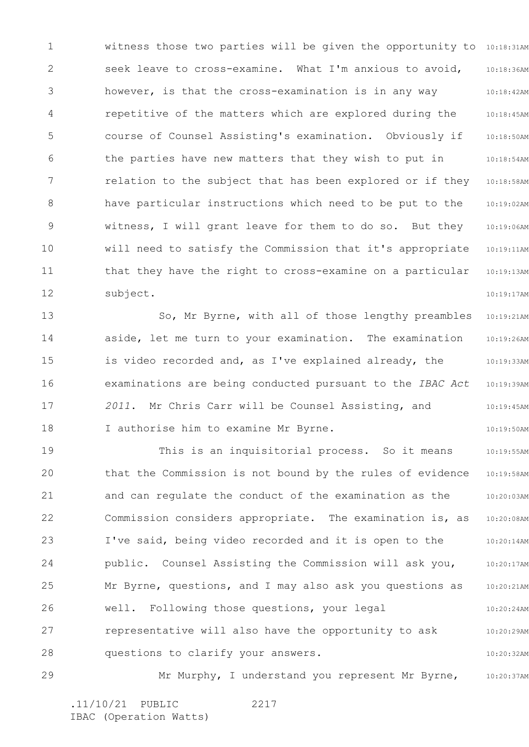1 2 3 4 5 6 7 8 9 10 11 12 witness those two parties will be given the opportunity to 10:18:31AM 10:18:36AM 10:18:42AM 10:18:45AM 10:18:50AM 10:18:54AM 10:18:58AM 10:19:02AM 10:19:06AM 10:19:11AM 10:19:13AM 10:19:17AM seek leave to cross-examine. What I'm anxious to avoid, however, is that the cross-examination is in any way repetitive of the matters which are explored during the course of Counsel Assisting's examination. Obviously if the parties have new matters that they wish to put in relation to the subject that has been explored or if they have particular instructions which need to be put to the witness, I will grant leave for them to do so. But they will need to satisfy the Commission that it's appropriate that they have the right to cross-examine on a particular subject.

13 14 15 16 17 18 10:19:21AM 10:19:26AM 10:19:33AM 10:19:39AM 10:19:45AM 10:19:50AM So, Mr Byrne, with all of those lengthy preambles aside, let me turn to your examination. The examination is video recorded and, as I've explained already, the examinations are being conducted pursuant to the *IBAC Act 2011*. Mr Chris Carr will be Counsel Assisting, and I authorise him to examine Mr Byrne.

19 20 21 22 23 24 25 26 27 28 10:19:55AM 10:19:58AM 10:20:03AM 10:20:08AM 10:20:14AM 10:20:17AM 10:20:21AM 10:20:24AM 10:20:29AM 10:20:32AM This is an inquisitorial process. So it means that the Commission is not bound by the rules of evidence and can regulate the conduct of the examination as the Commission considers appropriate. The examination is, as I've said, being video recorded and it is open to the public. Counsel Assisting the Commission will ask you, Mr Byrne, questions, and I may also ask you questions as well. Following those questions, your legal representative will also have the opportunity to ask questions to clarify your answers.

29 10:20:37AM Mr Murphy, I understand you represent Mr Byrne,

2217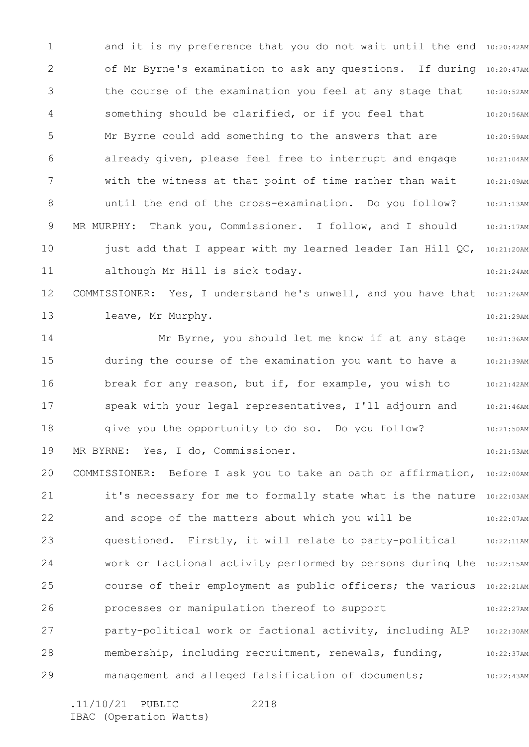1 2 3 4 5 6 7 8 9 10 11 12 13 14 15 16 17 18 19 20 21 22 23 24 25 26 27 28 29 and it is my preference that you do not wait until the end 10:20:42AM of Mr Byrne's examination to ask any questions. If during 10:20:47AM 10:20:52AM 10:20:56AM 10:20:59AM 10:21:04AM 10:21:09AM 10:21:13AM 10:21:17AM 10:21:20AM 10:21:24AM COMMISSIONER: Yes, I understand he's unwell, and you have that 10:21:26AM 10:21:29AM 10:21:36AM 10:21:39AM 10:21:42AM 10:21:46AM 10:21:50AM 10:21:53AM COMMISSIONER: Before I ask you to take an oath or affirmation, 10:22:00AM it's necessary for me to formally state what is the nature 10:22:03AM 10:22:07AM 10:22:11AM work or factional activity performed by persons during the 10:22:15AM course of their employment as public officers; the various 10:22:21AM 10:22:27AM 10:22:30AM 10:22:37AM 10:22:43AM the course of the examination you feel at any stage that something should be clarified, or if you feel that Mr Byrne could add something to the answers that are already given, please feel free to interrupt and engage with the witness at that point of time rather than wait until the end of the cross-examination. Do you follow? MR MURPHY: Thank you, Commissioner. I follow, and I should just add that I appear with my learned leader Ian Hill QC, although Mr Hill is sick today. leave, Mr Murphy. Mr Byrne, you should let me know if at any stage during the course of the examination you want to have a break for any reason, but if, for example, you wish to speak with your legal representatives, I'll adjourn and give you the opportunity to do so. Do you follow? MR BYRNE: Yes, I do, Commissioner. and scope of the matters about which you will be questioned. Firstly, it will relate to party-political processes or manipulation thereof to support party-political work or factional activity, including ALP membership, including recruitment, renewals, funding, management and alleged falsification of documents;

2218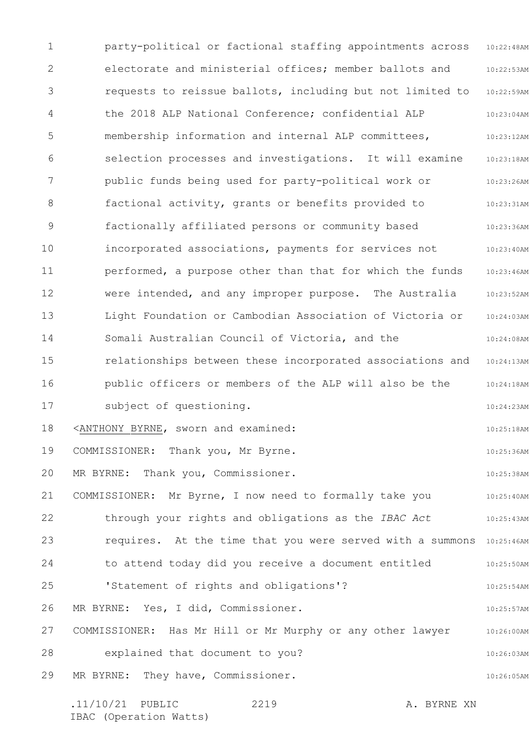1 2 3 4 5 6 7 8 9 10 11 12 13 14 15 16 17 18 19 20 21 22 23 24 25 26 27 28 29 10:22:48AM 10:22:53AM 10:22:59AM 10:23:04AM 10:23:12AM 10:23:18AM 10:23:26AM 10:23:31AM 10:23:36AM 10:23:40AM 10:23:46AM 10:23:52AM 10:24:03AM 10:24:08AM relationships between these incorporated associations and 10:24:13AM 10:24:18AM 10:24:23AM 10:25:18AM 10:25:36AM 10:25:38AM 10:25:40AM 10:25:43AM requires. At the time that you were served with a summons 10:25:46AM 10:25:50AM 10:25:54AM 10:25:57AM 10:26:00AM 10:26:03AM 10:26:05AM party-political or factional staffing appointments across electorate and ministerial offices; member ballots and requests to reissue ballots, including but not limited to the 2018 ALP National Conference; confidential ALP membership information and internal ALP committees, selection processes and investigations. It will examine public funds being used for party-political work or factional activity, grants or benefits provided to factionally affiliated persons or community based incorporated associations, payments for services not performed, a purpose other than that for which the funds were intended, and any improper purpose. The Australia Light Foundation or Cambodian Association of Victoria or Somali Australian Council of Victoria, and the public officers or members of the ALP will also be the subject of questioning. <ANTHONY BYRNE, sworn and examined: COMMISSIONER: Thank you, Mr Byrne. MR BYRNE: Thank you, Commissioner. COMMISSIONER: Mr Byrne, I now need to formally take you through your rights and obligations as the *IBAC Act* to attend today did you receive a document entitled 'Statement of rights and obligations'? MR BYRNE: Yes, I did, Commissioner. COMMISSIONER: Has Mr Hill or Mr Murphy or any other lawyer explained that document to you? MR BYRNE: They have, Commissioner.

.11/10/21 PUBLIC 2219 A. BYRNE XN

2219

IBAC (Operation Watts)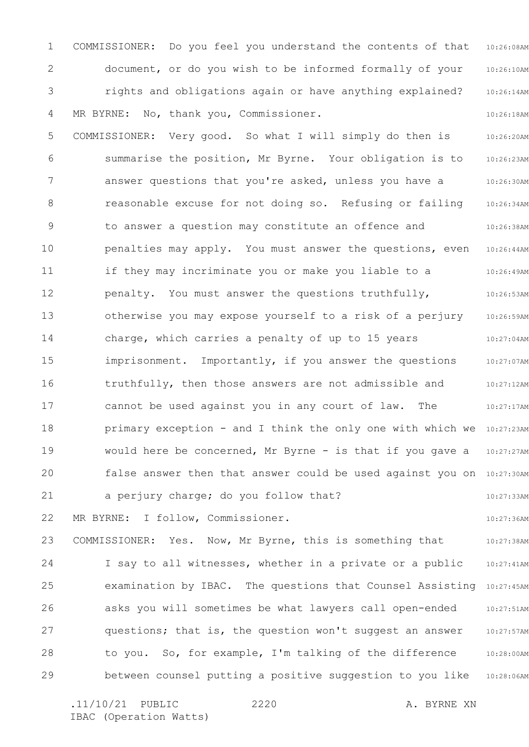1 2 3 4 10:26:08AM 10:26:10AM 10:26:14AM 10:26:18AM COMMISSIONER: Do you feel you understand the contents of that document, or do you wish to be informed formally of your rights and obligations again or have anything explained? MR BYRNE: No, thank you, Commissioner.

5 6 7 8 9 10 11 12 13 14 15 16 17 18 19 20 21 10:26:20AM 10:26:23AM 10:26:30AM 10:26:34AM 10:26:38AM 10:26:44AM 10:26:49AM 10:26:53AM 10:26:59AM 10:27:04AM 10:27:07AM 10:27:12AM 10:27:17AM primary exception - and I think the only one with which we 10:27:23AM 10:27:27AM false answer then that answer could be used against you on 10:27:30AM 10:27:33AM COMMISSIONER: Very good. So what I will simply do then is summarise the position, Mr Byrne. Your obligation is to answer questions that you're asked, unless you have a reasonable excuse for not doing so. Refusing or failing to answer a question may constitute an offence and penalties may apply. You must answer the questions, even if they may incriminate you or make you liable to a penalty. You must answer the questions truthfully, otherwise you may expose yourself to a risk of a perjury charge, which carries a penalty of up to 15 years imprisonment. Importantly, if you answer the questions truthfully, then those answers are not admissible and cannot be used against you in any court of law. The would here be concerned, Mr Byrne - is that if you gave a a perjury charge; do you follow that?

22 MR BYRNE: I follow, Commissioner.

23 24 25 26 27 28 29 10:27:38AM 10:27:41AM examination by IBAC. The questions that Counsel Assisting 10:27:45AM 10:27:51AM 10:27:57AM 10:28:00AM 10:28:06AM COMMISSIONER: Yes. Now, Mr Byrne, this is something that I say to all witnesses, whether in a private or a public asks you will sometimes be what lawyers call open-ended questions; that is, the question won't suggest an answer to you. So, for example, I'm talking of the difference between counsel putting a positive suggestion to you like

.11/10/21 PUBLIC 2220 A. BYRNE XN IBAC (Operation Watts)

2220

10:27:36AM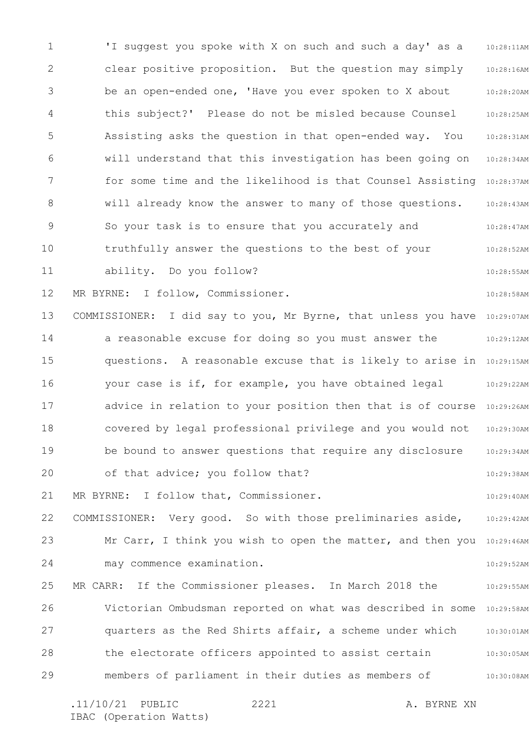1 2 3 4 5 6 7 8 9 10 11 12 13 14 15 16 17 18 19 20 21 22 23 24 25 26 27 28 29 10:28:11AM 10:28:16AM 10:28:20AM 10:28:25AM 10:28:31AM 10:28:34AM for some time and the likelihood is that Counsel Assisting 10:28:37AM 10:28:43AM 10:28:47AM 10:28:52AM 10:28:55AM 10:28:58AM COMMISSIONER: I did say to you, Mr Byrne, that unless you have 10:29:07AM 10:29:12AM questions. A reasonable excuse that is likely to arise in 10:29:15AM 10:29:22AM advice in relation to your position then that is of course 10:29:26AM 10:29:30AM 10:29:34AM 10:29:38AM 10:29:40AM 10:29:42AM Mr Carr, I think you wish to open the matter, and then you 10:29:46AM 10:29:52AM 10:29:55AM Victorian Ombudsman reported on what was described in some 10:29:58AM 10:30:01AM 10:30:05AM 10:30:08AM .11/10/21 PUBLIC 2221 A. BYRNE XN 2221 'I suggest you spoke with X on such and such a day' as a clear positive proposition. But the question may simply be an open-ended one, 'Have you ever spoken to X about this subject?' Please do not be misled because Counsel Assisting asks the question in that open-ended way. You will understand that this investigation has been going on will already know the answer to many of those questions. So your task is to ensure that you accurately and truthfully answer the questions to the best of your ability. Do you follow? MR BYRNE: I follow, Commissioner. a reasonable excuse for doing so you must answer the your case is if, for example, you have obtained legal covered by legal professional privilege and you would not be bound to answer questions that require any disclosure of that advice; you follow that? MR BYRNE: I follow that, Commissioner. COMMISSIONER: Very good. So with those preliminaries aside, may commence examination. MR CARR: If the Commissioner pleases. In March 2018 the quarters as the Red Shirts affair, a scheme under which the electorate officers appointed to assist certain members of parliament in their duties as members of

IBAC (Operation Watts)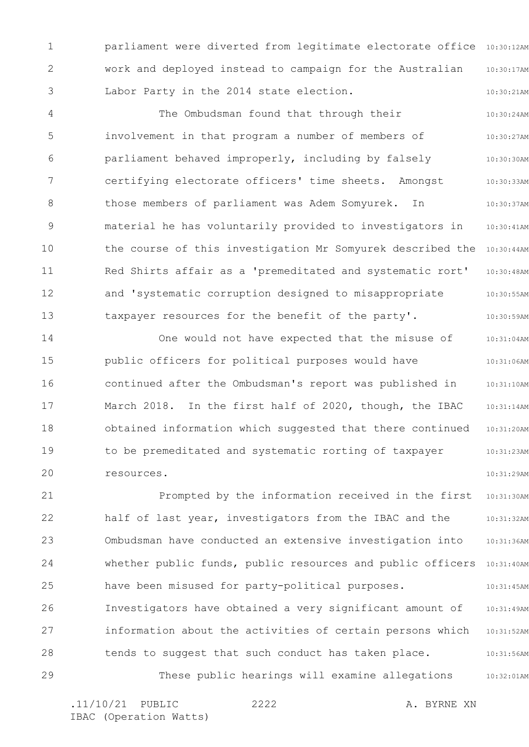1 2 3 parliament were diverted from legitimate electorate office 10:30:12AM 10:30:17AM 10:30:21AM work and deployed instead to campaign for the Australian Labor Party in the 2014 state election.

4 5 6 7 8 9 10 11 12 13 10:30:24AM 10:30:27AM 10:30:30AM 10:30:33AM 10:30:37AM 10:30:41AM the course of this investigation Mr Somyurek described the 10:30:44AM 10:30:48AM 10:30:55AM 10:30:59AM The Ombudsman found that through their involvement in that program a number of members of parliament behaved improperly, including by falsely certifying electorate officers' time sheets. Amongst those members of parliament was Adem Somyurek. In material he has voluntarily provided to investigators in Red Shirts affair as a 'premeditated and systematic rort' and 'systematic corruption designed to misappropriate taxpayer resources for the benefit of the party'.

14 15 16 17 18 19 20 10:31:04AM 10:31:06AM 10:31:10AM 10:31:14AM 10:31:20AM 10:31:23AM 10:31:29AM One would not have expected that the misuse of public officers for political purposes would have continued after the Ombudsman's report was published in March 2018. In the first half of 2020, though, the IBAC obtained information which suggested that there continued to be premeditated and systematic rorting of taxpayer resources.

21 22 23 24 25 26 27 28 29 10:31:30AM 10:31:32AM 10:31:36AM whether public funds, public resources and public officers 10:31:40AM 10:31:45AM 10:31:49AM 10:31:52AM 10:31:56AM 10:32:01AM Prompted by the information received in the first half of last year, investigators from the IBAC and the Ombudsman have conducted an extensive investigation into have been misused for party-political purposes. Investigators have obtained a very significant amount of information about the activities of certain persons which tends to suggest that such conduct has taken place. These public hearings will examine allegations

.11/10/21 PUBLIC 2222 A. BYRNE XN IBAC (Operation Watts)

2222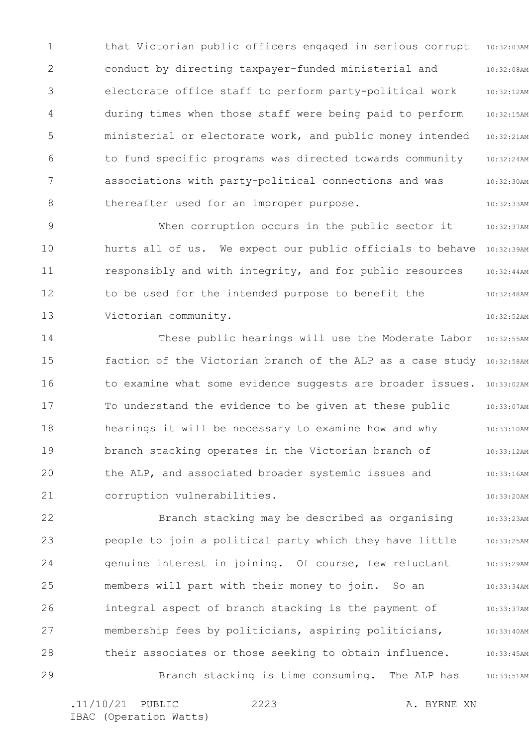1 2 3 4 5 6 7 8 10:32:03AM 10:32:08AM 10:32:12AM 10:32:15AM 10:32:21AM 10:32:24AM 10:32:30AM 10:32:33AM that Victorian public officers engaged in serious corrupt conduct by directing taxpayer-funded ministerial and electorate office staff to perform party-political work during times when those staff were being paid to perform ministerial or electorate work, and public money intended to fund specific programs was directed towards community associations with party-political connections and was thereafter used for an improper purpose.

9 10 11 12 13 10:32:37AM hurts all of us. We expect our public officials to behave 10:32:39AM 10:32:44AM 10:32:48AM 10:32:52AM When corruption occurs in the public sector it responsibly and with integrity, and for public resources to be used for the intended purpose to benefit the Victorian community.

14 15 16 17 18 19 20 21 10:32:55AM faction of the Victorian branch of the ALP as a case study 10:32:58AM 10:33:02AM 10:33:07AM 10:33:10AM 10:33:12AM 10:33:16AM 10:33:20AM These public hearings will use the Moderate Labor to examine what some evidence suggests are broader issues. To understand the evidence to be given at these public hearings it will be necessary to examine how and why branch stacking operates in the Victorian branch of the ALP, and associated broader systemic issues and corruption vulnerabilities.

22 23 24 25 26 27 28 29 10:33:23AM 10:33:25AM 10:33:29AM 10:33:34AM 10:33:37AM 10:33:40AM 10:33:45AM 10:33:51AM Branch stacking may be described as organising people to join a political party which they have little genuine interest in joining. Of course, few reluctant members will part with their money to join. So an integral aspect of branch stacking is the payment of membership fees by politicians, aspiring politicians, their associates or those seeking to obtain influence. Branch stacking is time consuming. The ALP has

2223

.11/10/21 PUBLIC 2223 A. BYRNE XN IBAC (Operation Watts)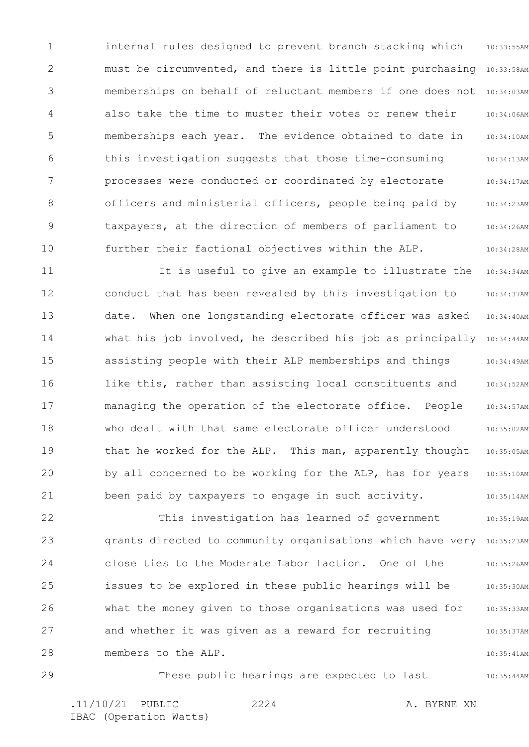1 2 3 4 5 6 7 8 9 10 10:33:55AM must be circumvented, and there is little point purchasing 10:33:58AM memberships on behalf of reluctant members if one does not 10:34:03AM 10:34:06AM 10:34:10AM 10:34:13AM 10:34:17AM 10:34:23AM 10:34:26AM 10:34:28AM internal rules designed to prevent branch stacking which also take the time to muster their votes or renew their memberships each year. The evidence obtained to date in this investigation suggests that those time-consuming processes were conducted or coordinated by electorate officers and ministerial officers, people being paid by taxpayers, at the direction of members of parliament to further their factional objectives within the ALP.

11 12 13 14 15 16 17 18 19 20 21 10:34:34AM 10:34:37AM 10:34:40AM what his job involved, he described his job as principally 10:34:44AM 10:34:49AM 10:34:52AM 10:34:57AM 10:35:02AM 10:35:05AM 10:35:10AM 10:35:14AM It is useful to give an example to illustrate the conduct that has been revealed by this investigation to date. When one longstanding electorate officer was asked assisting people with their ALP memberships and things like this, rather than assisting local constituents and managing the operation of the electorate office. People who dealt with that same electorate officer understood that he worked for the ALP. This man, apparently thought by all concerned to be working for the ALP, has for years been paid by taxpayers to engage in such activity.

22 23 24 25 26 27 28 10:35:19AM grants directed to community organisations which have very 10:35:23AM 10:35:26AM 10:35:30AM 10:35:33AM 10:35:37AM 10:35:41AM This investigation has learned of government close ties to the Moderate Labor faction. One of the issues to be explored in these public hearings will be what the money given to those organisations was used for and whether it was given as a reward for recruiting members to the ALP.

29 10:35:44AM .11/10/21 PUBLIC 2224 A. BYRNE XN 2224 These public hearings are expected to last

IBAC (Operation Watts)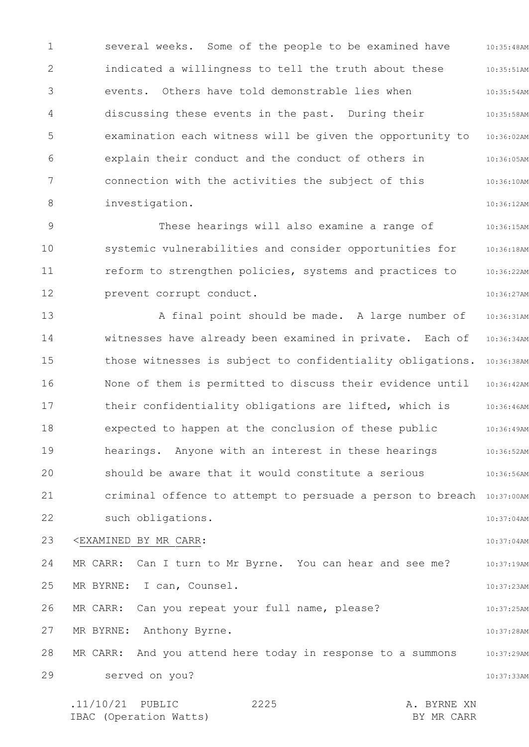1 2 3 4 5 6 7 8 10:35:48AM 10:35:51AM 10:35:54AM 10:35:58AM examination each witness will be given the opportunity to 10:36:02AM 10:36:05AM 10:36:10AM 10:36:12AM several weeks. Some of the people to be examined have indicated a willingness to tell the truth about these events. Others have told demonstrable lies when discussing these events in the past. During their explain their conduct and the conduct of others in connection with the activities the subject of this investigation.

9 10 11 12 10:36:15AM 10:36:18AM 10:36:22AM 10:36:27AM These hearings will also examine a range of systemic vulnerabilities and consider opportunities for reform to strengthen policies, systems and practices to prevent corrupt conduct.

13 14 15 16 17 18 19 20 21 22 10:36:31AM 10:36:34AM those witnesses is subject to confidentiality obligations. 10:36:38AM None of them is permitted to discuss their evidence until 10:36:42AM 10:36:46AM 10:36:49AM 10:36:52AM 10:36:56AM criminal offence to attempt to persuade a person to breach 10:37:00AM 10:37:04AM A final point should be made. A large number of witnesses have already been examined in private. Each of their confidentiality obligations are lifted, which is expected to happen at the conclusion of these public hearings. Anyone with an interest in these hearings should be aware that it would constitute a serious such obligations.

23 <EXAMINED BY MR CARR:

24 25 26 10:37:19AM 10:37:23AM 10:37:25AM MR CARR: Can I turn to Mr Byrne. You can hear and see me? MR BYRNE: I can, Counsel. MR CARR: Can you repeat your full name, please?

10:37:04AM

10:37:28AM

27 MR BYRNE: Anthony Byrne.

28 29 10:37:29AM 10:37:33AM MR CARR: And you attend here today in response to a summons served on you?

.11/10/21 PUBLIC 2225 A. BYRNE XN IBAC (Operation Watts) and the set of the BY MR CARR BY MR CARR 2225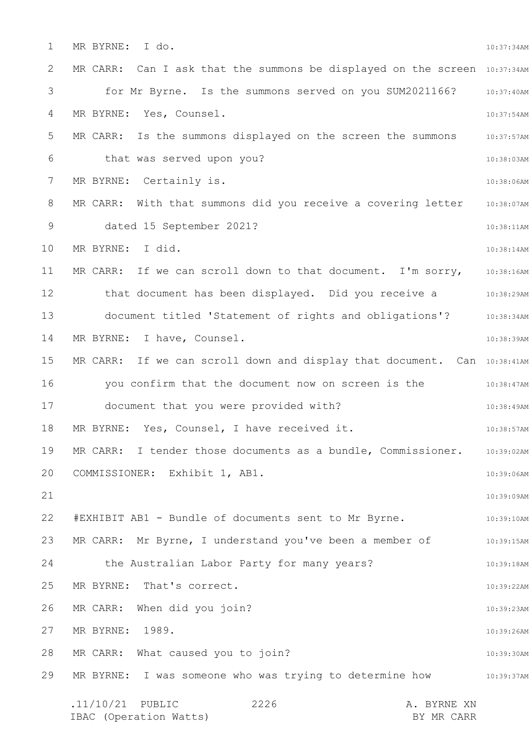1 2 3 4 5 6 7 8 9 10 11 12 13 14 15 16 17 18 19 20 21 22 23 24 25 26 27 28 29 10:37:34AM MR CARR: Can I ask that the summons be displayed on the screen 10:37:34AM for Mr Byrne. Is the summons served on you SUM2021166? 10:37:40AM 10:37:54AM MR CARR: Is the summons displayed on the screen the summons 310:37:57AM 10:38:03AM 10:38:06AM MR CARR: With that summons did you receive a covering letter 10:38:07AM 10:38:11AM 10:38:14AM MR CARR: If we can scroll down to that document. I'm sorry,  $10:38:16$ AM that document has been displayed. Did you receive a manus 10:38:29AM 10:38:34AM 10:38:39AM MR CARR: If we can scroll down and display that document. Can 10:38:41AM 10:38:47AM you confirm that the document now on screen is the 10:38:49AM 10:38:57AM MR CARR: I tender those documents as a bundle, Commissioner. 10:39:02AM 10:39:06AM 10:39:09AM 10:39:10AM 10:39:15AM 10:39:18AM 10:39:22AM 10:39:23AM 10:39:26AM 10:39:30AM MR BYRNE: I was someone who was trying to determine how state 10:39:37AM .11/10/21 PUBLIC 2226 A. BYRNE XN 2226 MR BYRNE: I do. MR BYRNE: Yes, Counsel. that was served upon you? MR BYRNE: Certainly is. dated 15 September 2021? MR BYRNE: I did. document titled 'Statement of rights and obligations'? MR BYRNE: I have, Counsel. document that you were provided with? MR BYRNE: Yes, Counsel, I have received it. COMMISSIONER: Exhibit 1, AB1. #EXHIBIT AB1 - Bundle of documents sent to Mr Byrne. MR CARR: Mr Byrne, I understand you've been a member of the Australian Labor Party for many years? MR BYRNE: That's correct. MR CARR: When did you join? MR BYRNE: 1989. MR CARR: What caused you to join?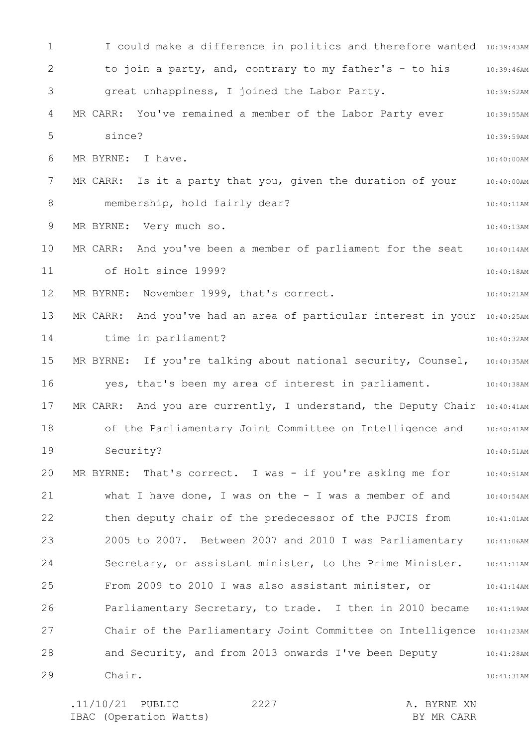1 2 3 4 5 6 7 8 9 10 11 12 13 14 15 16 17 18 19 20 21 22 23 24 25 26 27 28 29 I could make a difference in politics and therefore wanted 10:39:43AM 10:39:46AM 10:39:52AM 10:39:55AM 10:39:59AM 10:40:00AM 10:40:00AM 10:40:11AM 10:40:13AM 10:40:14AM 10:40:18AM 10:40:21AM MR CARR: And you've had an area of particular interest in your 10:40:25AM 10:40:32AM MR BYRNE: If you're talking about national security, Counsel, 10:40:35AM 10:40:38AM MR CARR: And you are currently, I understand, the Deputy Chair 10:40:41AM 10:40:41AM 10:40:51AM 10:40:51AM 10:40:54AM 10:41:01AM 10:41:06AM 10:41:11AM 10:41:14AM 10:41:19AM Chair of the Parliamentary Joint Committee on Intelligence 10:41:23AM 10:41:28AM 10:41:31AM to join a party, and, contrary to my father's - to his great unhappiness, I joined the Labor Party. MR CARR: You've remained a member of the Labor Party ever since? MR BYRNE: I have. MR CARR: Is it a party that you, given the duration of your membership, hold fairly dear? MR BYRNE: Very much so. MR CARR: And you've been a member of parliament for the seat of Holt since 1999? MR BYRNE: November 1999, that's correct. time in parliament? yes, that's been my area of interest in parliament. of the Parliamentary Joint Committee on Intelligence and Security? MR BYRNE: That's correct. I was - if you're asking me for what I have done, I was on the - I was a member of and then deputy chair of the predecessor of the PJCIS from 2005 to 2007. Between 2007 and 2010 I was Parliamentary Secretary, or assistant minister, to the Prime Minister. From 2009 to 2010 I was also assistant minister, or Parliamentary Secretary, to trade. I then in 2010 became and Security, and from 2013 onwards I've been Deputy Chair.

2227

.11/10/21 PUBLIC 2227 A. BYRNE XN IBAC (Operation Watts) BY MR CARR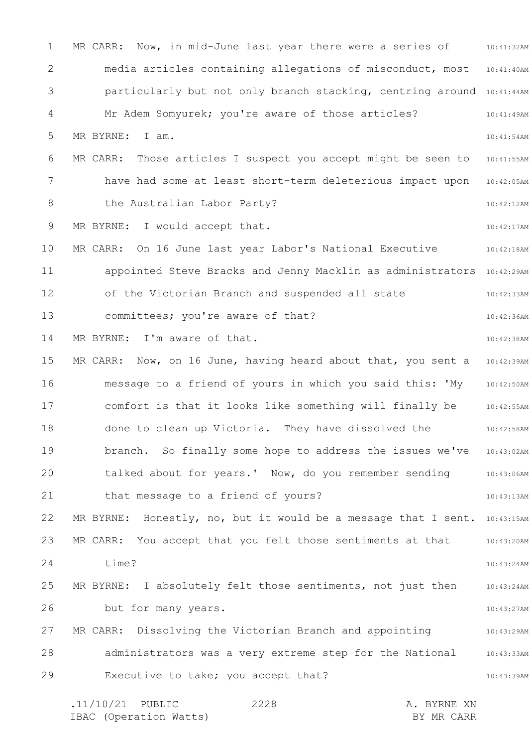1 2 3 4 5 6 7 8 9 10 11 12 13 14 15 16 17 18 19 20 21 22 23 24 25 26 27 28 29 10:41:32AM media articles containing allegations of misconduct, most 10:41:40AM particularly but not only branch stacking, centring around 10:41:44AM 10:41:49AM 10:41:54AM 10:41:55AM have had some at least short-term deleterious impact upon 10:42:05AM 10:42:12AM 10:42:17AM 10:42:18AM appointed Steve Bracks and Jenny Macklin as administrators 10:42:29AM 10:42:33AM 10:42:36AM 10:42:38AM MR CARR: Now, on 16 June, having heard about that, you sent a 10:42:39AM 10:42:50AM 10:42:55AM 10:42:58AM 10:43:02AM 10:43:06AM 10:43:13AM MR BYRNE: Honestly, no, but it would be a message that I sent.  $10:43:15$ AM MR CARR: You accept that you felt those sentiments at that  $10:43:20$ AM 10:43:24AM 10:43:24AM 10:43:27AM 10:43:29AM 10:43:33AM 10:43:39AM .11/10/21 PUBLIC 2228 A. BYRNE XN 2228 MR CARR: Now, in mid-June last year there were a series of Mr Adem Somyurek; you're aware of those articles? MR BYRNE: I am. MR CARR: Those articles I suspect you accept might be seen to the Australian Labor Party? MR BYRNE: I would accept that. MR CARR: On 16 June last year Labor's National Executive of the Victorian Branch and suspended all state committees; you're aware of that? MR BYRNE: I'm aware of that. message to a friend of yours in which you said this: 'My comfort is that it looks like something will finally be done to clean up Victoria. They have dissolved the branch. So finally some hope to address the issues we've talked about for years.' Now, do you remember sending that message to a friend of yours? time? MR BYRNE: I absolutely felt those sentiments, not just then but for many years. MR CARR: Dissolving the Victorian Branch and appointing administrators was a very extreme step for the National Executive to take; you accept that?

IBAC (Operation Watts) and the set of the BY MR CARR BY MR CARR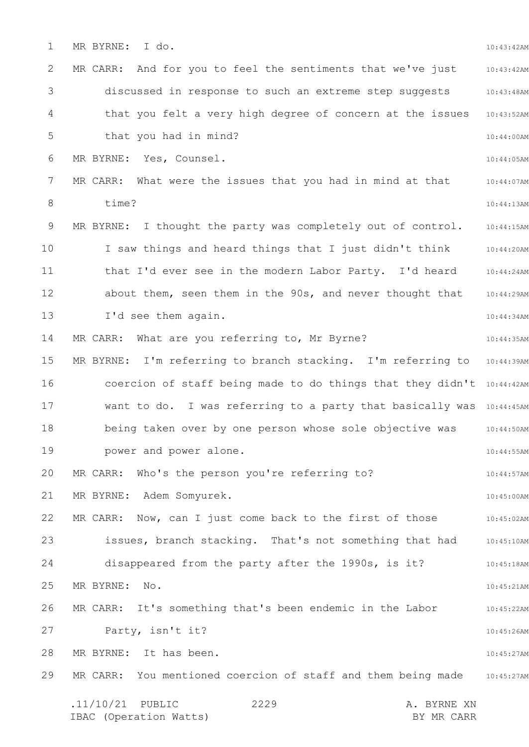1 2 3 4 5 6 7 8 9 10 11 12 13 14 15 16 17 18 19 20 21 22 23 24 25 26 27 28 29 10:43:42AM 10:43:42AM 10:43:48AM 10:43:52AM 10:44:00AM 10:44:05AM 10:44:07AM 10:44:13AM 10:44:15AM 10:44:20AM 10:44:24AM 10:44:29AM 10:44:34AM 10:44:35AM MR BYRNE: I'm referring to branch stacking. I'm referring to 10:44:39AM coercion of staff being made to do things that they didn't 10:44:42AM want to do. I was referring to a party that basically was 10:44:45AM 10:44:50AM 10:44:55AM 10:44:57AM 10:45:00AM 10:45:02AM issues, branch stacking. That's not something that had 10:45:10AM 10:45:18AM 10:45:21AM 10:45:22AM 10:45:26AM 10:45:27AM 10:45:27AM .11/10/21 PUBLIC 2229 A. BYRNE XN IBAC (Operation Watts) and the set of the BY MR CARR BY MR CARR 2229 MR BYRNE: I do. MR CARR: And for you to feel the sentiments that we've just discussed in response to such an extreme step suggests that you felt a very high degree of concern at the issues that you had in mind? MR BYRNE: Yes, Counsel. MR CARR: What were the issues that you had in mind at that time? MR BYRNE: I thought the party was completely out of control. I saw things and heard things that I just didn't think that I'd ever see in the modern Labor Party. I'd heard about them, seen them in the 90s, and never thought that I'd see them again. MR CARR: What are you referring to, Mr Byrne? being taken over by one person whose sole objective was power and power alone. MR CARR: Who's the person you're referring to? MR BYRNE: Adem Somyurek. MR CARR: Now, can I just come back to the first of those disappeared from the party after the 1990s, is it? MR BYRNE: No. MR CARR: It's something that's been endemic in the Labor Party, isn't it? MR BYRNE: It has been. MR CARR: You mentioned coercion of staff and them being made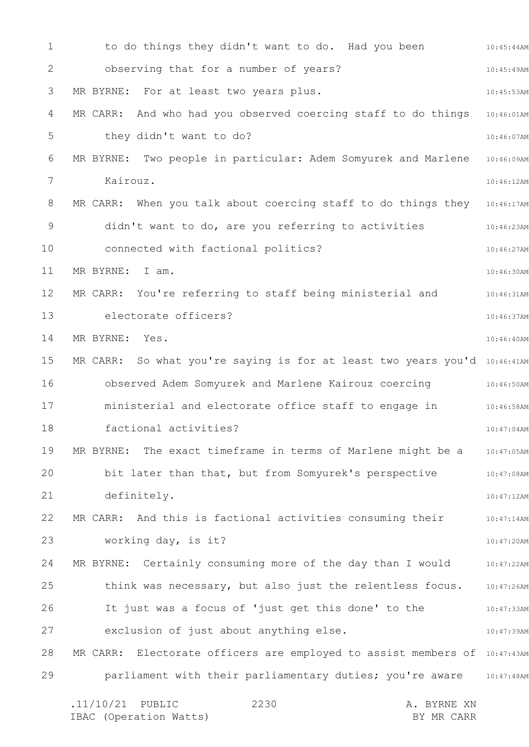1 2 3 4 5 6 7 8 9 10 11 12 13 14 15 16 17 18 19 20 21 22 23 24 25 26 27 28 29 10:45:44AM 10:45:49AM 10:45:53AM 10:46:01AM 10:46:07AM 10:46:09AM 10:46:12AM MR CARR: When you talk about coercing staff to do things they 10:46:17AM 10:46:23AM 10:46:27AM 10:46:30AM 10:46:31AM 10:46:37AM 10:46:40AM MR CARR: So what you're saying is for at least two years you'd 10:46:41AM 10:46:50AM observed Adem Somyurek and Marlene Kairouz coercing 10:46:58AM 10:47:04AM 10:47:05AM 10:47:08AM 10:47:12AM 10:47:14AM 10:47:20AM MR BYRNE: Certainly consuming more of the day than I would and 10:47:22AM 10:47:26AM 10:47:33AM 10:47:39AM MR CARR: Electorate officers are employed to assist members of 10:47:43AM parliament with their parliamentary duties; you're aware 10:47:48AM .11/10/21 PUBLIC 2230 A. BYRNE XN 2230 to do things they didn't want to do. Had you been observing that for a number of years? MR BYRNE: For at least two years plus. MR CARR: And who had you observed coercing staff to do things they didn't want to do? MR BYRNE: Two people in particular: Adem Somyurek and Marlene Kairouz. didn't want to do, are you referring to activities connected with factional politics? MR BYRNE: I am. MR CARR: You're referring to staff being ministerial and electorate officers? MR BYRNE: Yes. ministerial and electorate office staff to engage in factional activities? MR BYRNE: The exact timeframe in terms of Marlene might be a bit later than that, but from Somyurek's perspective definitely. MR CARR: And this is factional activities consuming their working day, is it? think was necessary, but also just the relentless focus. It just was a focus of 'just get this done' to the exclusion of just about anything else.

IBAC (Operation Watts) and the set of the BY MR CARR BY MR CARR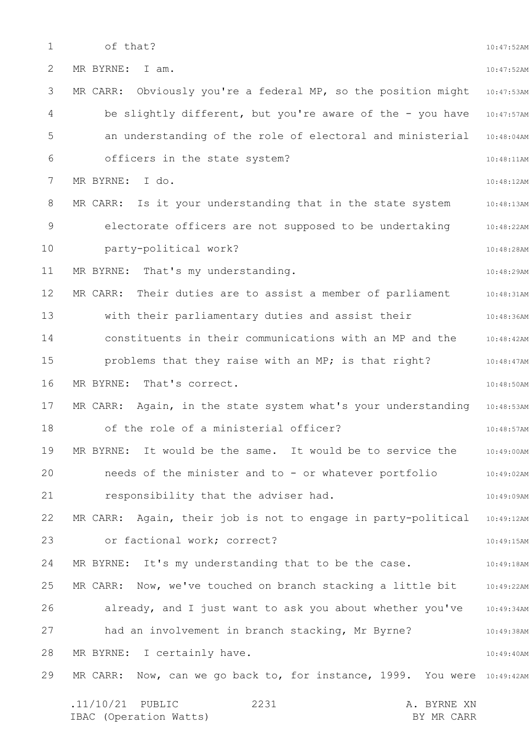1 2 3 4 5 6 7 8 9 10 11 12 13 14 15 16 17 18 19 20 21 22 23 24 25 26 27 28 29 10:47:52AM 10:47:52AM 10:47:53AM be slightly different, but you're aware of the - you have 10:47:57AM an understanding of the role of electoral and ministerial 10:48:04AM 10:48:11AM 10:48:12AM MR CARR: Is it your understanding that in the state system and 10:48:13AM 10:48:22AM 10:48:28AM 10:48:29AM 10:48:31AM 10:48:36AM 10:48:42AM 10:48:47AM 10:48:50AM MR CARR: Again, in the state system what's your understanding 10:48:53AM 10:48:57AM 10:49:00AM 10:49:02AM 10:49:09AM MR CARR: Again, their job is not to engage in party-political 10:49:12AM 10:49:15AM 10:49:18AM 10:49:22AM 10:49:34AM 10:49:38AM 10:49:40AM MR CARR: Now, can we go back to, for instance, 1999. You were 10:49:42AM .11/10/21 PUBLIC 2231 A. BYRNE XN IBAC (Operation Watts) BY MR CARR 2231 of that? MR BYRNE: I am. MR CARR: Obviously you're a federal MP, so the position might officers in the state system? MR BYRNE: I do. electorate officers are not supposed to be undertaking party-political work? MR BYRNE: That's my understanding. MR CARR: Their duties are to assist a member of parliament with their parliamentary duties and assist their constituents in their communications with an MP and the problems that they raise with an MP; is that right? MR BYRNE: That's correct. of the role of a ministerial officer? MR BYRNE: It would be the same. It would be to service the needs of the minister and to - or whatever portfolio responsibility that the adviser had. or factional work; correct? MR BYRNE: It's my understanding that to be the case. MR CARR: Now, we've touched on branch stacking a little bit already, and I just want to ask you about whether you've had an involvement in branch stacking, Mr Byrne? MR BYRNE: I certainly have.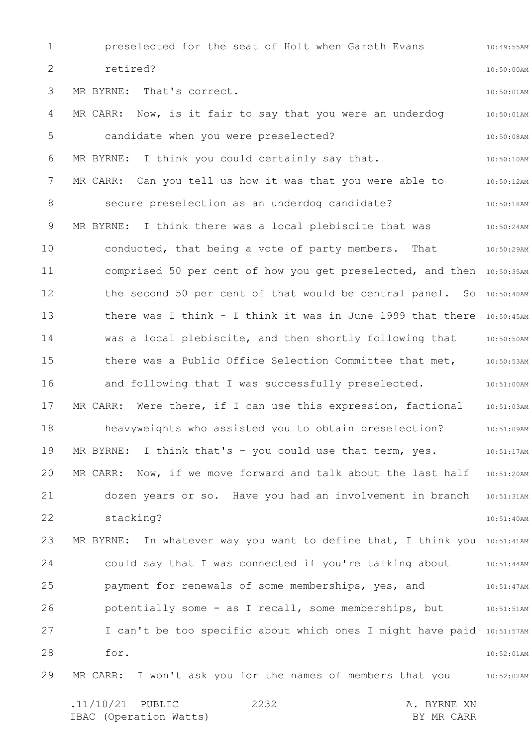1 2 3 4 5 6 7 8 9 10 11 12 13 14 15 16 17 18 19 20 21 22 23 24 25 26 27 28 29 10:49:55AM 10:50:00AM 10:50:01AM 10:50:01AM 10:50:08AM 10:50:10AM 10:50:12AM 10:50:18AM 10:50:24AM 10:50:29AM comprised 50 per cent of how you get preselected, and then 10:50:35AM the second 50 per cent of that would be central panel. So 10:50:40AM there was I think - I think it was in June 1999 that there 10:50:45AM was a local plebiscite, and then shortly following that 10:50:50AM there was a Public Office Selection Committee that met, 10:50:53AM and following that I was successfully preselected. 40:51:00AM 10:51:03AM 10:51:09AM 10:51:17AM MR CARR: Now, if we move forward and talk about the last half 10:51:20AM dozen years or so. Have you had an involvement in branch 10:51:31AM 10:51:40AM MR BYRNE: In whatever way you want to define that, I think you 10:51:41AM could say that I was connected if you're talking about 10:51:44AM 10:51:47AM 10:51:51AM I can't be too specific about which ones I might have paid 10:51:57AM 10:52:01AM MR CARR: I won't ask you for the names of members that you and  $10:52:02$ AM preselected for the seat of Holt when Gareth Evans retired? MR BYRNE: That's correct. MR CARR: Now, is it fair to say that you were an underdog candidate when you were preselected? MR BYRNE: I think you could certainly say that. MR CARR: Can you tell us how it was that you were able to secure preselection as an underdog candidate? MR BYRNE: I think there was a local plebiscite that was conducted, that being a vote of party members. That MR CARR: Were there, if I can use this expression, factional heavyweights who assisted you to obtain preselection? MR BYRNE: I think that's - you could use that term, yes. stacking? payment for renewals of some memberships, yes, and potentially some - as I recall, some memberships, but for.

.11/10/21 PUBLIC 2232 A. BYRNE XN IBAC (Operation Watts) and the set of the BY MR CARR BY MR CARR 2232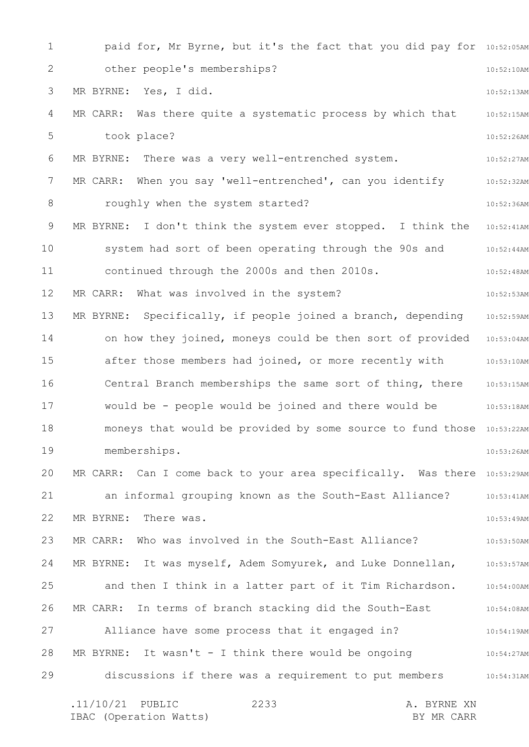1 2 3 4 5 6 7 8 9 10 11 12 13 14 15 16 17 18 19 20 21 22 23 24 25 26 27 28 29 paid for, Mr Byrne, but it's the fact that you did pay for 10:52:05AM 10:52:10AM 10:52:13AM MR CARR: Was there quite a systematic process by which that 10:52:15AM 10:52:26AM 10:52:27AM 10:52:32AM 10:52:36AM MR BYRNE: I don't think the system ever stopped. I think the 10:52:41AM 10:52:44AM 10:52:48AM 10:52:53AM 10:52:59AM on how they joined, moneys could be then sort of provided 10:53:04AM after those members had joined, or more recently with 10:53:10AM Central Branch memberships the same sort of thing, there 10:53:15AM 10:53:18AM moneys that would be provided by some source to fund those 10:53:22AM 10:53:26AM MR CARR: Can I come back to your area specifically. Was there 10:53:29AM 10:53:41AM 10:53:49AM 10:53:50AM MR BYRNE: It was myself, Adem Somyurek, and Luke Donnellan, 10:53:57AM 10:54:00AM 10:54:08AM 10:54:19AM 10:54:27AM discussions if there was a requirement to put members 10:54:31AM .11/10/21 PUBLIC 2233 A. BYRNE XN 2233 other people's memberships? MR BYRNE: Yes, I did. took place? MR BYRNE: There was a very well-entrenched system. MR CARR: When you say 'well-entrenched', can you identify roughly when the system started? system had sort of been operating through the 90s and continued through the 2000s and then 2010s. MR CARR: What was involved in the system? MR BYRNE: Specifically, if people joined a branch, depending would be - people would be joined and there would be memberships. an informal grouping known as the South-East Alliance? MR BYRNE: There was. MR CARR: Who was involved in the South-East Alliance? and then I think in a latter part of it Tim Richardson. MR CARR: In terms of branch stacking did the South-East Alliance have some process that it engaged in? MR BYRNE: It wasn't - I think there would be ongoing

IBAC (Operation Watts) and the set of the BY MR CARR BY MR CARR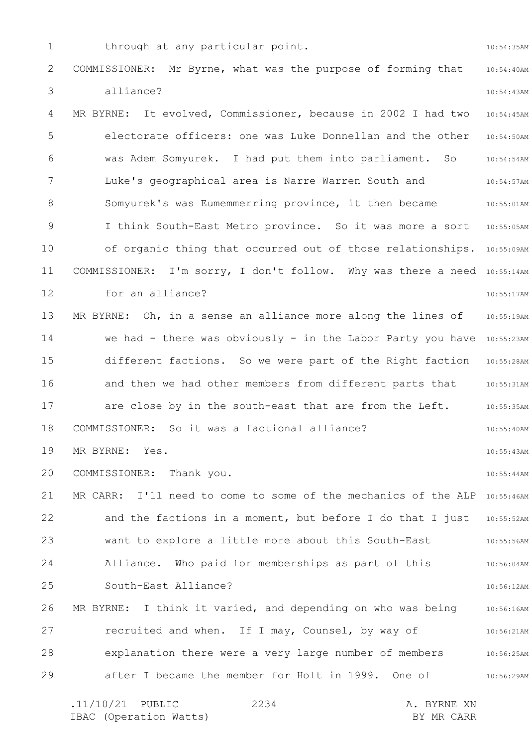1 2 3 4 5 6 7 8 9 10 11 12 13 14 15 16 17 18 19 20 21 22 23 24 25 26 27 28 29 10:54:35AM 10:54:40AM 10:54:43AM 10:54:45AM 10:54:50AM 10:54:54AM 10:54:57AM 10:55:01AM I think South-East Metro province. So it was more a sort 10:55:05AM of organic thing that occurred out of those relationships. 10:55:09AM COMMISSIONER: I'm sorry, I don't follow. Why was there a need 10:55:14AM 10:55:17AM 10:55:19AM we had - there was obviously - in the Labor Party you have 10:55:23AM different factions. So we were part of the Right faction 10:55:28AM and then we had other members from different parts that 10:55:31AM 10:55:35AM 10:55:40AM 10:55:43AM 10:55:44AM MR CARR: I'll need to come to some of the mechanics of the ALP 10:55:46AM and the factions in a moment, but before I do that I just 10:55:52AM 10:55:56AM 10:56:04AM 10:56:12AM 10:56:16AM 10:56:21AM 10:56:25AM 10:56:29AM through at any particular point. COMMISSIONER: Mr Byrne, what was the purpose of forming that alliance? MR BYRNE: It evolved, Commissioner, because in 2002 I had two electorate officers: one was Luke Donnellan and the other was Adem Somyurek. I had put them into parliament. So Luke's geographical area is Narre Warren South and Somyurek's was Eumemmerring province, it then became for an alliance? MR BYRNE: Oh, in a sense an alliance more along the lines of are close by in the south-east that are from the Left. COMMISSIONER: So it was a factional alliance? MR BYRNE: Yes. COMMISSIONER: Thank you. want to explore a little more about this South-East Alliance. Who paid for memberships as part of this South-East Alliance? MR BYRNE: I think it varied, and depending on who was being recruited and when. If I may, Counsel, by way of explanation there were a very large number of members after I became the member for Holt in 1999. One of

.11/10/21 PUBLIC 2234 A. BYRNE XN IBAC (Operation Watts) and the set of the BY MR CARR BY MR CARR 2234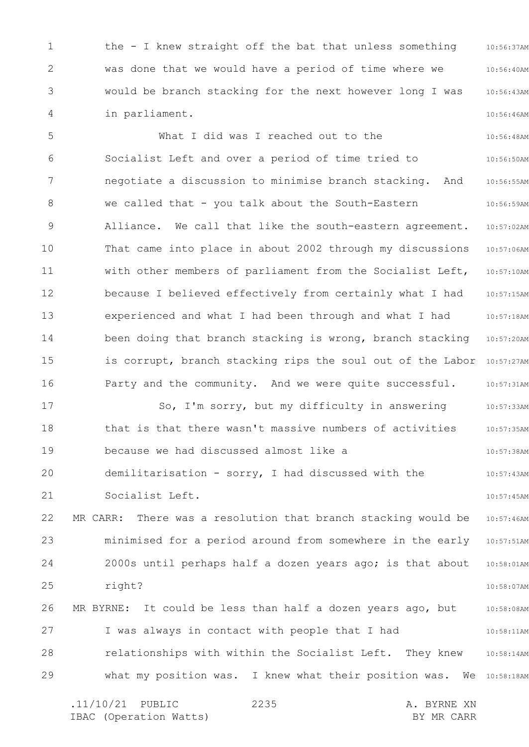1 2 3 4 10:56:37AM 10:56:40AM 10:56:43AM 10:56:46AM the - I knew straight off the bat that unless something was done that we would have a period of time where we would be branch stacking for the next however long I was in parliament.

5 6 7 8 9 10 11 12 13 14 15 16 17 18 19 20 21 22 23 24 25 26 27 28 29 10:56:48AM 10:56:50AM 10:56:55AM 10:56:59AM 10:57:02AM 10:57:06AM 10:57:10AM 10:57:15AM 10:57:18AM 10:57:20AM is corrupt, branch stacking rips the soul out of the Labor 10:57:27AM 10:57:31AM 10:57:33AM 10:57:35AM 10:57:38AM 10:57:43AM 10:57:45AM 10:57:46AM 10:57:51AM 10:58:01AM 10:58:07AM 10:58:08AM 10:58:11AM 10:58:14AM what my position was. I knew what their position was. We 10:58:18AM What I did was I reached out to the Socialist Left and over a period of time tried to negotiate a discussion to minimise branch stacking. And we called that - you talk about the South-Eastern Alliance. We call that like the south-eastern agreement. That came into place in about 2002 through my discussions with other members of parliament from the Socialist Left, because I believed effectively from certainly what I had experienced and what I had been through and what I had been doing that branch stacking is wrong, branch stacking Party and the community. And we were quite successful. So, I'm sorry, but my difficulty in answering that is that there wasn't massive numbers of activities because we had discussed almost like a demilitarisation - sorry, I had discussed with the Socialist Left. MR CARR: There was a resolution that branch stacking would be minimised for a period around from somewhere in the early 2000s until perhaps half a dozen years ago; is that about right? MR BYRNE: It could be less than half a dozen years ago, but I was always in contact with people that I had relationships with within the Socialist Left. They knew

.11/10/21 PUBLIC 2235 A. BYRNE XN IBAC (Operation Watts) and the set of the BY MR CARR BY MR CARR 2235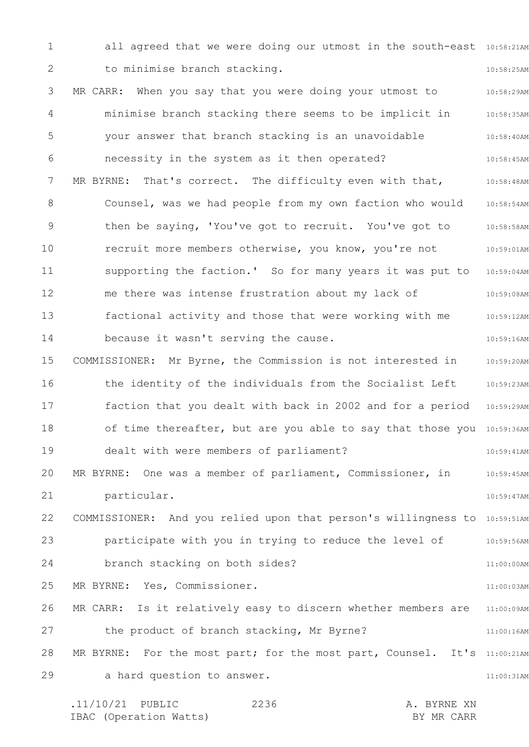1 2 3 4 5 6 7 8 9 10 11 12 13 14 15 16 17 18 19 20 21 22 23 24 25 26 27 28 29 all agreed that we were doing our utmost in the south-east 10:58:21AM 10:58:25AM 10:58:29AM 10:58:35AM 10:58:40AM 10:58:45AM 10:58:48AM 10:58:54AM 10:58:58AM 10:59:01AM 10:59:04AM 10:59:08AM 10:59:12AM 10:59:16AM 10:59:20AM the identity of the individuals from the Socialist Left 10:59:23AM faction that you dealt with back in 2002 and for a period 10:59:29AM of time thereafter, but are you able to say that those you 10:59:36AM 10:59:41AM 10:59:45AM 10:59:47AM COMMISSIONER: And you relied upon that person's willingness to 10:59:51AM participate with you in trying to reduce the level of and 10:59:56AM 11:00:00AM 11:00:03AM MR CARR: Is it relatively easy to discern whether members are 11:00:09AM 11:00:16AM MR BYRNE: For the most part; for the most part, Counsel. It's 11:00:21AM 11:00:31AM to minimise branch stacking. MR CARR: When you say that you were doing your utmost to minimise branch stacking there seems to be implicit in your answer that branch stacking is an unavoidable necessity in the system as it then operated? MR BYRNE: That's correct. The difficulty even with that, Counsel, was we had people from my own faction who would then be saying, 'You've got to recruit. You've got to recruit more members otherwise, you know, you're not supporting the faction.' So for many years it was put to me there was intense frustration about my lack of factional activity and those that were working with me because it wasn't serving the cause. COMMISSIONER: Mr Byrne, the Commission is not interested in dealt with were members of parliament? MR BYRNE: One was a member of parliament, Commissioner, in particular. branch stacking on both sides? MR BYRNE: Yes, Commissioner. the product of branch stacking, Mr Byrne? a hard question to answer.

.11/10/21 PUBLIC 2236 A. BYRNE XN IBAC (Operation Watts) and the set of the BY MR CARR BY MR CARR 2236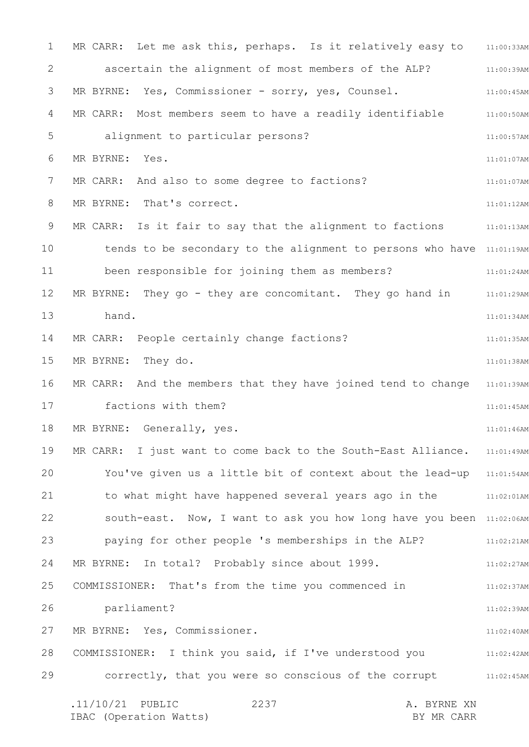1 2 3 4 5 6 7 8 9 10 11 12 13 14 15 16 17 18 19 20 21 22 23 24 25 26 27 28 29 MR CARR: Let me ask this, perhaps. Is it relatively easy to 311:00:33AM 11:00:39AM 11:00:45AM MR CARR: Most members seem to have a readily identifiable  $11:00:50$ AM 11:00:57AM 11:01:07AM 11:01:07AM 11:01:12AM MR CARR: Is it fair to say that the alignment to factions  $11:01:13$ AM tends to be secondary to the alignment to persons who have 11:01:19AM 11:01:24AM MR BYRNE: They go - they are concomitant. They go hand in and 11:01:29AM 11:01:34AM 11:01:35AM 11:01:38AM MR CARR: And the members that they have joined tend to change 11:01:39AM 11:01:45AM 11:01:46AM MR CARR: I just want to come back to the South-East Alliance. 11:01:49AM You've given us a little bit of context about the lead-up 11:01:54AM to what might have happened several years ago in the  $11:02:01$ AM south-east. Now, I want to ask you how long have you been 11:02:06AM paying for other people 's memberships in the ALP? The 11:02:21AM 11:02:27AM 11:02:37AM 11:02:39AM 11:02:40AM COMMISSIONER: I think you said, if I've understood you and the 11:02:42AM 11:02:45AM .11/10/21 PUBLIC 2237 A. BYRNE XN IBAC (Operation Watts) BY MR CARR 2237 ascertain the alignment of most members of the ALP? MR BYRNE: Yes, Commissioner - sorry, yes, Counsel. alignment to particular persons? MR BYRNE: Yes. MR CARR: And also to some degree to factions? MR BYRNE: That's correct. been responsible for joining them as members? hand. MR CARR: People certainly change factions? MR BYRNE: They do. factions with them? MR BYRNE: Generally, yes. MR BYRNE: In total? Probably since about 1999. COMMISSIONER: That's from the time you commenced in parliament? MR BYRNE: Yes, Commissioner. correctly, that you were so conscious of the corrupt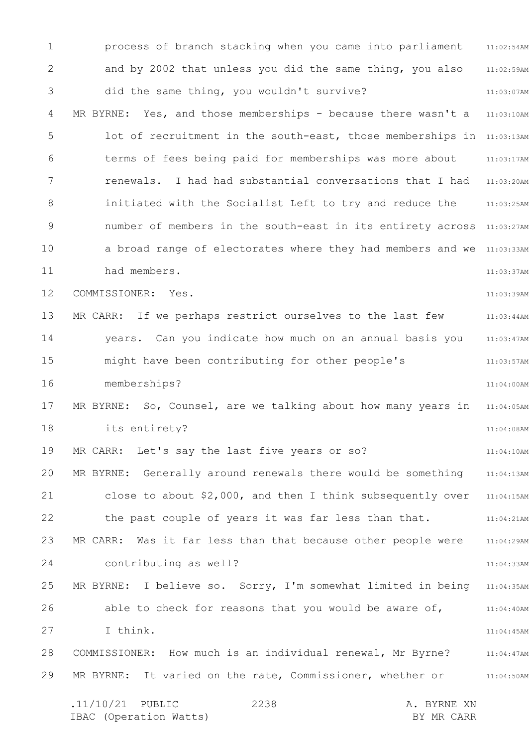1 2 3 4 5 6 7 8 9 10 11 12 13 14 15 16 17 18 19 20 21 22 23 24 25 26 27 28 29 11:02:54AM 11:02:59AM 11:03:07AM MR BYRNE: Yes, and those memberships - because there wasn't a 11:03:10AM lot of recruitment in the south-east, those memberships in 11:03:13AM 11:03:17AM 11:03:20AM initiated with the Socialist Left to try and reduce the 11:03:25AM number of members in the south-east in its entirety across 11:03:27AM a broad range of electorates where they had members and we 11:03:33AM 11:03:37AM 11:03:39AM 11:03:44AM 11:03:47AM 11:03:57AM 11:04:00AM MR BYRNE: So, Counsel, are we talking about how many years in 11:04:05AM 11:04:08AM 11:04:10AM 11:04:13AM close to about  $$2,000$ , and then I think subsequently over  $11:04:15$ AM 11:04:21AM 11:04:29AM 11:04:33AM 11:04:35AM 11:04:40AM 11:04:45AM 11:04:47AM 11:04:50AM .11/10/21 PUBLIC 2238 A. BYRNE XN 2238 process of branch stacking when you came into parliament and by 2002 that unless you did the same thing, you also did the same thing, you wouldn't survive? terms of fees being paid for memberships was more about renewals. I had had substantial conversations that I had had members. COMMISSIONER: Yes. MR CARR: If we perhaps restrict ourselves to the last few years. Can you indicate how much on an annual basis you might have been contributing for other people's memberships? its entirety? MR CARR: Let's say the last five years or so? MR BYRNE: Generally around renewals there would be something the past couple of years it was far less than that. MR CARR: Was it far less than that because other people were contributing as well? MR BYRNE: I believe so. Sorry, I'm somewhat limited in being able to check for reasons that you would be aware of, I think. COMMISSIONER: How much is an individual renewal, Mr Byrne? MR BYRNE: It varied on the rate, Commissioner, whether or

IBAC (Operation Watts) and the set of the BY MR CARR BY MR CARR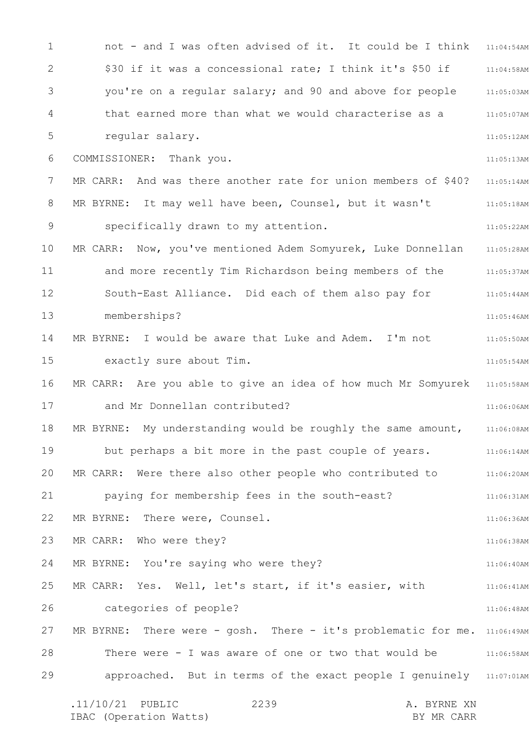1 2 3 4 5 6 7 8 9 10 11 12 13 14 15 16 17 18 19 20 21 22 23 24 25 26 27 28 29 not - and I was often advised of it. It could be I think 11:04:54AM 11:04:58AM 11:05:03AM 11:05:07AM 11:05:12AM 11:05:13AM 11:05:14AM 11:05:18AM 11:05:22AM 11:05:28AM and more recently Tim Richardson being members of the 311:05:37AM 11:05:44AM 11:05:46AM 11:05:50AM 11:05:54AM MR CARR: Are you able to give an idea of how much Mr Somyurek 11:05:58AM 11:06:06AM 11:06:08AM 11:06:14AM 11:06:20AM 11:06:31AM 11:06:36AM 11:06:38AM 11:06:40AM 11:06:41AM 11:06:48AM MR BYRNE: There were - gosh. There - it's problematic for me. 11:06:49AM There were - I was aware of one or two that would be  $11:06:58$ AM approached. But in terms of the exact people I genuinely 11:07:01AM \$30 if it was a concessional rate; I think it's \$50 if you're on a regular salary; and 90 and above for people that earned more than what we would characterise as a regular salary. COMMISSIONER: Thank you. MR CARR: And was there another rate for union members of \$40? MR BYRNE: It may well have been, Counsel, but it wasn't specifically drawn to my attention. MR CARR: Now, you've mentioned Adem Somyurek, Luke Donnellan South-East Alliance. Did each of them also pay for memberships? MR BYRNE: I would be aware that Luke and Adem. I'm not exactly sure about Tim. and Mr Donnellan contributed? MR BYRNE: My understanding would be roughly the same amount, but perhaps a bit more in the past couple of years. MR CARR: Were there also other people who contributed to paying for membership fees in the south-east? MR BYRNE: There were, Counsel. MR CARR: Who were they? MR BYRNE: You're saying who were they? MR CARR: Yes. Well, let's start, if it's easier, with categories of people?

.11/10/21 PUBLIC 2239 A. BYRNE XN IBAC (Operation Watts) and the set of the BY MR CARR BY MR CARR 2239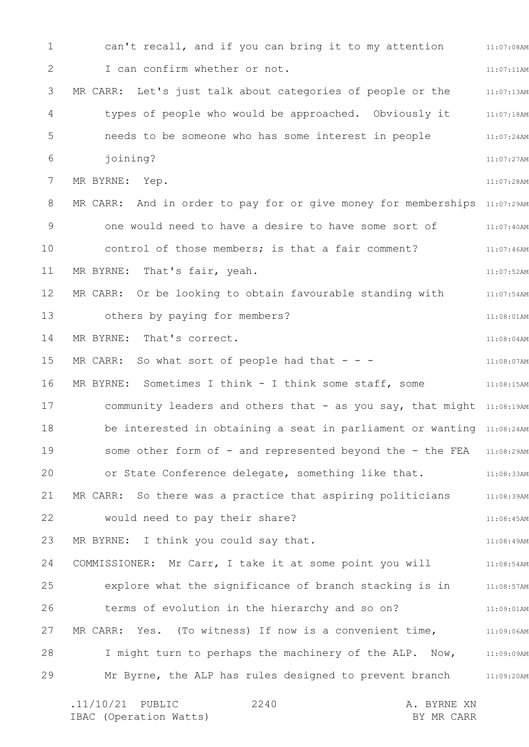1 2 3 4 5 6 7 8 9 10 11 12 13 14 15 16 17 18 19 20 21 22 23 24 25 26 27 28 29 11:07:08AM 11:07:11AM 11:07:13AM 11:07:18AM 11:07:24AM 11:07:27AM 11:07:28AM MR CARR: And in order to pay for or give money for memberships 11:07:29AM 11:07:40AM 11:07:46AM 11:07:52AM 11:07:54AM 11:08:01AM 11:08:04AM 11:08:07AM MR BYRNE: Sometimes I think - I think some staff, some 311:08:15AM community leaders and others that - as you say, that might 11:08:19AM be interested in obtaining a seat in parliament or wanting 11:08:24AM some other form of - and represented beyond the - the FEA 11:08:29AM or State Conference delegate, something like that. 11:08:33AM 11:08:39AM 11:08:45AM 11:08:49AM COMMISSIONER: Mr Carr, I take it at some point you will all:08:54AM 11:08:57AM 11:09:01AM MR CARR: Yes. (To witness) If now is a convenient time,  $\qquad \qquad$  11:09:06AM I might turn to perhaps the machinery of the ALP. Now, 11:09:09AM 11:09:20AM .11/10/21 PUBLIC 2240 A. BYRNE XN 2240 can't recall, and if you can bring it to my attention I can confirm whether or not. MR CARR: Let's just talk about categories of people or the types of people who would be approached. Obviously it needs to be someone who has some interest in people joining? MR BYRNE: Yep. one would need to have a desire to have some sort of control of those members; is that a fair comment? MR BYRNE: That's fair, yeah. MR CARR: Or be looking to obtain favourable standing with others by paying for members? MR BYRNE: That's correct. MR CARR: So what sort of people had that  $- -$ MR CARR: So there was a practice that aspiring politicians would need to pay their share? MR BYRNE: I think you could say that. explore what the significance of branch stacking is in terms of evolution in the hierarchy and so on? Mr Byrne, the ALP has rules designed to prevent branch

IBAC (Operation Watts) and the set of the BY MR CARR BY MR CARR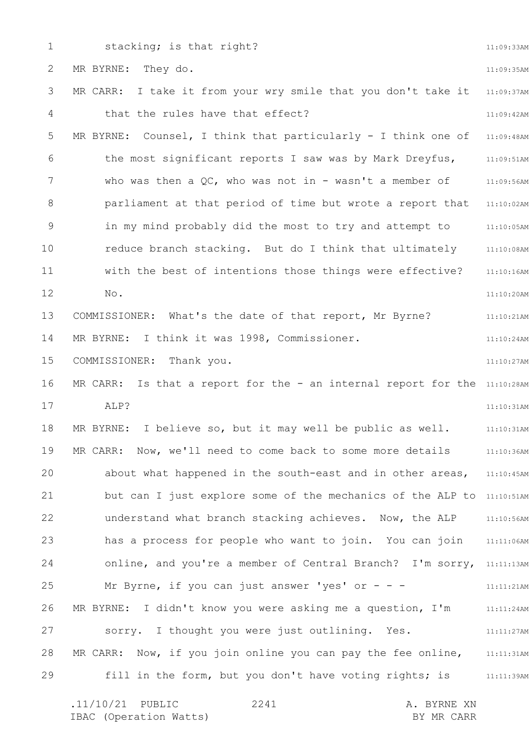1 2 3 4 5 6 7 8 9 10 11 12 13 14 15 16 17 18 19 20 21 22 23 24 25 26 27 28 29 11:09:33AM 11:09:35AM 11:09:37AM 11:09:42AM 11:09:48AM 11:09:51AM 11:09:56AM 11:10:02AM 11:10:05AM 11:10:08AM 11:10:16AM 11:10:20AM 11:10:21AM 11:10:24AM 11:10:27AM MR CARR: Is that a report for the - an internal report for the 11:10:28AM 11:10:31AM 11:10:31AM 11:10:36AM about what happened in the south-east and in other areas, 11:10:45AM but can I just explore some of the mechanics of the ALP to 11:10:51AM understand what branch stacking achieves. Now, the ALP 11:10:56AM has a process for people who want to join. You can join 11:11:06AM online, and you're a member of Central Branch? I'm sorry, 11:11:13AM 11:11:21AM 11:11:24AM 11:11:27AM MR CARR: Now, if you join online you can pay the fee online,  $11:11:31$ AM 11:11:39AM stacking; is that right? MR BYRNE: They do. MR CARR: I take it from your wry smile that you don't take it that the rules have that effect? MR BYRNE: Counsel, I think that particularly - I think one of the most significant reports I saw was by Mark Dreyfus, who was then a QC, who was not in - wasn't a member of parliament at that period of time but wrote a report that in my mind probably did the most to try and attempt to reduce branch stacking. But do I think that ultimately with the best of intentions those things were effective? No. COMMISSIONER: What's the date of that report, Mr Byrne? MR BYRNE: I think it was 1998, Commissioner. COMMISSIONER: Thank you. ALP? MR BYRNE: I believe so, but it may well be public as well. MR CARR: Now, we'll need to come back to some more details Mr Byrne, if you can just answer 'yes' or  $- -$ MR BYRNE: I didn't know you were asking me a question, I'm sorry. I thought you were just outlining. Yes. fill in the form, but you don't have voting rights; is

| $.11/10/21$ PUBLIC |                        | 2241 |  | A. BYRNE XN |
|--------------------|------------------------|------|--|-------------|
|                    | IBAC (Operation Watts) |      |  | BY MR CARR  |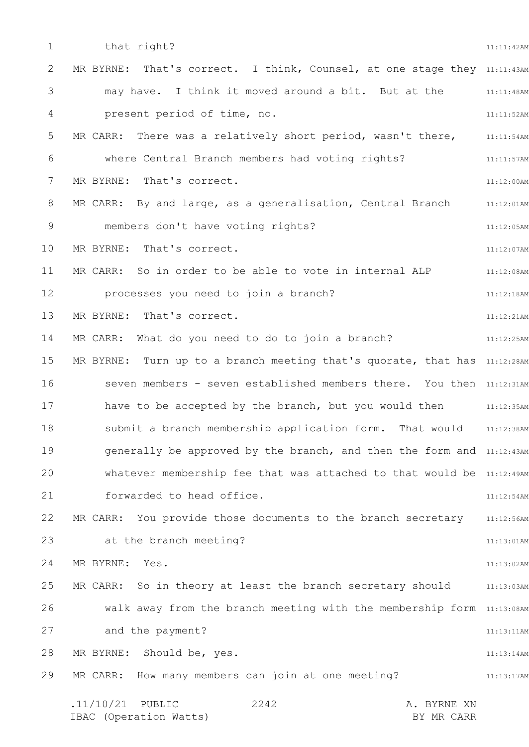1 2 3 4 5 6 7 8 9 10 11 12 13 14 15 16 17 18 19 20 21 22 23 24 25 26 27 28 29 11:11:42AM MR BYRNE: That's correct. I think, Counsel, at one stage they 11:11:43AM 11:11:48AM 11:11:52AM 11:11:54AM 11:11:57AM 11:12:00AM MR CARR: By and large, as a generalisation, Central Branch 11:12:01AM 11:12:05AM 11:12:07AM 11:12:08AM 11:12:18AM 11:12:21AM 11:12:25AM MR BYRNE: Turn up to a branch meeting that's quorate, that has 11:12:28AM seven members - seven established members there. You then 11:12:31AM have to be accepted by the branch, but you would then  $11:12:35$ AM 11:12:38AM generally be approved by the branch, and then the form and 11:12:43AM whatever membership fee that was attached to that would be 11:12:49AM 11:12:54AM 11:12:56AM 11:13:01AM 11:13:02AM 11:13:03AM walk away from the branch meeting with the membership form 11:13:08AM 11:13:11AM 11:13:14AM 11:13:17AM .11/10/21 PUBLIC 2242 A. BYRNE XN 2242 that right? may have. I think it moved around a bit. But at the present period of time, no. MR CARR: There was a relatively short period, wasn't there, where Central Branch members had voting rights? MR BYRNE: That's correct. members don't have voting rights? MR BYRNE: That's correct. MR CARR: So in order to be able to vote in internal ALP processes you need to join a branch? MR BYRNE: That's correct. MR CARR: What do you need to do to join a branch? submit a branch membership application form. That would forwarded to head office. MR CARR: You provide those documents to the branch secretary at the branch meeting? MR BYRNE: Yes. MR CARR: So in theory at least the branch secretary should and the payment? MR BYRNE: Should be, yes. MR CARR: How many members can join at one meeting?

IBAC (Operation Watts) and the set of the BY MR CARR BY MR CARR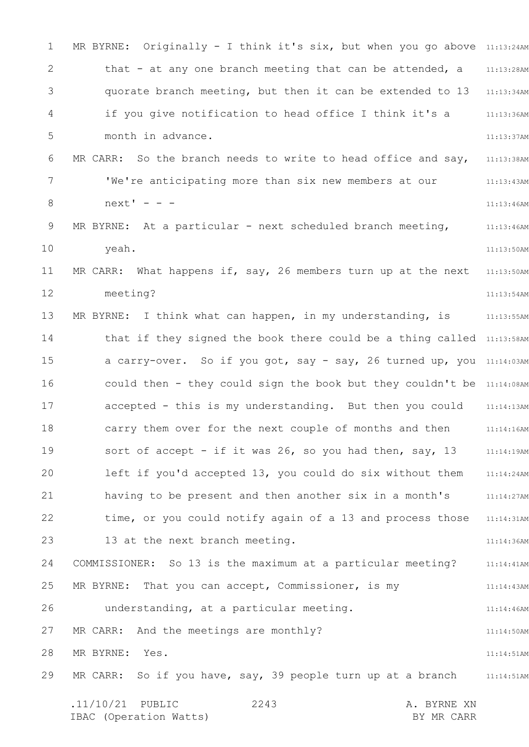1 2 3 4 5 6 7 8 9 10 11 12 13 14 15 16 17 18 19 20 21 22 23 24 25 26 27 28 29 MR BYRNE: Originally - I think it's six, but when you go above 11:13:24AM 11:13:28AM 11:13:34AM 11:13:36AM 11:13:37AM 11:13:38AM 11:13:43AM 11:13:46AM 11:13:46AM 11:13:50AM 11:13:50AM 11:13:54AM 11:13:55AM that if they signed the book there could be a thing called 11:13:58AM a carry-over. So if you got, say - say, 26 turned up, you 11:14:03AM could then - they could sign the book but they couldn't be 11:14:08AM 11:14:13AM 11:14:16AM 11:14:19AM 11:14:24AM 11:14:27AM 11:14:31AM 11:14:36AM 11:14:41AM 11:14:43AM 11:14:46AM 11:14:50AM 11:14:51AM MR CARR: So if you have, say, 39 people turn up at a branch and  $11:14:51$ AM .11/10/21 PUBLIC 2243 A. BYRNE XN IBAC (Operation Watts) and the set of the BY MR CARR BY MR CARR 2243 that - at any one branch meeting that can be attended, a quorate branch meeting, but then it can be extended to 13 if you give notification to head office I think it's a month in advance. MR CARR: So the branch needs to write to head office and say, 'We're anticipating more than six new members at our  $next' - -$ MR BYRNE: At a particular - next scheduled branch meeting, yeah. MR CARR: What happens if, say, 26 members turn up at the next meeting? MR BYRNE: I think what can happen, in my understanding, is accepted - this is my understanding. But then you could carry them over for the next couple of months and then sort of accept - if it was 26, so you had then, say, 13 left if you'd accepted 13, you could do six without them having to be present and then another six in a month's time, or you could notify again of a 13 and process those 13 at the next branch meeting. COMMISSIONER: So 13 is the maximum at a particular meeting? MR BYRNE: That you can accept, Commissioner, is my understanding, at a particular meeting. MR CARR: And the meetings are monthly? MR BYRNE: Yes.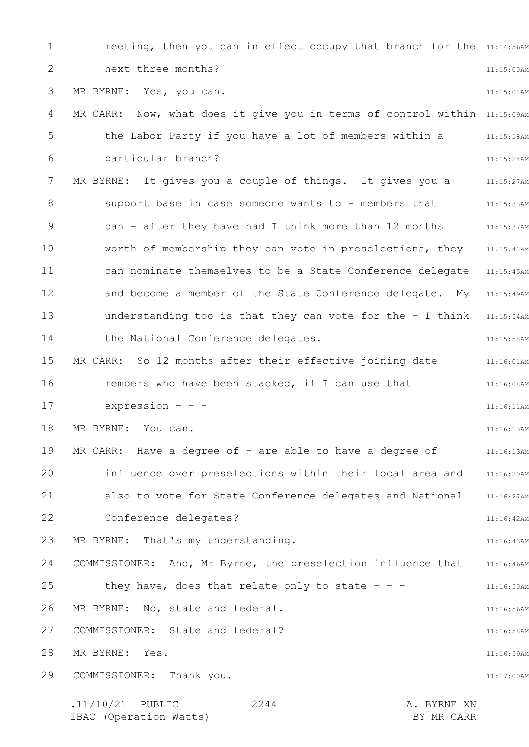1 2 3 4 5 6 7 8 9 10 11 12 13 14 15 16 17 18 19 20 21 22 23 24 25 26 27 28 29 meeting, then you can in effect occupy that branch for the  $11:14:56$ AM 11:15:00AM 11:15:01AM MR CARR: Now, what does it give you in terms of control within 11:15:09AM 11:15:18AM 11:15:24AM MR BYRNE: It gives you a couple of things. It gives you a strain: 11:15:27AM 11:15:33AM 11:15:37AM 11:15:41AM can nominate themselves to be a State Conference delegate 11:15:45AM and become a member of the State Conference delegate. My 11:15:49AM understanding too is that they can vote for the - I think 11:15:54AM 11:15:58AM MR CARR: So 12 months after their effective joining date  $11:16:01$ AM 11:16:08AM 11:16:11AM 11:16:13AM 11:16:13AM influence over preselections within their local area and 11:16:20AM 11:16:27AM 11:16:42AM 11:16:43AM COMMISSIONER: And, Mr Byrne, the preselection influence that 11:16:46AM 11:16:50AM 11:16:56AM 11:16:58AM 11:16:59AM 11:17:00AM .11/10/21 PUBLIC 2244 A. BYRNE XN IBAC (Operation Watts) BY MR CARR 2244 next three months? MR BYRNE: Yes, you can. the Labor Party if you have a lot of members within a particular branch? support base in case someone wants to - members that can - after they have had I think more than 12 months worth of membership they can vote in preselections, they the National Conference delegates. members who have been stacked, if I can use that expression - - - MR BYRNE: You can. MR CARR: Have a degree of - are able to have a degree of also to vote for State Conference delegates and National Conference delegates? MR BYRNE: That's my understanding. they have, does that relate only to state  $- -$ MR BYRNE: No, state and federal. COMMISSIONER: State and federal? MR BYRNE: Yes. COMMISSIONER: Thank you.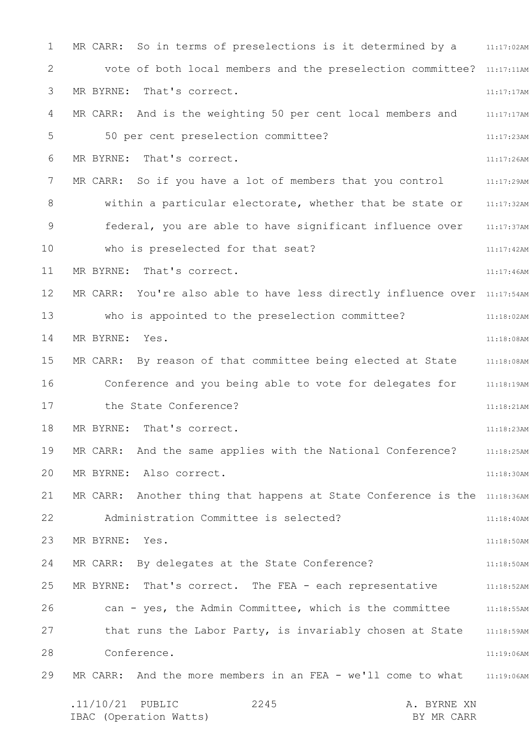1 2 3 4 5 6 7 8 9 10 11 12 13 14 15 16 17 18 19 20 21 22 23 24 25 26 27 28 29 MR CARR: So in terms of preselections is it determined by a  $11:17:02$ AM vote of both local members and the preselection committee? 11:17:11AM 11:17:17AM MR CARR: And is the weighting 50 per cent local members and 11:17:17AM 11:17:23AM 11:17:26AM MR CARR: So if you have a lot of members that you control  $11:17:29$ AM within a particular electorate, whether that be state or and  $11:17:32$ AM 11:17:37AM 11:17:42AM 11:17:46AM MR CARR: You're also able to have less directly influence over 11:17:54AM 11:18:02AM 11:18:08AM MR CARR: By reason of that committee being elected at State 11:18:08AM Conference and you being able to vote for delegates for 11:18:19AM 11:18:21AM 11:18:23AM MR CARR: And the same applies with the National Conference? 311:18:25AM 11:18:30AM MR CARR: Another thing that happens at State Conference is the 11:18:36AM 11:18:40AM 11:18:50AM 11:18:50AM 11:18:52AM 11:18:55AM that runs the Labor Party, is invariably chosen at State 11:18:59AM 11:19:06AM MR CARR: And the more members in an FEA - we'll come to what 31:19:06AM .11/10/21 PUBLIC 2245 A. BYRNE XN 2245 MR BYRNE: That's correct. 50 per cent preselection committee? MR BYRNE: That's correct. federal, you are able to have significant influence over who is preselected for that seat? MR BYRNE: That's correct. who is appointed to the preselection committee? MR BYRNE: Yes. the State Conference? MR BYRNE: That's correct. MR BYRNE: Also correct. Administration Committee is selected? MR BYRNE: Yes. MR CARR: By delegates at the State Conference? MR BYRNE: That's correct. The FEA - each representative can - yes, the Admin Committee, which is the committee Conference.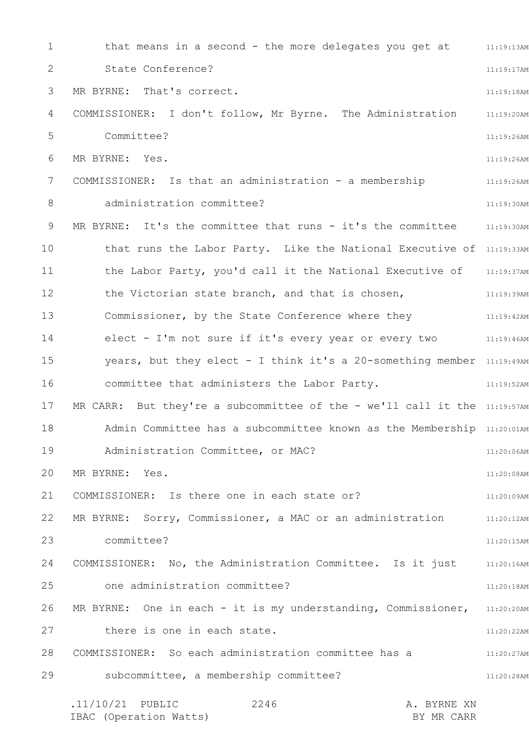1 2 3 4 5 6 7 8 9 10 11 12 13 14 15 16 17 18 19 20 21 22 23 24 25 26 27 28 29 that means in a second - the more delegates you get at 11:19:13AM 11:19:17AM 11:19:18AM COMMISSIONER: I don't follow, Mr Byrne. The Administration 11:19:20AM 11:19:26AM 11:19:26AM 11:19:26AM 11:19:30AM MR BYRNE: It's the committee that runs - it's the committee  $11:19:30$ AM that runs the Labor Party. Like the National Executive of 11:19:33AM the Labor Party, you'd call it the National Executive of 11:19:37AM 11:19:39AM 11:19:42AM 11:19:46AM years, but they elect - I think it's a 20-something member 11:19:49AM 11:19:52AM MR CARR: But they're a subcommittee of the - we'll call it the  $11:19:57$ AM Admin Committee has a subcommittee known as the Membership 11:20:01AM 11:20:06AM 11:20:08AM 11:20:09AM 11:20:12AM 11:20:15AM COMMISSIONER: No, the Administration Committee. Is it just 11:20:16AM 11:20:18AM MR BYRNE: One in each - it is my understanding, Commissioner, 11:20:20AM 11:20:22AM 11:20:27AM 11:20:28AM .11/10/21 PUBLIC 2246 A. BYRNE XN 2246 State Conference? MR BYRNE: That's correct. Committee? MR BYRNE: Yes. COMMISSIONER: Is that an administration - a membership administration committee? the Victorian state branch, and that is chosen, Commissioner, by the State Conference where they elect - I'm not sure if it's every year or every two committee that administers the Labor Party. Administration Committee, or MAC? MR BYRNE: Yes. COMMISSIONER: Is there one in each state or? MR BYRNE: Sorry, Commissioner, a MAC or an administration committee? one administration committee? there is one in each state. COMMISSIONER: So each administration committee has a subcommittee, a membership committee?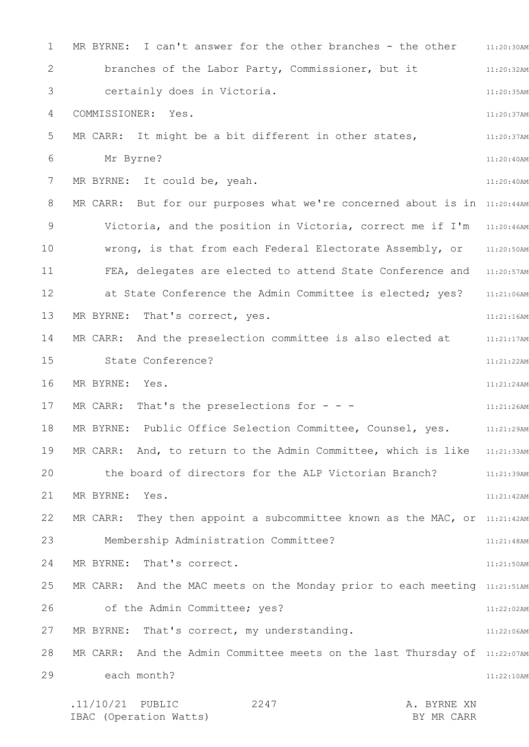1 2 3 4 5 6 7 8 9 10 11 12 13 14 15 16 17 18 19 20 21 22 23 24 25 26 27 28 29 MR BYRNE: I can't answer for the other branches - the other  $11:20:30$ AM 11:20:32AM 11:20:35AM 11:20:37AM 11:20:37AM 11:20:40AM 11:20:40AM MR CARR: But for our purposes what we're concerned about is in 11:20:44AM Victoria, and the position in Victoria, correct me if I'm 31:20:46AM 11:20:50AM FEA, delegates are elected to attend State Conference and 11:20:57AM at State Conference the Admin Committee is elected; yes? 11:21:06AM 11:21:16AM 11:21:17AM 11:21:22AM 11:21:24AM 11:21:26AM 11:21:29AM MR CARR: And, to return to the Admin Committee, which is like 11:21:33AM the board of directors for the ALP Victorian Branch? 11:21:39AM 11:21:42AM MR CARR: They then appoint a subcommittee known as the MAC, or  $11:21:42$ AM 11:21:48AM 11:21:50AM MR CARR: And the MAC meets on the Monday prior to each meeting 11:21:51AM 11:22:02AM 11:22:06AM MR CARR: And the Admin Committee meets on the last Thursday of 11:22:07AM 11:22:10AM .11/10/21 PUBLIC 2247 A. BYRNE XN 2247 branches of the Labor Party, Commissioner, but it certainly does in Victoria. COMMISSIONER: Yes. MR CARR: It might be a bit different in other states, Mr Byrne? MR BYRNE: It could be, yeah. wrong, is that from each Federal Electorate Assembly, or MR BYRNE: That's correct, yes. MR CARR: And the preselection committee is also elected at State Conference? MR BYRNE: Yes. MR CARR: That's the preselections for  $- -$ MR BYRNE: Public Office Selection Committee, Counsel, yes. MR BYRNE: Yes. Membership Administration Committee? MR BYRNE: That's correct. of the Admin Committee; yes? MR BYRNE: That's correct, my understanding. each month?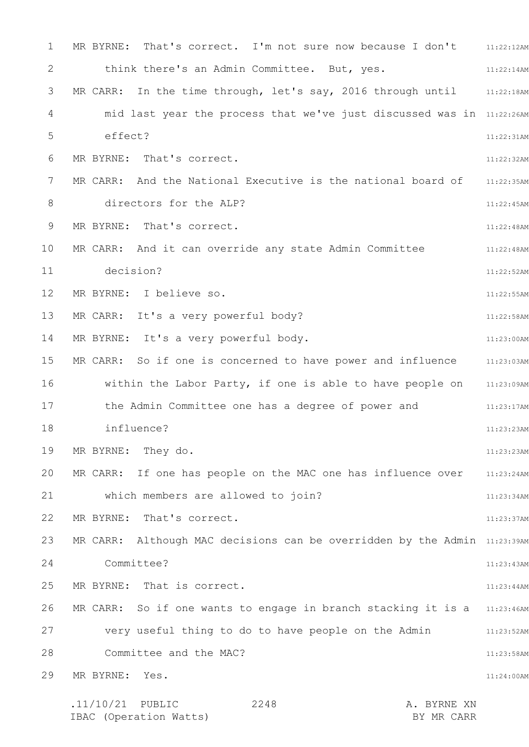1 2 3 4 5 6 7 8 9 10 11 12 13 14 15 16 17 18 19 20 21 22 23 24 25 26 27 28 29 MR BYRNE: That's correct. I'm not sure now because I don't  $11:22:12$ AM 11:22:14AM MR CARR: In the time through, let's say, 2016 through until  $\qquad \qquad 11:22:18$ AM mid last year the process that we've just discussed was in 11:22:26AM 11:22:31AM 11:22:32AM 11:22:35AM 11:22:45AM 11:22:48AM 11:22:48AM 11:22:52AM 11:22:55AM 11:22:58AM 11:23:00AM MR CARR: So if one is concerned to have power and influence  $11:23:03$ AM within the Labor Party, if one is able to have people on aniserion 11:23:17AM 11:23:23AM 11:23:23AM MR CARR: If one has people on the MAC one has influence over 11:23:24AM 11:23:34AM 11:23:37AM MR CARR: Although MAC decisions can be overridden by the Admin 11:23:39AM 11:23:43AM 11:23:44AM MR CARR: So if one wants to engage in branch stacking it is a 311:23:46AM 11:23:52AM 11:23:58AM 11:24:00AM .11/10/21 PUBLIC 2248 A. BYRNE XN 2248 think there's an Admin Committee. But, yes. effect? MR BYRNE: That's correct. MR CARR: And the National Executive is the national board of directors for the ALP? MR BYRNE: That's correct. MR CARR: And it can override any state Admin Committee decision? MR BYRNE: I believe so. MR CARR: It's a very powerful body? MR BYRNE: It's a very powerful body. the Admin Committee one has a degree of power and influence? MR BYRNE: They do. which members are allowed to join? MR BYRNE: That's correct. Committee? MR BYRNE: That is correct. very useful thing to do to have people on the Admin Committee and the MAC? MR BYRNE: Yes.

IBAC (Operation Watts) and the set of the BY MR CARR BY MR CARR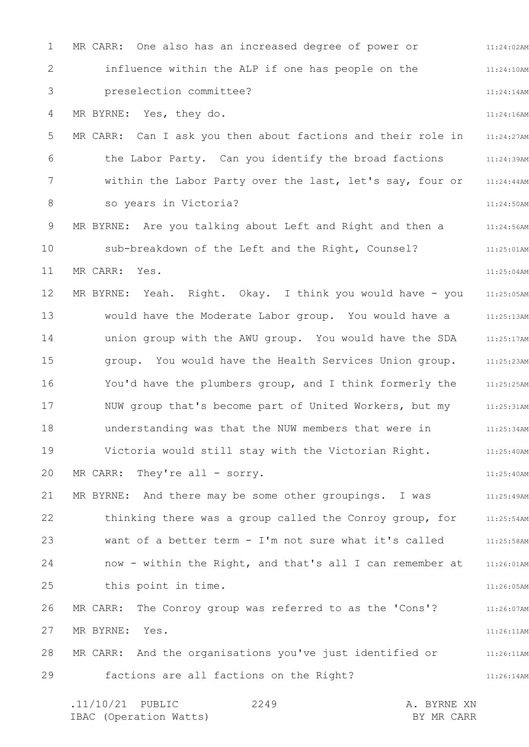1 2 3 4 5 6 7 8 9 10 11 12 13 14 15 16 17 18 19 20 21 22 23 24 25 26 27 28 29 11:24:02AM 11:24:10AM 11:24:14AM 11:24:16AM 11:24:27AM 11:24:39AM 11:24:44AM 11:24:50AM 11:24:56AM 11:25:01AM 11:25:04AM 11:25:05AM 11:25:13AM 11:25:17AM 11:25:23AM 11:25:25AM 11:25:31AM 11:25:34AM 11:25:40AM 11:25:40AM 11:25:49AM 11:25:54AM 11:25:58AM 11:26:01AM 11:26:05AM 11:26:07AM 11:26:11AM 11:26:11AM 11:26:14AM .11/10/21 PUBLIC 2249 A. BYRNE XN MR CARR: One also has an increased degree of power or influence within the ALP if one has people on the preselection committee? MR BYRNE: Yes, they do. MR CARR: Can I ask you then about factions and their role in the Labor Party. Can you identify the broad factions within the Labor Party over the last, let's say, four or so years in Victoria? MR BYRNE: Are you talking about Left and Right and then a sub-breakdown of the Left and the Right, Counsel? MR CARR: Yes. MR BYRNE: Yeah. Right. Okay. I think you would have - you would have the Moderate Labor group. You would have a union group with the AWU group. You would have the SDA group. You would have the Health Services Union group. You'd have the plumbers group, and I think formerly the NUW group that's become part of United Workers, but my understanding was that the NUW members that were in Victoria would still stay with the Victorian Right. MR CARR: They're all - sorry. MR BYRNE: And there may be some other groupings. I was thinking there was a group called the Conroy group, for want of a better term - I'm not sure what it's called now - within the Right, and that's all I can remember at this point in time. MR CARR: The Conroy group was referred to as the 'Cons'? MR BYRNE: Yes. MR CARR: And the organisations you've just identified or factions are all factions on the Right?

IBAC (Operation Watts) and the set of the BY MR CARR BY MR CARR

2249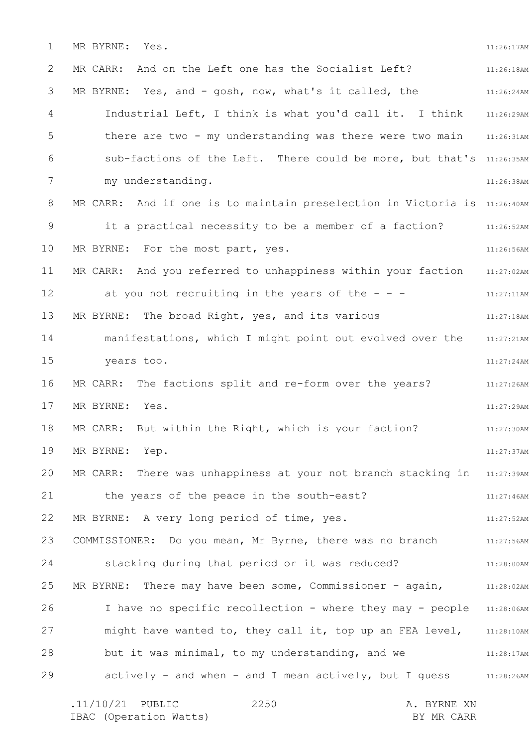1 2 3 4 5 6 7 8 9 10 11 12 13 14 15 16 17 18 19 20 21 22 23 24 25 26 27 28 29 11:26:17AM 11:26:18AM 11:26:24AM Industrial Left, I think is what you'd call it. I think 11:26:29AM there are two - my understanding was there were two main 11:26:31AM sub-factions of the Left. There could be more, but that's 11:26:35AM 11:26:38AM MR CARR: And if one is to maintain preselection in Victoria is 11:26:40AM 11:26:52AM 11:26:56AM 11:27:02AM 11:27:11AM 11:27:18AM 11:27:21AM 11:27:24AM MR CARR: The factions split and re-form over the years? The 11:27:26AM 11:27:29AM 11:27:30AM 11:27:37AM MR CARR: There was unhappiness at your not branch stacking in 11:27:39AM 11:27:46AM 11:27:52AM COMMISSIONER: Do you mean, Mr Byrne, there was no branch 11:27:56AM 11:28:00AM 11:28:02AM I have no specific recollection - where they may - people 11:28:06AM might have wanted to, they call it, top up an FEA level,  $11:28:10$ AM 11:28:17AM actively - and when - and I mean actively, but I guess 11:28:26AM MR BYRNE: Yes. MR CARR: And on the Left one has the Socialist Left? MR BYRNE: Yes, and - gosh, now, what's it called, the my understanding. it a practical necessity to be a member of a faction? MR BYRNE: For the most part, yes. MR CARR: And you referred to unhappiness within your faction at you not recruiting in the years of the  $-$  -MR BYRNE: The broad Right, yes, and its various manifestations, which I might point out evolved over the years too. MR BYRNE: Yes. MR CARR: But within the Right, which is your faction? MR BYRNE: Yep. the years of the peace in the south-east? MR BYRNE: A very long period of time, yes. stacking during that period or it was reduced? MR BYRNE: There may have been some, Commissioner - again, but it was minimal, to my understanding, and we

.11/10/21 PUBLIC 2250 A. BYRNE XN IBAC (Operation Watts) and the set of the BY MR CARR BY MR CARR 2250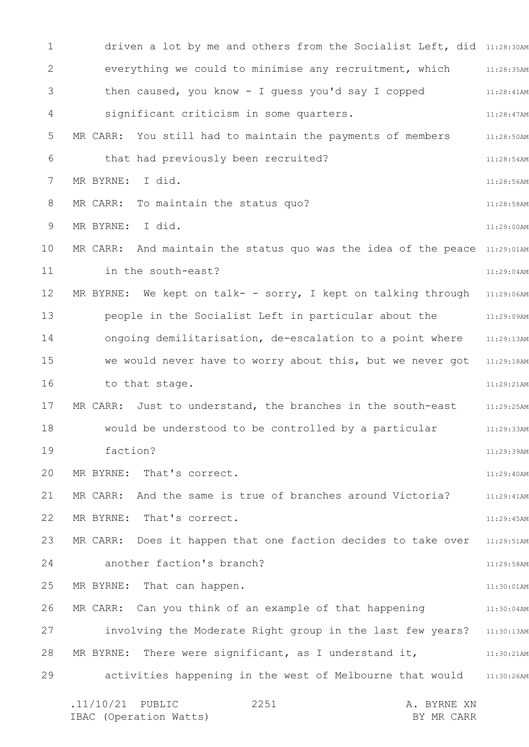1 2 3 4 5 6 7 8 9 10 11 12 13 14 15 16 17 18 19 20 21 22 23 24 25 26 27 28 29 driven a lot by me and others from the Socialist Left, did 11:28:30AM 11:28:35AM 11:28:41AM 11:28:47AM 11:28:50AM 11:28:54AM 11:28:56AM 11:28:58AM 11:29:00AM MR CARR: And maintain the status quo was the idea of the peace 11:29:01AM 11:29:04AM MR BYRNE: We kept on talk- - sorry, I kept on talking through 11:29:06AM 11:29:09AM 11:29:13AM we would never have to worry about this, but we never got 11:29:18AM 11:29:21AM 11:29:25AM 11:29:33AM 11:29:39AM 11:29:40AM 11:29:41AM 11:29:45AM MR CARR: Does it happen that one faction decides to take over  $11:29:51$ AM 11:29:58AM 11:30:01AM 11:30:04AM involving the Moderate Right group in the last few years? 11:30:13AM 11:30:21AM activities happening in the west of Melbourne that would 11:30:26AM .11/10/21 PUBLIC 2251 A. BYRNE XN 2251 everything we could to minimise any recruitment, which then caused, you know - I guess you'd say I copped significant criticism in some quarters. MR CARR: You still had to maintain the payments of members that had previously been recruited? MR BYRNE: I did. MR CARR: To maintain the status quo? MR BYRNE: I did. in the south-east? people in the Socialist Left in particular about the ongoing demilitarisation, de-escalation to a point where to that stage. MR CARR: Just to understand, the branches in the south-east would be understood to be controlled by a particular faction? MR BYRNE: That's correct. MR CARR: And the same is true of branches around Victoria? MR BYRNE: That's correct. another faction's branch? MR BYRNE: That can happen. MR CARR: Can you think of an example of that happening MR BYRNE: There were significant, as I understand it,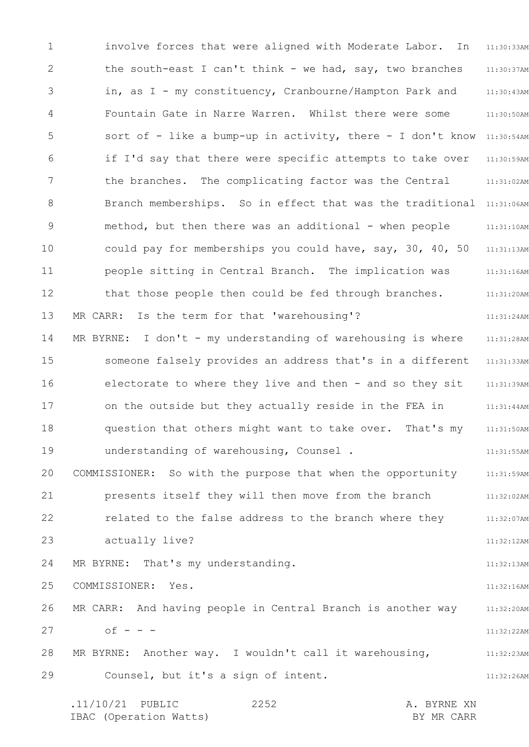1 2 3 4 5 6 7 8 9 10 11 12 13 14 15 16 17 18 19 20 21 22 23 24 25 26 27 28 29 11:30:33AM 11:30:37AM 11:30:43AM 11:30:50AM sort of - like a bump-up in activity, there - I don't know 11:30:54AM 11:30:59AM 11:31:02AM Branch memberships. So in effect that was the traditional 11:31:06AM 11:31:10AM 11:31:13AM 11:31:16AM 11:31:20AM 11:31:24AM 11:31:28AM 11:31:33AM 11:31:39AM 11:31:44AM 11:31:50AM 11:31:55AM 11:31:59AM 11:32:02AM 11:32:07AM 11:32:12AM 11:32:13AM 11:32:16AM 11:32:20AM 11:32:22AM 11:32:23AM 11:32:26AM involve forces that were aligned with Moderate Labor. In the south-east I can't think - we had, say, two branches in, as I - my constituency, Cranbourne/Hampton Park and Fountain Gate in Narre Warren. Whilst there were some if I'd say that there were specific attempts to take over the branches. The complicating factor was the Central method, but then there was an additional - when people could pay for memberships you could have, say, 30, 40, 50 people sitting in Central Branch. The implication was that those people then could be fed through branches. MR CARR: Is the term for that 'warehousing'? MR BYRNE: I don't - my understanding of warehousing is where someone falsely provides an address that's in a different electorate to where they live and then - and so they sit on the outside but they actually reside in the FEA in question that others might want to take over. That's my understanding of warehousing, Counsel . COMMISSIONER: So with the purpose that when the opportunity presents itself they will then move from the branch related to the false address to the branch where they actually live? MR BYRNE: That's my understanding. COMMISSIONER: Yes. MR CARR: And having people in Central Branch is another way  $of - - -$ MR BYRNE: Another way. I wouldn't call it warehousing, Counsel, but it's a sign of intent.

.11/10/21 PUBLIC 2252 A. BYRNE XN IBAC (Operation Watts) and the set of the BY MR CARR BY MR CARR 2252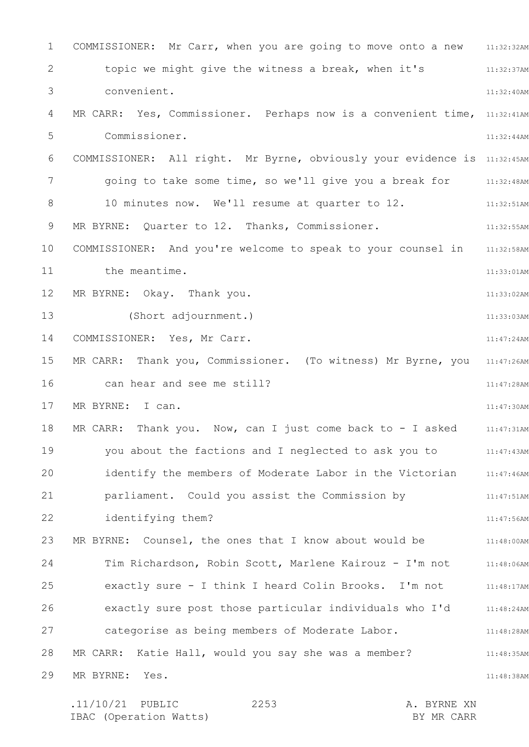1 2 3 4 5 6 7 8 9 10 11 12 13 14 15 16 17 18 19 20 21 22 23 24 25 26 27 28 29 COMMISSIONER: Mr Carr, when you are going to move onto a new 11:32:32AM 11:32:37AM 11:32:40AM MR CARR: Yes, Commissioner. Perhaps now is a convenient time, 11:32:41AM 11:32:44AM COMMISSIONER: All right. Mr Byrne, obviously your evidence is 11:32:45AM going to take some time, so we'll give you a break for a  $11:32:48$ AM 11:32:51AM 11:32:55AM 11:32:58AM 11:33:01AM 11:33:02AM 11:33:03AM 11:47:24AM MR CARR: Thank you, Commissioner. (To witness) Mr Byrne, you 11:47:26AM 11:47:28AM 11:47:30AM 11:47:31AM 11:47:43AM identify the members of Moderate Labor in the Victorian 11:47:46AM 11:47:51AM 11:47:56AM 11:48:00AM Tim Richardson, Robin Scott, Marlene Kairouz - I'm not 11:48:06AM 11:48:17AM 11:48:24AM 11:48:28AM 11:48:35AM 11:48:38AM topic we might give the witness a break, when it's convenient. Commissioner. 10 minutes now. We'll resume at quarter to 12. MR BYRNE: Quarter to 12. Thanks, Commissioner. COMMISSIONER: And you're welcome to speak to your counsel in the meantime. MR BYRNE: Okay. Thank you. (Short adjournment.) COMMISSIONER: Yes, Mr Carr. can hear and see me still? MR BYRNE: I can. MR CARR: Thank you. Now, can I just come back to - I asked you about the factions and I neglected to ask you to parliament. Could you assist the Commission by identifying them? MR BYRNE: Counsel, the ones that I know about would be exactly sure - I think I heard Colin Brooks. I'm not exactly sure post those particular individuals who I'd categorise as being members of Moderate Labor. MR CARR: Katie Hall, would you say she was a member? MR BYRNE: Yes.

| $.11/10/21$ PUBLIC     | 2253 |  | A. BYRNE XN |
|------------------------|------|--|-------------|
| IBAC (Operation Watts) |      |  | BY MR CARR  |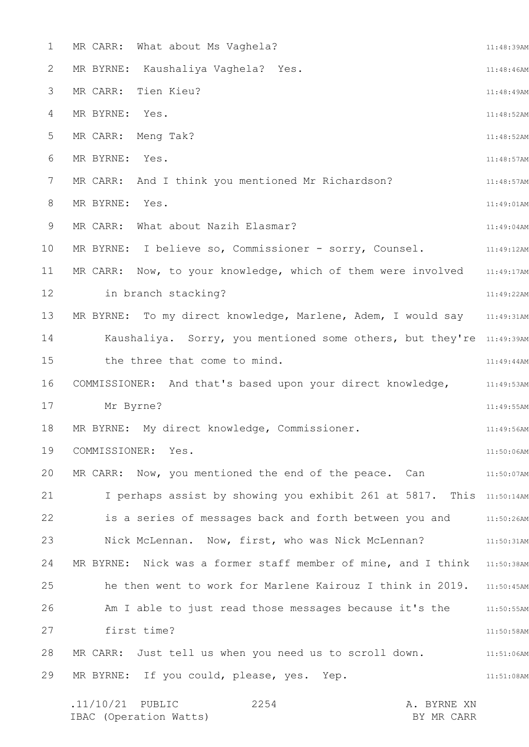| $\mathbf 1$     | MR CARR: What about Ms Vaghela?                                      | 11:48:39AM    |
|-----------------|----------------------------------------------------------------------|---------------|
| 2               | MR BYRNE: Kaushaliya Vaghela? Yes.                                   | 11:48:46AM    |
| 3               | Tien Kieu?<br>MR CARR:                                               | 11:48:49AM    |
| 4               | MR BYRNE: Yes.                                                       | 11:48:52AM    |
| 5               | MR CARR: Meng Tak?                                                   | 11:48:52AM    |
| 6               | MR BYRNE: Yes.                                                       | 11:48:57AM    |
| $7\phantom{.0}$ | MR CARR: And I think you mentioned Mr Richardson?                    | 11:48:57AM    |
| 8               | MR BYRNE: Yes.                                                       | 11:49:01AM    |
| 9               | MR CARR: What about Nazih Elasmar?                                   | 11:49:04AM    |
| 10              | MR BYRNE: I believe so, Commissioner - sorry, Counsel.               | 11:49:12AM    |
| 11              | MR CARR: Now, to your knowledge, which of them were involved         | 11:49:17AM    |
| 12              | in branch stacking?                                                  | 11:49:22AM    |
| 13              | MR BYRNE: To my direct knowledge, Marlene, Adem, I would say         | 11:49:31AM    |
| 14              | Kaushaliya. Sorry, you mentioned some others, but they're 11:49:39AM |               |
| 15              | the three that come to mind.                                         | 11:49:44AM    |
| 16              | COMMISSIONER: And that's based upon your direct knowledge,           | 11:49:53AM    |
| 17              | Mr Byrne?                                                            | 11:49:55AM    |
| 18              | MR BYRNE: My direct knowledge, Commissioner.                         | 11:49:56AM    |
| 19              | COMMISSIONER: Yes.                                                   | 11:50:06AM    |
| 20              | MR CARR: Now, you mentioned the end of the peace. Can                | 11:50:07AM    |
| 21              | I perhaps assist by showing you exhibit 261 at 5817. This 11:50:14AM |               |
| 22              | is a series of messages back and forth between you and               | $11:50:26$ AM |
| 23              | Nick McLennan. Now, first, who was Nick McLennan?                    | 11:50:31AM    |
| 24              | MR BYRNE: Nick was a former staff member of mine, and I think        | 11:50:38AM    |
| 25              | he then went to work for Marlene Kairouz I think in 2019.            | 11:50:45AM    |
| 26              | Am I able to just read those messages because it's the               | 11:50:55AM    |
| 27              | first time?                                                          | 11:50:58AM    |
| 28              | MR CARR: Just tell us when you need us to scroll down.               | 11:51:06AM    |
| 29              | MR BYRNE: If you could, please, yes. Yep.                            | 11:51:08AM    |
|                 |                                                                      |               |

.11/10/21 PUBLIC 2254 A. BYRNE XN IBAC (Operation Watts) BY MR CARR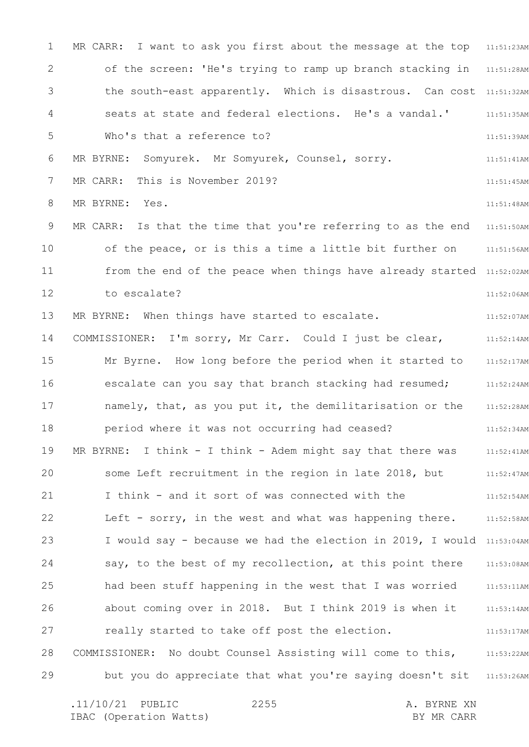1 2 3 4 5 6 7 8 9 10 11 12 13 14 15 16 17 18 19 20 21 22 23 24 25 26 27 28 29 MR CARR: I want to ask you first about the message at the top 11:51:23AM of the screen: 'He's trying to ramp up branch stacking in 11:51:28AM the south-east apparently. Which is disastrous. Can cost 11:51:32AM 11:51:35AM 11:51:39AM 11:51:41AM 11:51:45AM 11:51:48AM MR CARR: Is that the time that you're referring to as the end 11:51:50AM 11:51:56AM from the end of the peace when things have already started 11:52:02AM 11:52:06AM 11:52:07AM 11:52:14AM 11:52:17AM 11:52:24AM 11:52:28AM 11:52:34AM 11:52:41AM 11:52:47AM 11:52:54AM 11:52:58AM I would say - because we had the election in 2019, I would 11:53:04AM 11:53:08AM 11:53:11AM 11:53:14AM 11:53:17AM COMMISSIONER: No doubt Counsel Assisting will come to this, 11:53:22AM but you do appreciate that what you're saying doesn't sit 31:53:26AM seats at state and federal elections. He's a vandal.' Who's that a reference to? MR BYRNE: Somyurek. Mr Somyurek, Counsel, sorry. MR CARR: This is November 2019? MR BYRNE: Yes. of the peace, or is this a time a little bit further on to escalate? MR BYRNE: When things have started to escalate. COMMISSIONER: I'm sorry, Mr Carr. Could I just be clear, Mr Byrne. How long before the period when it started to escalate can you say that branch stacking had resumed; namely, that, as you put it, the demilitarisation or the period where it was not occurring had ceased? MR BYRNE: I think - I think - Adem might say that there was some Left recruitment in the region in late 2018, but I think - and it sort of was connected with the Left - sorry, in the west and what was happening there. say, to the best of my recollection, at this point there had been stuff happening in the west that I was worried about coming over in 2018. But I think 2019 is when it really started to take off post the election.

.11/10/21 PUBLIC 2255 A. BYRNE XN IBAC (Operation Watts) and the set of the BY MR CARR BY MR CARR 2255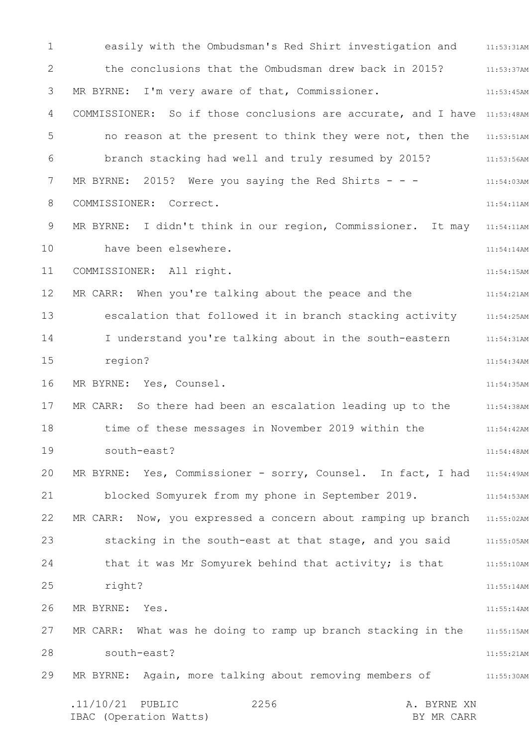1 2 3 4 5 6 7 8 9 10 11 12 13 14 15 16 17 18 19 20 21 22 23 24 25 26 27 28 29 easily with the Ombudsman's Red Shirt investigation and 11:53:31AM 11:53:37AM 11:53:45AM COMMISSIONER: So if those conclusions are accurate, and I have 11:53:48AM no reason at the present to think they were not, then the 11:53:51AM 11:53:56AM 11:54:03AM 11:54:11AM MR BYRNE: I didn't think in our region, Commissioner. It may 11:54:11AM 11:54:14AM 11:54:15AM 11:54:21AM escalation that followed it in branch stacking activity 11:54:25AM 11:54:31AM 11:54:34AM 11:54:35AM 11:54:38AM 11:54:42AM 11:54:48AM MR BYRNE: Yes, Commissioner - sorry, Counsel. In fact, I had 11:54:49AM 11:54:53AM MR CARR: Now, you expressed a concern about ramping up branch 11:55:02AM stacking in the south-east at that stage, and you said 11:55:05AM that it was Mr Somyurek behind that activity; is that 11:55:10AM 11:55:14AM 11:55:14AM MR CARR: What was he doing to ramp up branch stacking in the 11:55:15AM 11:55:21AM 11:55:30AM .11/10/21 PUBLIC 2256 A. BYRNE XN IBAC (Operation Watts) BY MR CARR 2256 the conclusions that the Ombudsman drew back in 2015? MR BYRNE: I'm very aware of that, Commissioner. branch stacking had well and truly resumed by 2015? MR BYRNE: 2015? Were you saying the Red Shirts  $- -$ COMMISSIONER: Correct. have been elsewhere. COMMISSIONER: All right. MR CARR: When you're talking about the peace and the I understand you're talking about in the south-eastern region? MR BYRNE: Yes, Counsel. MR CARR: So there had been an escalation leading up to the time of these messages in November 2019 within the south-east? blocked Somyurek from my phone in September 2019. right? MR BYRNE: Yes. south-east? MR BYRNE: Again, more talking about removing members of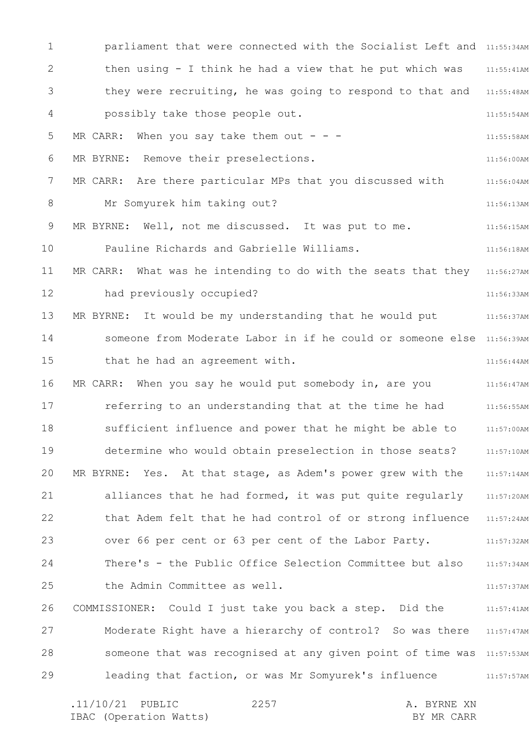1 2 3 4 5 6 7 8 9 10 11 12 13 14 15 16 17 18 19 20 21 22 23 24 25 26 27 28 29 parliament that were connected with the Socialist Left and 11:55:34AM 11:55:41AM they were recruiting, he was going to respond to that and 11:55:48AM 11:55:54AM 11:55:58AM 11:56:00AM 11:56:04AM 11:56:13AM 11:56:15AM 11:56:18AM MR CARR: What was he intending to do with the seats that they  $11:56:27$ AM 11:56:33AM 11:56:37AM someone from Moderate Labor in if he could or someone else 11:56:39AM 11:56:44AM 11:56:47AM 11:56:55AM 11:57:00AM 11:57:10AM 11:57:14AM 11:57:20AM that Adem felt that he had control of or strong influence 11:57:24AM 11:57:32AM 11:57:34AM 11:57:37AM 11:57:41AM Moderate Right have a hierarchy of control? So was there 11:57:47AM someone that was recognised at any given point of time was 11:57:53AM leading that faction, or was Mr Somyurek's influence 11:57:57AM then using - I think he had a view that he put which was possibly take those people out. MR CARR: When you say take them out  $- -$ MR BYRNE: Remove their preselections. MR CARR: Are there particular MPs that you discussed with Mr Somyurek him taking out? MR BYRNE: Well, not me discussed. It was put to me. Pauline Richards and Gabrielle Williams. had previously occupied? MR BYRNE: It would be my understanding that he would put that he had an agreement with. MR CARR: When you say he would put somebody in, are you referring to an understanding that at the time he had sufficient influence and power that he might be able to determine who would obtain preselection in those seats? MR BYRNE: Yes. At that stage, as Adem's power grew with the alliances that he had formed, it was put quite regularly over 66 per cent or 63 per cent of the Labor Party. There's - the Public Office Selection Committee but also the Admin Committee as well. COMMISSIONER: Could I just take you back a step. Did the

.11/10/21 PUBLIC 2257 A. BYRNE XN IBAC (Operation Watts) and the set of the BY MR CARR BY MR CARR 2257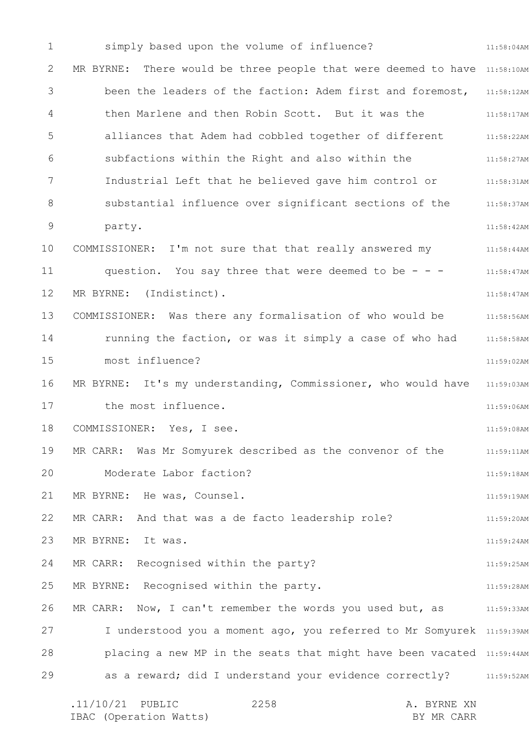1 2 3 4 5 6 7 8 9 10 11 12 13 14 15 16 17 18 19 20 21 22 23 24 25 26 27 28 29 11:58:04AM MR BYRNE: There would be three people that were deemed to have 11:58:10AM been the leaders of the faction: Adem first and foremost, 11:58:12AM then Marlene and then Robin Scott. But it was the 11:58:17AM alliances that Adem had cobbled together of different 11:58:22AM 11:58:27AM 11:58:31AM substantial influence over significant sections of the 11:58:37AM 11:58:42AM 11:58:44AM 11:58:47AM 11:58:47AM 11:58:56AM 11:58:58AM 11:59:02AM MR BYRNE: It's my understanding, Commissioner, who would have 11:59:03AM 11:59:06AM 11:59:08AM 11:59:11AM 11:59:18AM 11:59:19AM 11:59:20AM 11:59:24AM 11:59:25AM 11:59:28AM 11:59:33AM I understood you a moment ago, you referred to Mr Somyurek 11:59:39AM placing a new MP in the seats that might have been vacated 11:59:44AM as a reward; did I understand your evidence correctly? 31:59:52AM simply based upon the volume of influence? subfactions within the Right and also within the Industrial Left that he believed gave him control or party. COMMISSIONER: I'm not sure that that really answered my question. You say three that were deemed to be  $-$  -MR BYRNE: (Indistinct). COMMISSIONER: Was there any formalisation of who would be running the faction, or was it simply a case of who had most influence? the most influence. COMMISSIONER: Yes, I see. MR CARR: Was Mr Somyurek described as the convenor of the Moderate Labor faction? MR BYRNE: He was, Counsel. MR CARR: And that was a de facto leadership role? MR BYRNE: It was. MR CARR: Recognised within the party? MR BYRNE: Recognised within the party. MR CARR: Now, I can't remember the words you used but, as

| $.11/10/21$ PUBLIC     | 2258 |  | A. BYRNE XN |
|------------------------|------|--|-------------|
| IBAC (Operation Watts) |      |  | BY MR CARR  |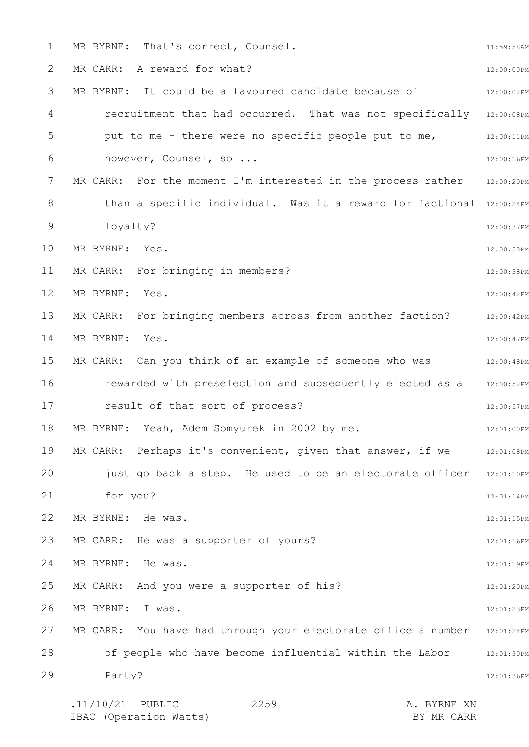| $\mathbf 1$ | MR BYRNE: That's correct, Counsel.                                   | 11:59:58AM |
|-------------|----------------------------------------------------------------------|------------|
| 2           | MR CARR: A reward for what?                                          | 12:00:00PM |
| 3           | MR BYRNE: It could be a favoured candidate because of                | 12:00:02PM |
| 4           | recruitment that had occurred. That was not specifically             | 12:00:08PM |
| 5           | put to me - there were no specific people put to me,                 | 12:00:11PM |
| 6           | however, Counsel, so                                                 | 12:00:16PM |
| 7           | MR CARR: For the moment I'm interested in the process rather         | 12:00:20PM |
| 8           | than a specific individual. Was it a reward for factional 12:00:24PM |            |
| $\mathsf 9$ | loyalty?                                                             | 12:00:37PM |
| 10          | MR BYRNE: Yes.                                                       | 12:00:38PM |
| 11          | MR CARR: For bringing in members?                                    | 12:00:38PM |
| 12          | MR BYRNE:<br>Yes.                                                    | 12:00:42PM |
| 13          | MR CARR: For bringing members across from another faction?           | 12:00:42PM |
| 14          | MR BYRNE: Yes.                                                       | 12:00:47PM |
| 15          | MR CARR: Can you think of an example of someone who was              | 12:00:48PM |
| 16          | rewarded with preselection and subsequently elected as a             | 12:00:52PM |
| 17          | result of that sort of process?                                      | 12:00:57PM |
| 18          | MR BYRNE: Yeah, Adem Somyurek in 2002 by me.                         | 12:01:00PM |
| 19          | MR CARR: Perhaps it's convenient, given that answer, if we           | 12:01:08PM |
| 20          | just go back a step. He used to be an electorate officer             | 12:01:10PM |
| 21          | for you?                                                             | 12:01:14PM |
| 22          | MR BYRNE: He was.                                                    | 12:01:15PM |
| 23          | MR CARR: He was a supporter of yours?                                | 12:01:16PM |
| 24          | MR BYRNE:<br>He was.                                                 | 12:01:19PM |
| 25          | MR CARR: And you were a supporter of his?                            | 12:01:20PM |
| 26          | MR BYRNE: I was.                                                     | 12:01:23PM |
| 27          | MR CARR: You have had through your electorate office a number        | 12:01:24PM |
| 28          | of people who have become influential within the Labor               | 12:01:30PM |
| 29          | Party?                                                               | 12:01:36PM |
|             | $.11/10/21$ PUBLIC<br>2259<br>A. BYRNE XN                            |            |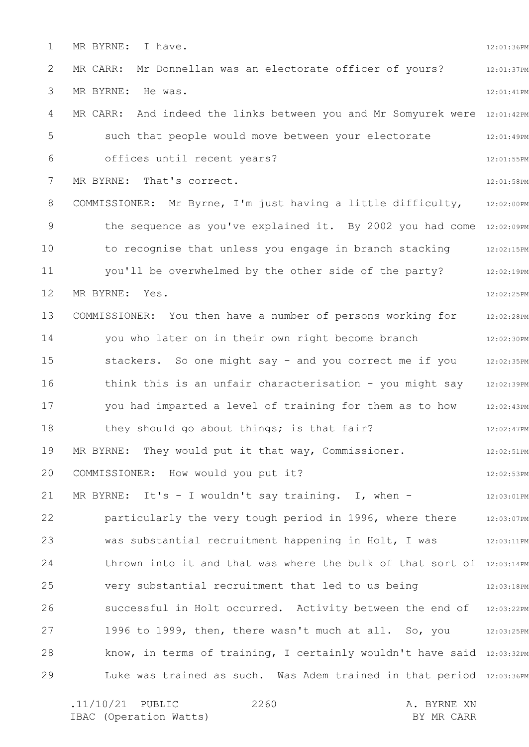1 2 3 4 5 6 7 8 9 10 11 12 13 14 15 16 17 18 19 20 21 22 23 24 25 26 27 28 29 12:01:36PM 12:01:37PM 12:01:41PM MR CARR: And indeed the links between you and Mr Somyurek were 12:01:42PM 12:01:49PM 12:01:55PM 12:01:58PM COMMISSIONER: Mr Byrne, I'm just having a little difficulty, 12:02:00PM the sequence as you've explained it. By 2002 you had come 12:02:09PM 12:02:15PM 12:02:19PM 12:02:25PM 12:02:28PM 12:02:30PM 12:02:35PM think this is an unfair characterisation - you might say 12:02:39PM 12:02:43PM 12:02:47PM 12:02:51PM 12:02:53PM 12:03:01PM 12:03:07PM was substantial recruitment happening in Holt, I was  $12:03:11\text{PM}$ thrown into it and that was where the bulk of that sort of 12:03:14PM 12:03:18PM successful in Holt occurred. Activity between the end of 12:03:22PM 1996 to 1999, then, there wasn't much at all. So, you 12:03:25PM know, in terms of training, I certainly wouldn't have said 12:03:32PM Luke was trained as such. Was Adem trained in that period 12:03:36PM MR BYRNE: I have. MR CARR: Mr Donnellan was an electorate officer of yours? MR BYRNE: He was. such that people would move between your electorate offices until recent years? MR BYRNE: That's correct. to recognise that unless you engage in branch stacking you'll be overwhelmed by the other side of the party? MR BYRNE: Yes. COMMISSIONER: You then have a number of persons working for you who later on in their own right become branch stackers. So one might say - and you correct me if you you had imparted a level of training for them as to how they should go about things; is that fair? MR BYRNE: They would put it that way, Commissioner. COMMISSIONER: How would you put it? MR BYRNE: It's  $-$  I wouldn't say training. I, when  $$ particularly the very tough period in 1996, where there very substantial recruitment that led to us being

.11/10/21 PUBLIC 2260 A. BYRNE XN IBAC (Operation Watts) and the set of the BY MR CARR BY MR CARR 2260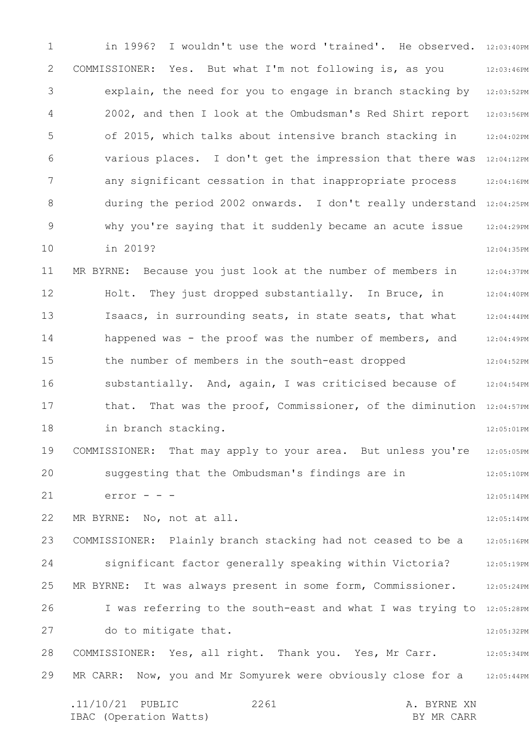1 2 3 4 5 6 7 8 9 10 11 12 13 14 15 16 17 18 19 20 21 22 23 24 25 26 27 28 29 in 1996? I wouldn't use the word 'trained'. He observed. 12:03:40PM 12:03:46PM 12:03:52PM 12:03:56PM 12:04:02PM various places. I don't get the impression that there was 12:04:12PM 12:04:16PM during the period 2002 onwards. I don't really understand 12:04:25PM 12:04:29PM 12:04:35PM 12:04:37PM 12:04:40PM 12:04:44PM 12:04:49PM 12:04:52PM 12:04:54PM that. That was the proof, Commissioner, of the diminution 12:04:57PM 12:05:01PM 12:05:05PM 12:05:10PM 12:05:14PM 12:05:14PM 12:05:16PM 12:05:19PM 12:05:24PM I was referring to the south-east and what I was trying to 12:05:28PM 12:05:32PM 12:05:34PM 12:05:44PM .11/10/21 PUBLIC 2261 A. BYRNE XN IBAC (Operation Watts) and the set of the BY MR CARR BY MR CARR 2261 COMMISSIONER: Yes. But what I'm not following is, as you explain, the need for you to engage in branch stacking by 2002, and then I look at the Ombudsman's Red Shirt report of 2015, which talks about intensive branch stacking in any significant cessation in that inappropriate process why you're saying that it suddenly became an acute issue in 2019? MR BYRNE: Because you just look at the number of members in Holt. They just dropped substantially. In Bruce, in Isaacs, in surrounding seats, in state seats, that what happened was - the proof was the number of members, and the number of members in the south-east dropped substantially. And, again, I was criticised because of in branch stacking. COMMISSIONER: That may apply to your area. But unless you're suggesting that the Ombudsman's findings are in  $error - -$ MR BYRNE: No, not at all. COMMISSIONER: Plainly branch stacking had not ceased to be a significant factor generally speaking within Victoria? MR BYRNE: It was always present in some form, Commissioner. do to mitigate that. COMMISSIONER: Yes, all right. Thank you. Yes, Mr Carr. MR CARR: Now, you and Mr Somyurek were obviously close for a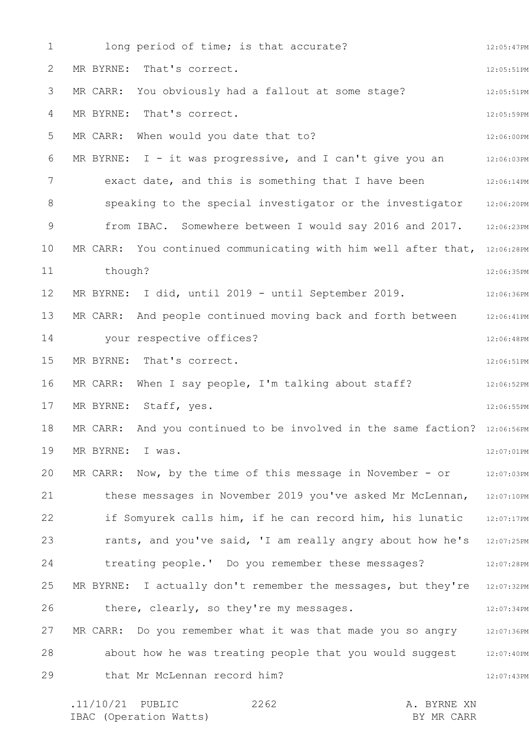1 2 3 4 5 6 7 8 9 10 11 12 13 14 15 16 17 18 19 20 21 22 23 24 25 26 27 28 29 12:05:47PM 12:05:51PM 12:05:51PM 12:05:59PM 12:06:00PM 12:06:03PM 12:06:14PM speaking to the special investigator or the investigator 12:06:20PM 12:06:23PM MR CARR: You continued communicating with him well after that, 12:06:28PM 12:06:35PM 12:06:36PM 12:06:41PM 12:06:48PM 12:06:51PM 12:06:52PM 12:06:55PM MR CARR: And you continued to be involved in the same faction? 12:06:56PM 12:07:01PM MR CARR: Now, by the time of this message in November - or 12:07:03PM these messages in November 2019 you've asked Mr McLennan, 12:07:10PM 12:07:17PM rants, and you've said, 'I am really angry about how he's 12:07:25PM 12:07:28PM MR BYRNE: I actually don't remember the messages, but they're  $\,$  12:07:32PM  $\,$ 12:07:34PM MR CARR: Do you remember what it was that made you so angry 12:07:36PM 12:07:40PM 12:07:43PM .11/10/21 PUBLIC 2262 A. BYRNE XN 2262 long period of time; is that accurate? MR BYRNE: That's correct. MR CARR: You obviously had a fallout at some stage? MR BYRNE: That's correct. MR CARR: When would you date that to? MR BYRNE: I - it was progressive, and I can't give you an exact date, and this is something that I have been from IBAC. Somewhere between I would say 2016 and 2017. though? MR BYRNE: I did, until 2019 - until September 2019. MR CARR: And people continued moving back and forth between your respective offices? MR BYRNE: That's correct. MR CARR: When I say people, I'm talking about staff? MR BYRNE: Staff, yes. MR BYRNE: I was. if Somyurek calls him, if he can record him, his lunatic treating people.' Do you remember these messages? there, clearly, so they're my messages. about how he was treating people that you would suggest that Mr McLennan record him?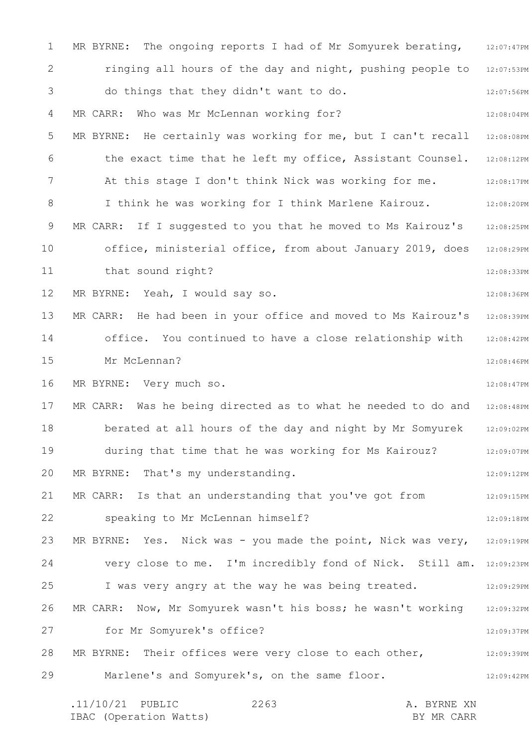1 2 3 4 5 6 7 8 9 10 11 12 13 14 15 16 17 18 19 20 21 22 23 24 25 26 27 28 29 MR BYRNE: The ongoing reports I had of Mr Somyurek berating, 12:07:47PM ringing all hours of the day and night, pushing people to 12:07:53PM 12:07:56PM 12:08:04PM MR BYRNE: He certainly was working for me, but I can't recall 12:08:08PM 12:08:12PM 12:08:17PM 12:08:20PM 12:08:25PM 12:08:29PM 12:08:33PM 12:08:36PM 12:08:39PM 12:08:42PM 12:08:46PM 12:08:47PM MR CARR: Was he being directed as to what he needed to do and 12:08:48PM 12:09:02PM 12:09:07PM 12:09:12PM 12:09:15PM 12:09:18PM MR BYRNE: Yes. Nick was - you made the point, Nick was very, 12:09:19PM very close to me. I'm incredibly fond of Nick. Still am. 12:09:23PM 12:09:29PM 12:09:32PM 12:09:37PM 12:09:39PM 12:09:42PM .11/10/21 PUBLIC 2263 A. BYRNE XN 2263 do things that they didn't want to do. MR CARR: Who was Mr McLennan working for? the exact time that he left my office, Assistant Counsel. At this stage I don't think Nick was working for me. I think he was working for I think Marlene Kairouz. MR CARR: If I suggested to you that he moved to Ms Kairouz's office, ministerial office, from about January 2019, does that sound right? MR BYRNE: Yeah, I would say so. MR CARR: He had been in your office and moved to Ms Kairouz's office. You continued to have a close relationship with Mr McLennan? MR BYRNE: Very much so. berated at all hours of the day and night by Mr Somyurek during that time that he was working for Ms Kairouz? MR BYRNE: That's my understanding. MR CARR: Is that an understanding that you've got from speaking to Mr McLennan himself? I was very angry at the way he was being treated. MR CARR: Now, Mr Somyurek wasn't his boss; he wasn't working for Mr Somyurek's office? MR BYRNE: Their offices were very close to each other, Marlene's and Somyurek's, on the same floor.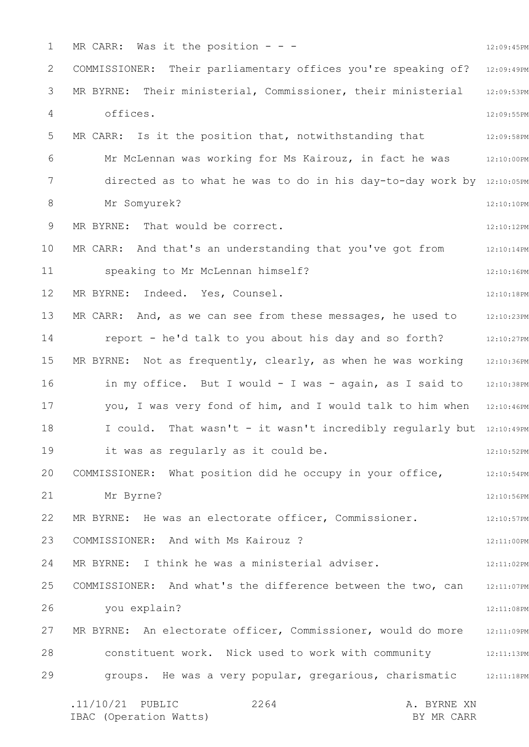1 2 3 4 5 6 7 8 9 10 11 12 13 14 15 16 17 18 19 20 21 22 23 24 25 26 27 28 29 12:09:45PM COMMISSIONER: Their parliamentary offices you're speaking of? 12:09:49PM 12:09:53PM 12:09:55PM 12:09:58PM 12:10:00PM directed as to what he was to do in his day-to-day work by 12:10:05PM 12:10:10PM 12:10:12PM 12:10:14PM 12:10:16PM 12:10:18PM 12:10:23PM 12:10:27PM MR BYRNE: Not as frequently, clearly, as when he was working  $12:10:36$ PM in my office. But I would - I was - again, as I said to 12:10:38PM you, I was very fond of him, and I would talk to him when 12:10:46PM I could. That wasn't - it wasn't incredibly regularly but 12:10:49PM 12:10:52PM 12:10:54PM 12:10:56PM 12:10:57PM 12:11:00PM 12:11:02PM 12:11:07PM 12:11:08PM MR BYRNE: An electorate officer, Commissioner, would do more 12:11:09PM 12:11:13PM groups. He was a very popular, gregarious, charismatic 12:11:18PM .11/10/21 PUBLIC 2264 A. BYRNE XN 2264 MR CARR: Was it the position  $- -$ MR BYRNE: Their ministerial, Commissioner, their ministerial offices. MR CARR: Is it the position that, notwithstanding that Mr McLennan was working for Ms Kairouz, in fact he was Mr Somyurek? MR BYRNE: That would be correct. MR CARR: And that's an understanding that you've got from speaking to Mr McLennan himself? MR BYRNE: Indeed. Yes, Counsel. MR CARR: And, as we can see from these messages, he used to report - he'd talk to you about his day and so forth? it was as regularly as it could be. COMMISSIONER: What position did he occupy in your office, Mr Byrne? MR BYRNE: He was an electorate officer, Commissioner. COMMISSIONER: And with Ms Kairouz ? MR BYRNE: I think he was a ministerial adviser. COMMISSIONER: And what's the difference between the two, can you explain? constituent work. Nick used to work with community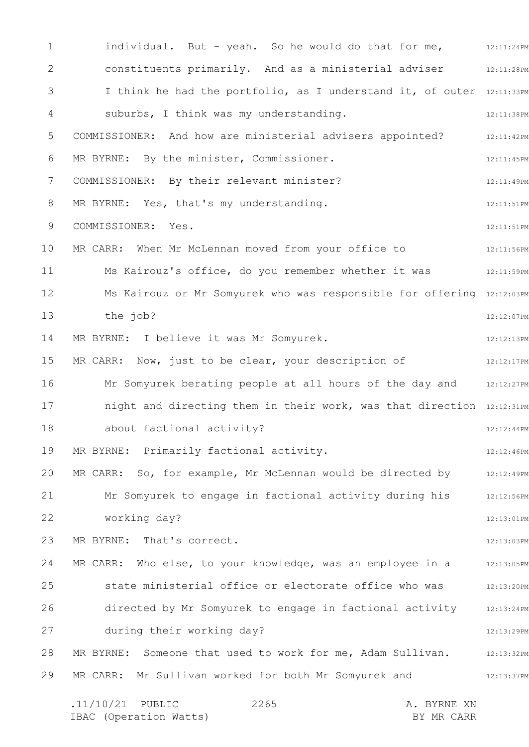1 2 3 4 5 6 7 8 9 10 11 12 13 14 15 16 17 18 19 20 21 22 23 24 25 26 27 28 29 individual. But - yeah. So he would do that for me, 12:11:24PM 12:11:28PM I think he had the portfolio, as I understand it, of outer 12:11:33PM 12:11:38PM 12:11:42PM 12:11:45PM 12:11:49PM 12:11:51PM 12:11:51PM 12:11:56PM 12:11:59PM Ms Kairouz or Mr Somyurek who was responsible for offering 12:12:03PM 12:12:07PM 12:12:13PM 12:12:17PM Mr Somyurek berating people at all hours of the day and and 12:12:27PM night and directing them in their work, was that direction 12:12:31PM 12:12:44PM 12:12:46PM MR CARR: So, for example, Mr McLennan would be directed by 12:12:49PM 12:12:56PM 12:13:01PM 12:13:03PM MR CARR: Who else, to your knowledge, was an employee in a  $_{12:13:05PM}$ 12:13:20PM 12:13:24PM 12:13:29PM MR BYRNE: Someone that used to work for me, Adam Sullivan. 12:13:32PM 12:13:37PM .11/10/21 PUBLIC 2265 A. BYRNE XN 2265 constituents primarily. And as a ministerial adviser suburbs, I think was my understanding. COMMISSIONER: And how are ministerial advisers appointed? MR BYRNE: By the minister, Commissioner. COMMISSIONER: By their relevant minister? MR BYRNE: Yes, that's my understanding. COMMISSIONER: Yes. MR CARR: When Mr McLennan moved from your office to Ms Kairouz's office, do you remember whether it was the job? MR BYRNE: I believe it was Mr Somyurek. MR CARR: Now, just to be clear, your description of about factional activity? MR BYRNE: Primarily factional activity. Mr Somyurek to engage in factional activity during his working day? MR BYRNE: That's correct. state ministerial office or electorate office who was directed by Mr Somyurek to engage in factional activity during their working day? MR CARR: Mr Sullivan worked for both Mr Somyurek and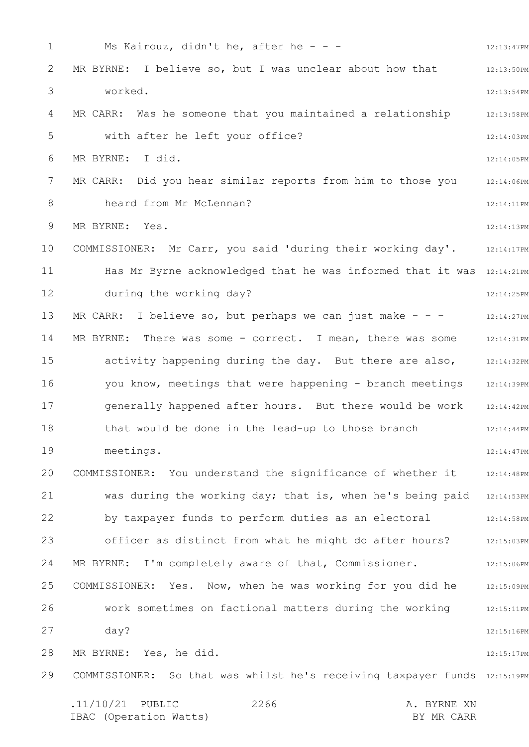1 2 3 4 5 6 7 8 9 10 11 12 13 14 15 16 17 18 19 20 21 22 23 24 25 26 27 28 29 12:13:47PM 12:13:50PM 12:13:54PM 12:13:58PM 12:14:03PM 12:14:05PM 12:14:06PM 12:14:11PM 12:14:13PM 12:14:17PM Has Mr Byrne acknowledged that he was informed that it was 12:14:21PM 12:14:25PM 12:14:27PM 12:14:31PM activity happening during the day. But there are also, 12:14:32PM you know, meetings that were happening - branch meetings 12:14:39PM 12:14:42PM 12:14:44PM 12:14:47PM COMMISSIONER: You understand the significance of whether it 12:14:48PM was during the working day; that is, when he's being paid 12:14:53PM 12:14:58PM officer as distinct from what he might do after hours? 32:15:03PM 12:15:06PM 12:15:09PM 12:15:11PM 12:15:16PM 12:15:17PM COMMISSIONER: So that was whilst he's receiving taxpayer funds 12:15:19PM .11/10/21 PUBLIC 2266 A. BYRNE XN 2266 Ms Kairouz, didn't he, after he - - -MR BYRNE: I believe so, but I was unclear about how that worked. MR CARR: Was he someone that you maintained a relationship with after he left your office? MR BYRNE: I did. MR CARR: Did you hear similar reports from him to those you heard from Mr McLennan? MR BYRNE: Yes. COMMISSIONER: Mr Carr, you said 'during their working day'. during the working day? MR CARR: I believe so, but perhaps we can just make  $- -$ MR BYRNE: There was some - correct. I mean, there was some generally happened after hours. But there would be work that would be done in the lead-up to those branch meetings. by taxpayer funds to perform duties as an electoral MR BYRNE: I'm completely aware of that, Commissioner. COMMISSIONER: Yes. Now, when he was working for you did he work sometimes on factional matters during the working day? MR BYRNE: Yes, he did.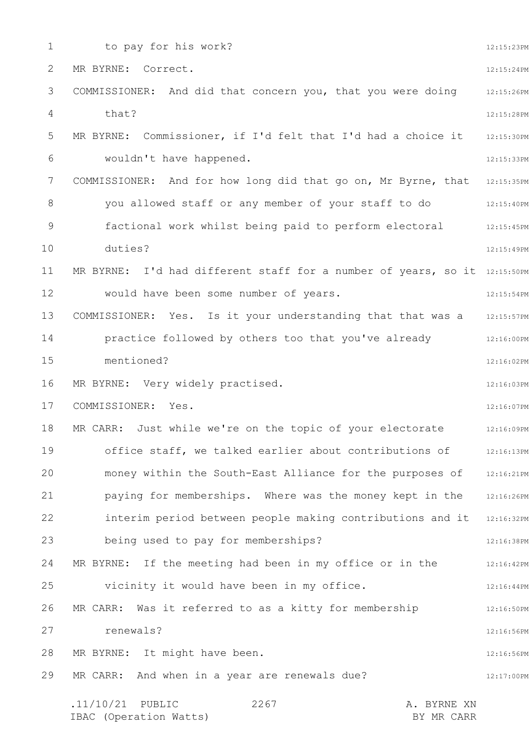1 2 3 4 5 6 7 8 9 10 11 12 13 14 15 16 17 18 19 20 21 22 23 24 25 26 27 28 29 12:15:23PM 12:15:24PM 12:15:26PM 12:15:28PM 12:15:30PM 12:15:33PM COMMISSIONER: And for how long did that go on, Mr Byrne, that 12:15:35PM 12:15:40PM you allowed staff or any member of your staff to do 12:15:45PM 12:15:49PM MR BYRNE: I'd had different staff for a number of years, so it 12:15:50PM 12:15:54PM 12:15:57PM 12:16:00PM 12:16:02PM 12:16:03PM 12:16:07PM 12:16:09PM 12:16:13PM money within the South-East Alliance for the purposes of 12:16:21PM 12:16:26PM interim period between people making contributions and it 12:16:32PM 12:16:38PM 12:16:42PM 12:16:44PM 12:16:50PM 12:16:56PM 12:16:56PM 12:17:00PM .11/10/21 PUBLIC 2267 A. BYRNE XN IBAC (Operation Watts) BY MR CARR 2267 to pay for his work? MR BYRNE: Correct. COMMISSIONER: And did that concern you, that you were doing that? MR BYRNE: Commissioner, if I'd felt that I'd had a choice it wouldn't have happened. factional work whilst being paid to perform electoral duties? would have been some number of years. COMMISSIONER: Yes. Is it your understanding that that was a practice followed by others too that you've already mentioned? MR BYRNE: Very widely practised. COMMISSIONER: Yes. MR CARR: Just while we're on the topic of your electorate office staff, we talked earlier about contributions of paying for memberships. Where was the money kept in the being used to pay for memberships? MR BYRNE: If the meeting had been in my office or in the vicinity it would have been in my office. MR CARR: Was it referred to as a kitty for membership renewals? MR BYRNE: It might have been. MR CARR: And when in a year are renewals due?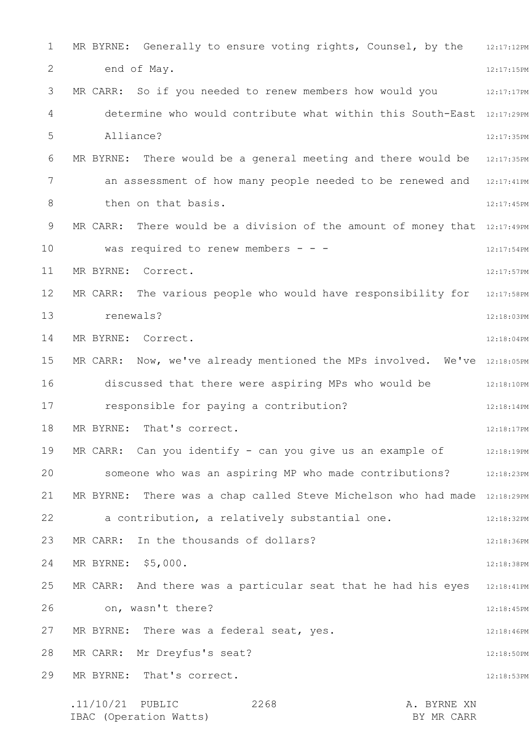1 2 3 4 5 6 7 8 9 10 11 12 13 14 15 16 17 18 19 20 21 22 23 24 25 26 27 28 29 MR BYRNE: Generally to ensure voting rights, Counsel, by the  $12:17:12$ PM 12:17:15PM MR CARR: So if you needed to renew members how would you  $_{12:17:17}$ PM determine who would contribute what within this South-East 12:17:29PM 12:17:35PM MR BYRNE: There would be a general meeting and there would be  $12:17:35PM$ an assessment of how many people needed to be renewed and 12:17:41PM 12:17:45PM MR CARR: There would be a division of the amount of money that  $12:17:49PM$ 12:17:54PM 12:17:57PM MR CARR: The various people who would have responsibility for 12:17:58PM 12:18:03PM 12:18:04PM MR CARR:  $\,$  Now, we've already mentioned the MPs involved.  $\,$  We've  $\,$  12:18:05PM  $\,$ discussed that there were aspiring MPs who would be  $12:18:10PM$ 12:18:14PM 12:18:17PM MR CARR: Can you identify - can you give us an example of  $12:18:19PM$ someone who was an aspiring MP who made contributions? 12:18:23PM MR BYRNE: There was a chap called Steve Michelson who had made 12:18:29PM 12:18:32PM 12:18:36PM 12:18:38PM MR CARR: And there was a particular seat that he had his eyes  $\,$  12:18:41PM  $\,$ 12:18:45PM 12:18:46PM 12:18:50PM 12:18:53PM .11/10/21 PUBLIC 2268 A. BYRNE XN 2268 end of May. Alliance? then on that basis. was required to renew members - - -MR BYRNE: Correct. renewals? MR BYRNE: Correct. responsible for paying a contribution? MR BYRNE: That's correct. a contribution, a relatively substantial one. MR CARR: In the thousands of dollars? MR BYRNE: \$5,000. on, wasn't there? MR BYRNE: There was a federal seat, yes. MR CARR: Mr Dreyfus's seat? MR BYRNE: That's correct.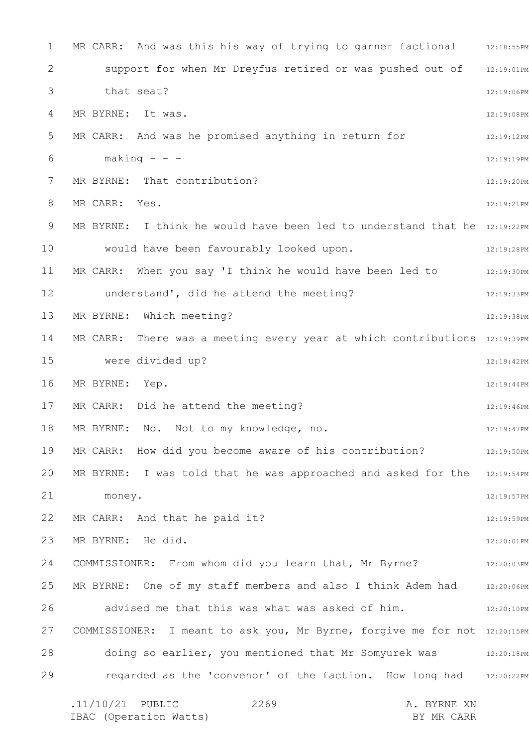1 2 3 4 5 6 7 8 9 10 11 12 13 14 15 16 17 18 19 20 21 22 23 24 25 26 27 28 29 MR CARR: And was this his way of trying to garner factional  $\qquad \qquad 12:18:55\text{PM}$ 12:19:01PM 12:19:06PM 12:19:08PM 12:19:12PM 12:19:19PM 12:19:20PM 12:19:21PM MR BYRNE: I think he would have been led to understand that he 12:19:22PM 12:19:28PM MR CARR: When you say 'I think he would have been led to stars: 12:19:30PM 12:19:33PM 12:19:38PM MR CARR: There was a meeting every year at which contributions 12:19:39PM 12:19:42PM 12:19:44PM 12:19:46PM 12:19:47PM 12:19:50PM MR BYRNE: I was told that he was approached and asked for the 12:19:54PM 12:19:57PM 12:19:59PM 12:20:01PM COMMISSIONER: From whom did you learn that, Mr Byrne? 12:20:03PM 12:20:06PM 12:20:10PM COMMISSIONER: I meant to ask you, Mr Byrne, forgive me for not 12:20:15PM doing so earlier, you mentioned that Mr Somyurek was 312:20:18PM regarded as the 'convenor' of the faction. How long had 12:20:22PM .11/10/21 PUBLIC 2269 A. BYRNE XN 2269 support for when Mr Dreyfus retired or was pushed out of that seat? MR BYRNE: It was. MR CARR: And was he promised anything in return for  $making - -$ MR BYRNE: That contribution? MR CARR: Yes. would have been favourably looked upon. understand', did he attend the meeting? MR BYRNE: Which meeting? were divided up? MR BYRNE: Yep. MR CARR: Did he attend the meeting? MR BYRNE: No. Not to my knowledge, no. MR CARR: How did you become aware of his contribution? money. MR CARR: And that he paid it? MR BYRNE: He did. MR BYRNE: One of my staff members and also I think Adem had advised me that this was what was asked of him.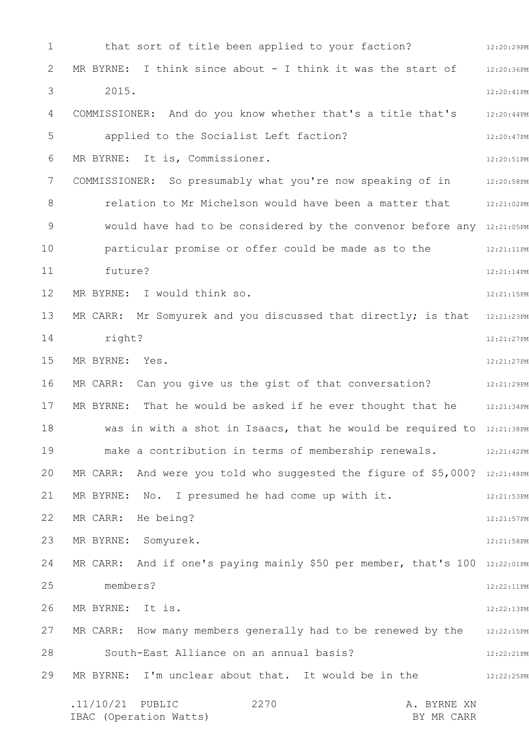1 2 3 4 5 6 7 8 9 10 11 12 13 14 15 16 17 18 19 20 21 22 23 24 25 26 27 28 29 12:20:29PM 12:20:36PM 12:20:41PM COMMISSIONER: And do you know whether that's a title that's 12:20:44PM 12:20:47PM 12:20:51PM COMMISSIONER: So presumably what you're now speaking of in 12:20:58PM relation to Mr Michelson would have been a matter that 12:21:02PM would have had to be considered by the convenor before any 12:21:05PM 12:21:11PM 12:21:14PM 12:21:15PM MR CARR: Mr Somyurek and you discussed that directly; is that  $12:21:23PM$ 12:21:27PM 12:21:27PM MR CARR: Can you give us the gist of that conversation? The 12:21:29PM MR BYRNE: That he would be asked if he ever thought that he 12:21:34PM was in with a shot in Isaacs, that he would be required to 12:21:38PM make a contribution in terms of membership renewals. 42:21:42PM MR CARR: And were you told who suggested the figure of \$5,000? 12:21:48PM 12:21:53PM 12:21:57PM 12:21:58PM MR CARR: And if one's paying mainly \$50 per member, that's  $100$   $_{12:22:01PM}$ 12:22:11PM 12:22:13PM MR CARR: How many members generally had to be renewed by the  $12:22:15PM$ 12:22:21PM 12:22:25PM .11/10/21 PUBLIC 2270 A. BYRNE XN IBAC (Operation Watts) BY MR CARR 2270 that sort of title been applied to your faction? MR BYRNE: I think since about - I think it was the start of 2015. applied to the Socialist Left faction? MR BYRNE: It is, Commissioner. particular promise or offer could be made as to the future? MR BYRNE: I would think so. right? MR BYRNE: Yes. MR BYRNE: No. I presumed he had come up with it. MR CARR: He being? MR BYRNE: Somyurek. members? MR BYRNE: It is. South-East Alliance on an annual basis? MR BYRNE: I'm unclear about that. It would be in the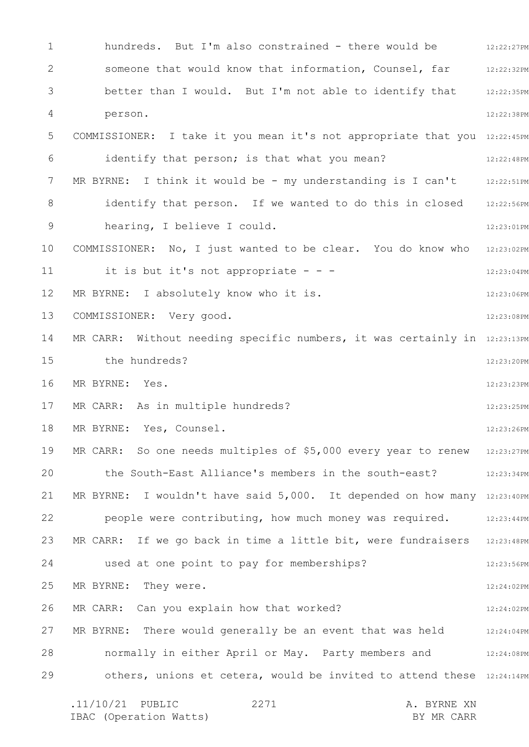1 2 3 4 5 6 7 8 9 10 11 12 13 14 15 16 17 18 19 20 21 22 23 24 25 26 27 28 29 hundreds. But I'm also constrained - there would be  $12:22:27PM$ 12:22:32PM 12:22:35PM 12:22:38PM COMMISSIONER: I take it you mean it's not appropriate that you 12:22:45PM 12:22:48PM MR BYRNE: I think it would be - my understanding is I can't 12:22:51PM identify that person. If we wanted to do this in closed 12:22:56PM 12:23:01PM 12:23:02PM 12:23:04PM 12:23:06PM 12:23:08PM MR CARR: Without needing specific numbers, it was certainly in  $12:23:13PM$ 12:23:20PM 12:23:23PM 12:23:25PM 12:23:26PM MR CARR: So one needs multiples of \$5,000 every year to renew 12:23:27PM 12:23:34PM MR BYRNE: I wouldn't have said 5,000. It depended on how many 12:23:40PM people were contributing, how much money was required. 32:23:44PM MR CARR: If we go back in time a little bit, were fundraisers  $12:23:48PM$ 12:23:56PM 12:24:02PM 12:24:02PM MR BYRNE: There would generally be an event that was held  $12:24:04$ PM normally in either April or May. Party members and 12:24:08PM others, unions et cetera, would be invited to attend these 12:24:14PM .11/10/21 PUBLIC 2271 A. BYRNE XN 2271 someone that would know that information, Counsel, far better than I would. But I'm not able to identify that person. identify that person; is that what you mean? hearing, I believe I could. COMMISSIONER: No, I just wanted to be clear. You do know who it is but it's not appropriate  $- -$ MR BYRNE: I absolutely know who it is. COMMISSIONER: Very good. the hundreds? MR BYRNE: Yes. MR CARR: As in multiple hundreds? MR BYRNE: Yes, Counsel. the South-East Alliance's members in the south-east? used at one point to pay for memberships? MR BYRNE: They were. MR CARR: Can you explain how that worked?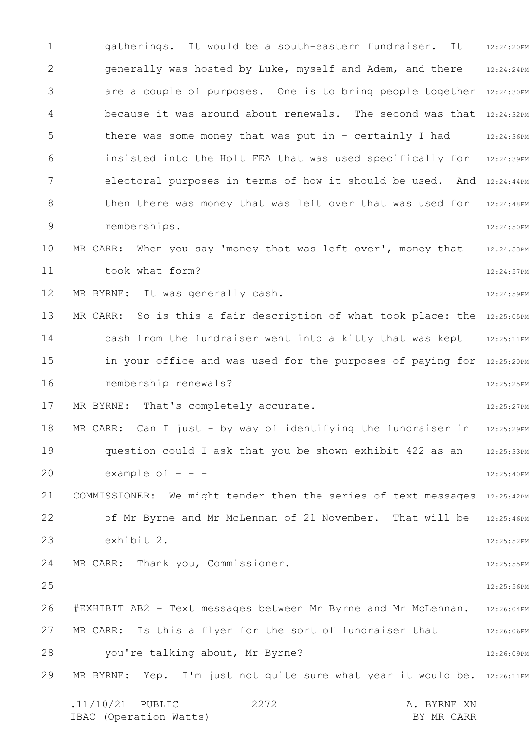1 2 3 4 5 6 7 8 9 10 11 12 13 14 15 16 17 18 19 20 21 22 23 24 25 26 27 28 29 12:24:20PM 12:24:24PM are a couple of purposes. One is to bring people together 12:24:30PM because it was around about renewals. The second was that 12:24:32PM 12:24:36PM insisted into the Holt FEA that was used specifically for 12:24:39PM electoral purposes in terms of how it should be used. And 12:24:44PM 12:24:48PM 12:24:50PM 12:24:53PM 12:24:57PM 12:24:59PM MR CARR: So is this a fair description of what took place: the 12:25:05PM cash from the fundraiser went into a kitty that was kept 12:25:11PM in your office and was used for the purposes of paying for 12:25:20PM 12:25:25PM 12:25:27PM 12:25:29PM 12:25:33PM 12:25:40PM COMMISSIONER: We might tender then the series of text messages 12:25:42PM 12:25:46PM 12:25:52PM 12:25:55PM 12:25:56PM 12:26:04PM 12:26:06PM 12:26:09PM MR BYRNE: Yep. I'm just not quite sure what year it would be. 12:26:11PM .11/10/21 PUBLIC 2272 A. BYRNE XN IBAC (Operation Watts) and the set of the BY MR CARR BY MR CARR 2272 gatherings. It would be a south-eastern fundraiser. It generally was hosted by Luke, myself and Adem, and there there was some money that was put in - certainly I had then there was money that was left over that was used for memberships. MR CARR: When you say 'money that was left over', money that took what form? MR BYRNE: It was generally cash. membership renewals? MR BYRNE: That's completely accurate. MR CARR: Can I just - by way of identifying the fundraiser in question could I ask that you be shown exhibit 422 as an example of  $$ of Mr Byrne and Mr McLennan of 21 November. That will be exhibit 2. MR CARR: Thank you, Commissioner. #EXHIBIT AB2 - Text messages between Mr Byrne and Mr McLennan. MR CARR: Is this a flyer for the sort of fundraiser that you're talking about, Mr Byrne?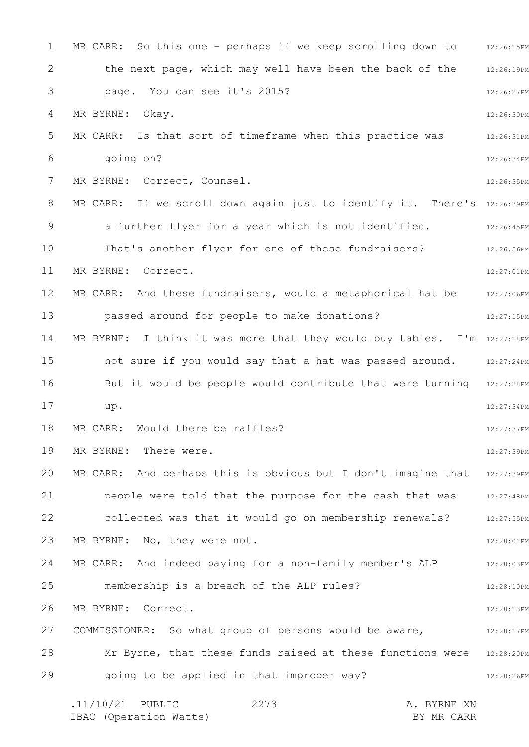1 2 3 4 5 6 7 8 9 10 11 12 13 14 15 16 17 18 19 20 21 22 23 24 25 26 27 28 29 MR CARR: So this one - perhaps if we keep scrolling down to  $12:26:15PM$ 12:26:19PM 12:26:27PM 12:26:30PM 12:26:31PM 12:26:34PM 12:26:35PM MR CARR: If we scroll down again just to identify it. There's 12:26:39PM 12:26:45PM 12:26:56PM 12:27:01PM MR CARR: And these fundraisers, would a metaphorical hat be  $12:27:06PM$ 12:27:15PM MR BYRNE: I think it was more that they would buy tables. I'm 12:27:18PM not sure if you would say that a hat was passed around. 12:27:24PM But it would be people would contribute that were turning 12:27:28PM 12:27:34PM 12:27:37PM 12:27:39PM MR CARR: And perhaps this is obvious but I don't imagine that 12:27:39PM 12:27:48PM 12:27:55PM 12:28:01PM 12:28:03PM 12:28:10PM 12:28:13PM 12:28:17PM Mr Byrne, that these funds raised at these functions were 12:28:20PM 12:28:26PM .11/10/21 PUBLIC 2273 A. BYRNE XN IBAC (Operation Watts) BY MR CARR 2273 the next page, which may well have been the back of the page. You can see it's 2015? MR BYRNE: Okay. MR CARR: Is that sort of timeframe when this practice was going on? MR BYRNE: Correct, Counsel. a further flyer for a year which is not identified. That's another flyer for one of these fundraisers? MR BYRNE: Correct. passed around for people to make donations? up. MR CARR: Would there be raffles? MR BYRNE: There were. people were told that the purpose for the cash that was collected was that it would go on membership renewals? MR BYRNE: No, they were not. MR CARR: And indeed paying for a non-family member's ALP membership is a breach of the ALP rules? MR BYRNE: Correct. COMMISSIONER: So what group of persons would be aware, going to be applied in that improper way?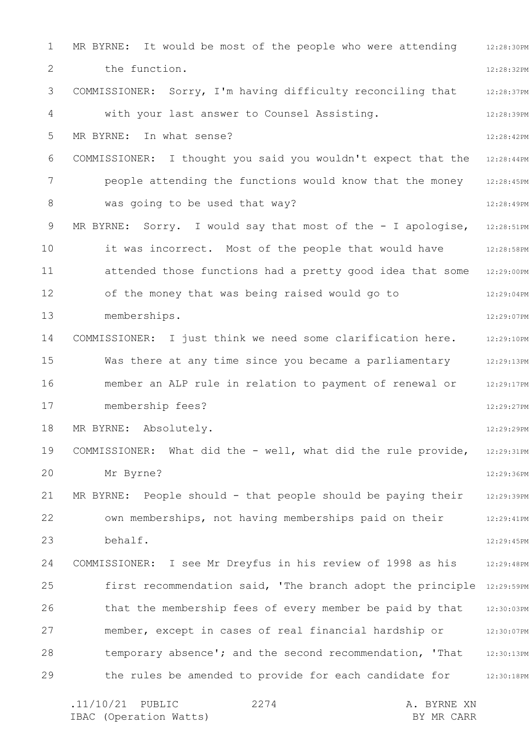1 2 3 4 5 6 7 8 9 10 11 12 13 14 15 16 17 18 19 20 21 22 23 24 25 26 27 28 29 12:28:30PM 12:28:32PM 12:28:37PM 12:28:39PM 12:28:42PM 12:28:44PM 12:28:45PM 12:28:49PM MR BYRNE: Sorry. I would say that most of the - I apologise,  $12:28:51PM$ 12:28:58PM 12:29:00PM 12:29:04PM 12:29:07PM 12:29:10PM Was there at any time since you became a parliamentary  $\qquad \qquad$  12:29:13PM member an ALP rule in relation to payment of renewal or and  $12:29:17$ PM 12:29:27PM 12:29:29PM 12:29:31PM 12:29:36PM 12:29:39PM 12:29:41PM 12:29:45PM COMMISSIONER: I see Mr Dreyfus in his review of 1998 as his 12:29:48PM first recommendation said, 'The branch adopt the principle 12:29:59PM 12:30:03PM member, except in cases of real financial hardship or  $12:30:07$ PM 12:30:13PM the rules be amended to provide for each candidate for 12:30:18PM MR BYRNE: It would be most of the people who were attending the function. COMMISSIONER: Sorry, I'm having difficulty reconciling that with your last answer to Counsel Assisting. MR BYRNE: In what sense? COMMISSIONER: I thought you said you wouldn't expect that the people attending the functions would know that the money was going to be used that way? it was incorrect. Most of the people that would have attended those functions had a pretty good idea that some of the money that was being raised would go to memberships. COMMISSIONER: I just think we need some clarification here. membership fees? MR BYRNE: Absolutely. COMMISSIONER: What did the - well, what did the rule provide, Mr Byrne? MR BYRNE: People should - that people should be paying their own memberships, not having memberships paid on their behalf. that the membership fees of every member be paid by that temporary absence'; and the second recommendation, 'That

.11/10/21 PUBLIC 2274 A. BYRNE XN IBAC (Operation Watts) and the set of the BY MR CARR BY MR CARR 2274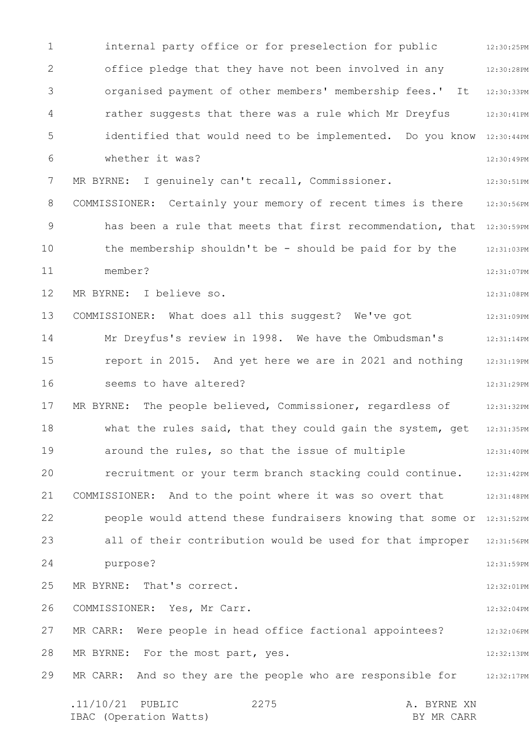1 2 3 4 5 6 7 8 9 10 11 12 13 14 15 16 17 18 19 20 21 22 23 24 25 26 27 28 29 12:30:25PM 12:30:28PM 12:30:33PM 12:30:41PM identified that would need to be implemented. Do you know 12:30:44PM 12:30:49PM 12:30:51PM COMMISSIONER: Certainly your memory of recent times is there 12:30:56PM has been a rule that meets that first recommendation, that 12:30:59PM 12:31:03PM 12:31:07PM 12:31:08PM 12:31:09PM 12:31:14PM 12:31:19PM 12:31:29PM 12:31:32PM 12:31:35PM 12:31:40PM recruitment or your term branch stacking could continue. 12:31:42PM 12:31:48PM people would attend these fundraisers knowing that some or 12:31:52PM all of their contribution would be used for that improper 12:31:56PM 12:31:59PM 12:32:01PM 12:32:04PM 12:32:06PM 12:32:13PM MR CARR: And so they are the people who are responsible for  $12:32:17$ PM .11/10/21 PUBLIC 2275 A. BYRNE XN IBAC (Operation Watts) and the set of the BY MR CARR BY MR CARR 2275 internal party office or for preselection for public office pledge that they have not been involved in any organised payment of other members' membership fees.' It rather suggests that there was a rule which Mr Dreyfus whether it was? MR BYRNE: I genuinely can't recall, Commissioner. the membership shouldn't be - should be paid for by the member? MR BYRNE: I believe so. COMMISSIONER: What does all this suggest? We've got Mr Dreyfus's review in 1998. We have the Ombudsman's report in 2015. And yet here we are in 2021 and nothing seems to have altered? MR BYRNE: The people believed, Commissioner, regardless of what the rules said, that they could gain the system, get around the rules, so that the issue of multiple COMMISSIONER: And to the point where it was so overt that purpose? MR BYRNE: That's correct. COMMISSIONER: Yes, Mr Carr. MR CARR: Were people in head office factional appointees? MR BYRNE: For the most part, yes.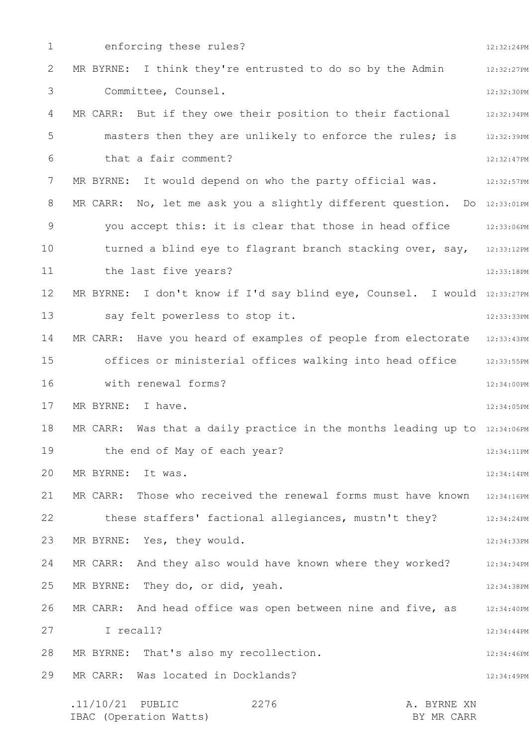1 2 3 4 5 6 7 8 9 10 11 12 13 14 15 16 17 18 19 20 21 22 23 24 25 26 27 28 29 12:32:24PM 12:32:27PM 12:32:30PM MR CARR: But if they owe their position to their factional 12:32:34PM 12:32:39PM 12:32:47PM 12:32:57PM MR CARR: No, let me ask you a slightly different question. Do 12:33:01PM 12:33:06PM turned a blind eye to flagrant branch stacking over, say, 12:33:12PM 12:33:18PM MR BYRNE: I don't know if I'd say blind eye, Counsel. I would 12:33:27PM 12:33:33PM MR CARR: Have you heard of examples of people from electorate 12:33:43PM offices or ministerial offices walking into head office 12:33:55PM 12:34:00PM 12:34:05PM MR CARR: Was that a daily practice in the months leading up to  $12:34:06$ PM 12:34:11PM 12:34:14PM MR CARR: Those who received the renewal forms must have known 12:34:16PM 12:34:24PM 12:34:33PM 12:34:34PM 12:34:38PM 12:34:40PM 12:34:44PM 12:34:46PM 12:34:49PM .11/10/21 PUBLIC 2276 A. BYRNE XN 2276 enforcing these rules? MR BYRNE: I think they're entrusted to do so by the Admin Committee, Counsel. masters then they are unlikely to enforce the rules; is that a fair comment? MR BYRNE: It would depend on who the party official was. you accept this: it is clear that those in head office the last five years? say felt powerless to stop it. with renewal forms? MR BYRNE: I have. the end of May of each year? MR BYRNE: It was. these staffers' factional allegiances, mustn't they? MR BYRNE: Yes, they would. MR CARR: And they also would have known where they worked? MR BYRNE: They do, or did, yeah. MR CARR: And head office was open between nine and five, as I recall? MR BYRNE: That's also my recollection. MR CARR: Was located in Docklands?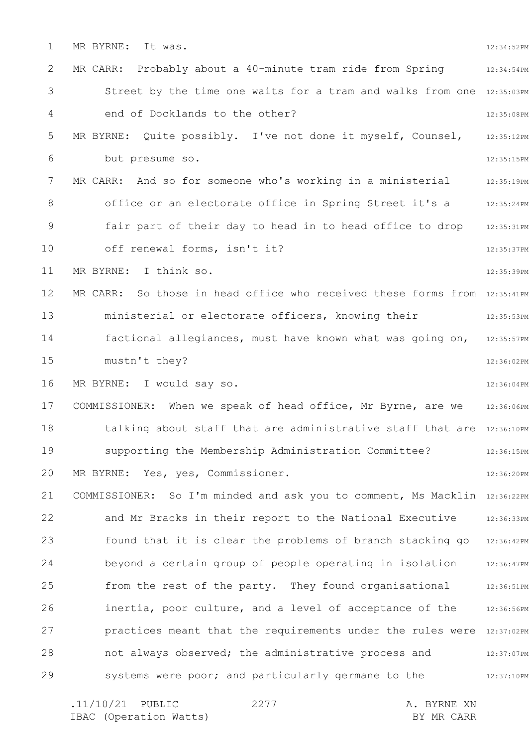1 2 3 4 5 6 7 8 9 10 11 12 13 14 15 16 17 18 19 20 21 22 23 24 25 26 27 28 29 12:34:52PM 12:34:54PM Street by the time one waits for a tram and walks from one 12:35:03PM 12:35:08PM 12:35:12PM 12:35:15PM 12:35:19PM office or an electorate office in Spring Street it's a a m 12:35:24PM 12:35:31PM 12:35:37PM 12:35:39PM MR CARR: So those in head office who received these forms from 12:35:41PM 12:35:53PM 12:35:57PM 12:36:02PM 12:36:04PM 12:36:06PM talking about staff that are administrative staff that are 12:36:10PM 12:36:15PM 12:36:20PM COMMISSIONER: So I'm minded and ask you to comment, Ms Macklin 12:36:22PM and Mr Bracks in their report to the National Executive 12:36:33PM found that it is clear the problems of branch stacking go 12:36:42PM 12:36:47PM 12:36:51PM 12:36:56PM practices meant that the requirements under the rules were 12:37:02PM 12:37:07PM 12:37:10PM MR BYRNE: It was. MR CARR: Probably about a 40-minute tram ride from Spring end of Docklands to the other? MR BYRNE: Quite possibly. I've not done it myself, Counsel, but presume so. MR CARR: And so for someone who's working in a ministerial fair part of their day to head in to head office to drop off renewal forms, isn't it? MR BYRNE: I think so. ministerial or electorate officers, knowing their factional allegiances, must have known what was going on, mustn't they? MR BYRNE: I would say so. COMMISSIONER: When we speak of head office, Mr Byrne, are we supporting the Membership Administration Committee? MR BYRNE: Yes, yes, Commissioner. beyond a certain group of people operating in isolation from the rest of the party. They found organisational inertia, poor culture, and a level of acceptance of the not always observed; the administrative process and systems were poor; and particularly germane to the

.11/10/21 PUBLIC 2277 A. BYRNE XN IBAC (Operation Watts) and the set of the BY MR CARR BY MR CARR 2277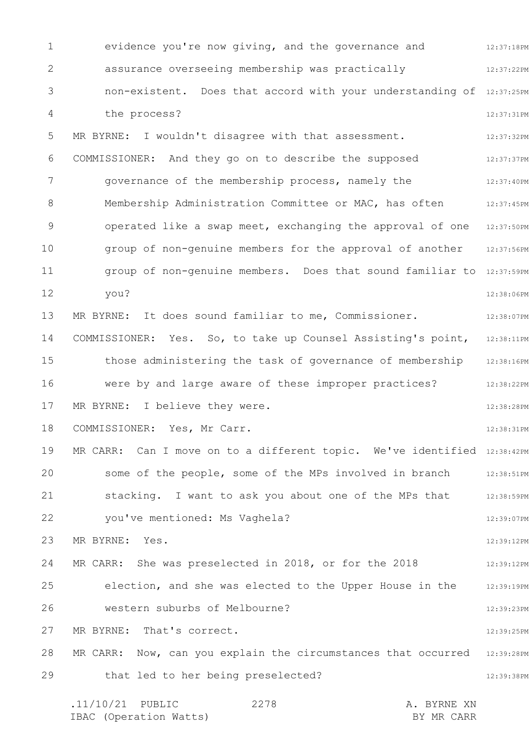1 2 3 4 5 6 7 8 9 10 11 12 13 14 15 16 17 18 19 20 21 22 23 24 25 26 27 28 29 12:37:18PM 12:37:22PM non-existent. Does that accord with your understanding of 12:37:25PM 12:37:31PM 12:37:32PM 12:37:37PM 12:37:40PM Membership Administration Committee or MAC, has often  $12:37:45PM$ operated like a swap meet, exchanging the approval of one 12:37:50PM 12:37:56PM group of non-genuine members. Does that sound familiar to 12:37:59PM 12:38:06PM 12:38:07PM COMMISSIONER: Yes. So, to take up Counsel Assisting's point, 12:38:11PM those administering the task of governance of membership 12:38:16PM were by and large aware of these improper practices? The 12:38:22PM 12:38:28PM 12:38:31PM MR CARR: Can I move on to a different topic. We've identified 12:38:42PM some of the people, some of the MPs involved in branch 12:38:51PM 12:38:59PM 12:39:07PM 12:39:12PM 12:39:12PM 12:39:19PM 12:39:23PM 12:39:25PM MR CARR: Now, can you explain the circumstances that occurred  $12:39:28PM$ 12:39:38PM .11/10/21 PUBLIC 2278 A. BYRNE XN 2278 evidence you're now giving, and the governance and assurance overseeing membership was practically the process? MR BYRNE: I wouldn't disagree with that assessment. COMMISSIONER: And they go on to describe the supposed governance of the membership process, namely the group of non-genuine members for the approval of another you? MR BYRNE: It does sound familiar to me, Commissioner. MR BYRNE: I believe they were. COMMISSIONER: Yes, Mr Carr. stacking. I want to ask you about one of the MPs that you've mentioned: Ms Vaghela? MR BYRNE: Yes. MR CARR: She was preselected in 2018, or for the 2018 election, and she was elected to the Upper House in the western suburbs of Melbourne? MR BYRNE: That's correct. that led to her being preselected?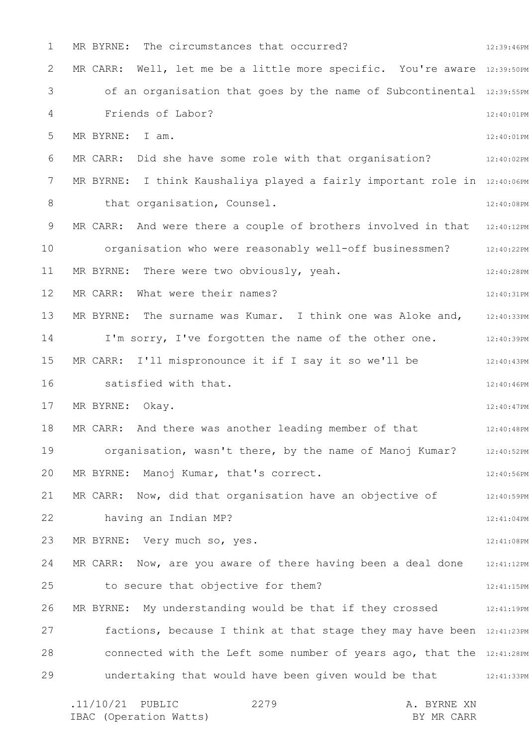| $\mathbf 1$ | MR BYRNE: The circumstances that occurred?                                   | 12:39:46PM |
|-------------|------------------------------------------------------------------------------|------------|
| 2           | MR CARR: Well, let me be a little more specific. You're aware 12:39:50PM     |            |
| 3           | of an organisation that goes by the name of Subcontinental 12:39:55PM        |            |
| 4           | Friends of Labor?                                                            | 12:40:01PM |
| 5           | MR BYRNE: I am.                                                              | 12:40:01PM |
| 6           | MR CARR: Did she have some role with that organisation?                      | 12:40:02PM |
| 7           | I think Kaushaliya played a fairly important role in 12:40:06PM<br>MR BYRNE: |            |
| 8           | that organisation, Counsel.                                                  | 12:40:08PM |
| 9           | MR CARR: And were there a couple of brothers involved in that                | 12:40:12PM |
| 10          | organisation who were reasonably well-off businessmen?                       | 12:40:22PM |
| 11          | MR BYRNE: There were two obviously, yeah.                                    | 12:40:28PM |
| 12          | What were their names?<br>MR CARR:                                           | 12:40:31PM |
| 13          | MR BYRNE: The surname was Kumar. I think one was Aloke and,                  | 12:40:33PM |
| 14          | I'm sorry, I've forgotten the name of the other one.                         | 12:40:39PM |
| 15          | MR CARR: I'll mispronounce it if I say it so we'll be                        | 12:40:43PM |
| 16          | satisfied with that.                                                         | 12:40:46PM |
| 17          | MR BYRNE: Okay.                                                              | 12:40:47PM |
| 18          | And there was another leading member of that<br>MR CARR:                     | 12:40:48PM |
| 19          | organisation, wasn't there, by the name of Manoj Kumar?                      | 12:40:52PM |
| 20          | MR BYRNE: Manoj Kumar, that's correct.                                       | 12:40:56PM |
| 21          | MR CARR: Now, did that organisation have an objective of                     | 12:40:59PM |
| 22          | having an Indian MP?                                                         | 12:41:04PM |
| 23          | MR BYRNE: Very much so, yes.                                                 | 12:41:08PM |
| 24          | MR CARR: Now, are you aware of there having been a deal done                 | 12:41:12PM |
| 25          | to secure that objective for them?                                           | 12:41:15PM |
| 26          | MR BYRNE: My understanding would be that if they crossed                     | 12:41:19PM |
| 27          | factions, because I think at that stage they may have been 12:41:23PM        |            |
| 28          | connected with the Left some number of years ago, that the 12:41:28PM        |            |
| 29          | undertaking that would have been given would be that                         | 12:41:33PM |
|             |                                                                              |            |

| $.11/10/21$ PUBLIC |                        | 2279 | A. BYRNE XN |  |
|--------------------|------------------------|------|-------------|--|
|                    | IBAC (Operation Watts) |      | BY MR CARR  |  |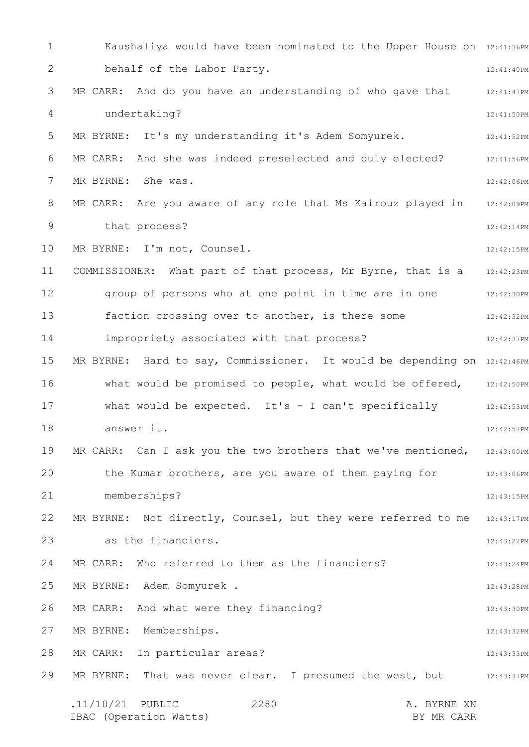1 2 3 4 5 6 7 8 9 10 11 12 13 14 15 16 17 18 19 20 21 22 23 24 25 26 27 28 29 Kaushaliya would have been nominated to the Upper House on 12:41:36PM 12:41:40PM 12:41:47PM 12:41:50PM 12:41:52PM 12:41:56PM 12:42:06PM MR CARR: Are you aware of any role that Ms Kairouz played in 12:42:09PM 12:42:14PM 12:42:15PM 12:42:23PM group of persons who at one point in time are in one  $12:42:30PM$ 12:42:32PM 12:42:37PM MR BYRNE: Hard to say, Commissioner. It would be depending on 12:42:46PM what would be promised to people, what would be offered,  $12:42:50PM$ 12:42:53PM 12:42:57PM MR CARR: Can I ask you the two brothers that we've mentioned,  $12:43:00PM$ the Kumar brothers, are you aware of them paying for 12:43:06PM 12:43:15PM MR BYRNE: Not directly, Counsel, but they were referred to me 12:43:17PM 12:43:22PM 12:43:24PM 12:43:28PM 12:43:30PM 12:43:32PM 12:43:33PM MR BYRNE: That was never clear. I presumed the west, but  $12:43:37\,\mathrm{PM}$ .11/10/21 PUBLIC 2280 A. BYRNE XN IBAC (Operation Watts) BY MR CARR 2280 behalf of the Labor Party. MR CARR: And do you have an understanding of who gave that undertaking? MR BYRNE: It's my understanding it's Adem Somyurek. MR CARR: And she was indeed preselected and duly elected? MR BYRNE: She was. that process? MR BYRNE: I'm not, Counsel. COMMISSIONER: What part of that process, Mr Byrne, that is a faction crossing over to another, is there some impropriety associated with that process? what would be expected. It's - I can't specifically answer it. memberships? as the financiers. MR CARR: Who referred to them as the financiers? MR BYRNE: Adem Somyurek . MR CARR: And what were they financing? MR BYRNE: Memberships. MR CARR: In particular areas?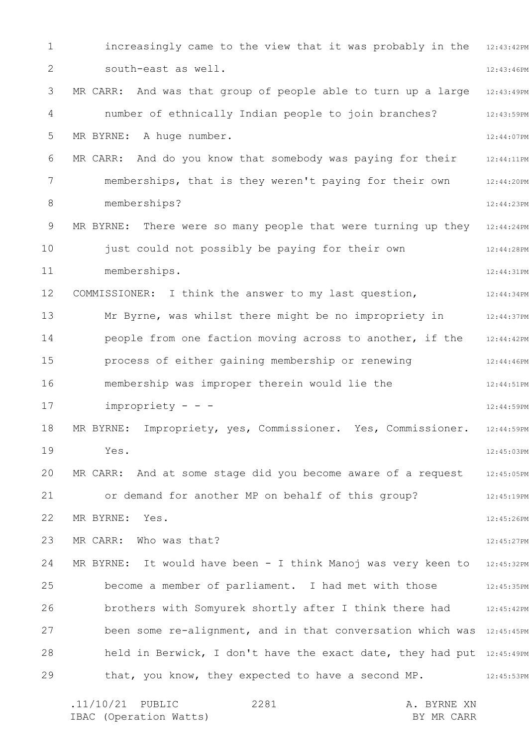1 2 3 4 5 6 7 8 9 10 11 12 13 14 15 16 17 18 19 20 21 22 23 24 25 26 27 28 29 increasingly came to the view that it was probably in the 12:43:42PM 12:43:46PM 12:43:49PM 12:43:59PM 12:44:07PM 12:44:11PM 12:44:20PM 12:44:23PM MR BYRNE: There were so many people that were turning up they 12:44:24PM 12:44:28PM 12:44:31PM 12:44:34PM 12:44:37PM 12:44:42PM 12:44:46PM 12:44:51PM 12:44:59PM 12:44:59PM 12:45:03PM 12:45:05PM 12:45:19PM 12:45:26PM 12:45:27PM MR BYRNE: It would have been - I think Manoj was very keen to 12:45:32PM 12:45:35PM 12:45:42PM been some re-alignment, and in that conversation which was 12:45:45PM held in Berwick, I don't have the exact date, they had put 12:45:49PM 12:45:53PM south-east as well. MR CARR: And was that group of people able to turn up a large number of ethnically Indian people to join branches? MR BYRNE: A huge number. MR CARR: And do you know that somebody was paying for their memberships, that is they weren't paying for their own memberships? just could not possibly be paying for their own memberships. COMMISSIONER: I think the answer to my last question, Mr Byrne, was whilst there might be no impropriety in people from one faction moving across to another, if the process of either gaining membership or renewing membership was improper therein would lie the impropriety - - - MR BYRNE: Impropriety, yes, Commissioner. Yes, Commissioner. Yes. MR CARR: And at some stage did you become aware of a request or demand for another MP on behalf of this group? MR BYRNE: Yes. MR CARR: Who was that? become a member of parliament. I had met with those brothers with Somyurek shortly after I think there had that, you know, they expected to have a second MP.

| $.11/10/21$ PUBLIC |                        | 2281 |  | A. BYRNE XN |
|--------------------|------------------------|------|--|-------------|
|                    | IBAC (Operation Watts) |      |  | BY MR CARR  |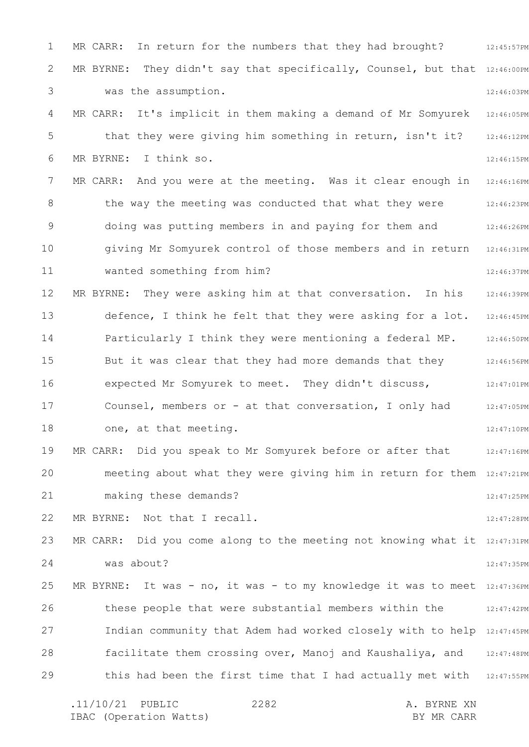1 2 3 4 5 6 7 8 9 10 11 12 13 14 15 16 17 18 19 20 21 22 23 24 25 26 27 28 29 MR CARR: In return for the numbers that they had brought? 312:45:57PM MR BYRNE: They didn't say that specifically, Counsel, but that  $12:46:00$ PM 12:46:03PM 12:46:05PM 12:46:12PM 12:46:15PM 12:46:16PM 12:46:23PM 12:46:26PM 12:46:31PM 12:46:37PM 12:46:39PM defence, I think he felt that they were asking for a lot. 12:46:45PM 12:46:50PM 12:46:56PM 12:47:01PM 12:47:05PM 12:47:10PM 12:47:16PM meeting about what they were giving him in return for them 12:47:21PM 12:47:25PM 12:47:28PM MR CARR: Did you come along to the meeting not knowing what it 12:47:31PM 12:47:35PM MR BYRNE: It was - no, it was - to my knowledge it was to meet 12:47:36PM 12:47:42PM Indian community that Adem had worked closely with to help 12:47:45PM facilitate them crossing over, Manoj and Kaushaliya, and 12:47:48PM this had been the first time that I had actually met with 12:47:55PM .11/10/21 PUBLIC 2282 A. BYRNE XN 2282 was the assumption. MR CARR: It's implicit in them making a demand of Mr Somyurek that they were giving him something in return, isn't it? MR BYRNE: I think so. MR CARR: And you were at the meeting. Was it clear enough in the way the meeting was conducted that what they were doing was putting members in and paying for them and giving Mr Somyurek control of those members and in return wanted something from him? MR BYRNE: They were asking him at that conversation. In his Particularly I think they were mentioning a federal MP. But it was clear that they had more demands that they expected Mr Somyurek to meet. They didn't discuss, Counsel, members or - at that conversation, I only had one, at that meeting. MR CARR: Did you speak to Mr Somyurek before or after that making these demands? MR BYRNE: Not that I recall. was about? these people that were substantial members within the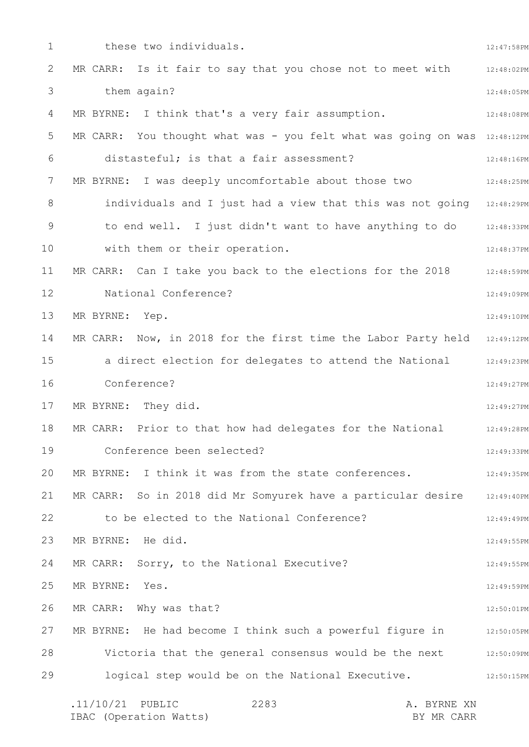1 2 3 4 5 6 7 8 9 10 11 12 13 14 15 16 17 18 19 20 21 22 23 24 25 26 27 28 29 12:47:58PM 12:48:02PM 12:48:05PM 12:48:08PM MR CARR: You thought what was - you felt what was going on was 12:48:12PM 12:48:16PM 12:48:25PM individuals and I just had a view that this was not going 12:48:29PM to end well. I just didn't want to have anything to do 12:48:33PM 12:48:37PM 12:48:59PM 12:49:09PM 12:49:10PM MR CARR: Now, in 2018 for the first time the Labor Party held 12:49:12PM a direct election for delegates to attend the National 12:49:23PM 12:49:27PM 12:49:27PM 12:49:28PM 12:49:33PM 12:49:35PM 12:49:40PM 12:49:49PM 12:49:55PM 12:49:55PM 12:49:59PM 12:50:01PM MR BYRNE: He had become I think such a powerful figure in  $12:50:05PM$ Victoria that the general consensus would be the next  $12:50:09PM$ 12:50:15PM .11/10/21 PUBLIC 2283 A. BYRNE XN 2283 these two individuals. MR CARR: Is it fair to say that you chose not to meet with them again? MR BYRNE: I think that's a very fair assumption. distasteful; is that a fair assessment? MR BYRNE: I was deeply uncomfortable about those two with them or their operation. MR CARR: Can I take you back to the elections for the 2018 National Conference? MR BYRNE: Yep. Conference? MR BYRNE: They did. MR CARR: Prior to that how had delegates for the National Conference been selected? MR BYRNE: I think it was from the state conferences. MR CARR: So in 2018 did Mr Somyurek have a particular desire to be elected to the National Conference? MR BYRNE: He did. MR CARR: Sorry, to the National Executive? MR BYRNE: Yes. MR CARR: Why was that? logical step would be on the National Executive.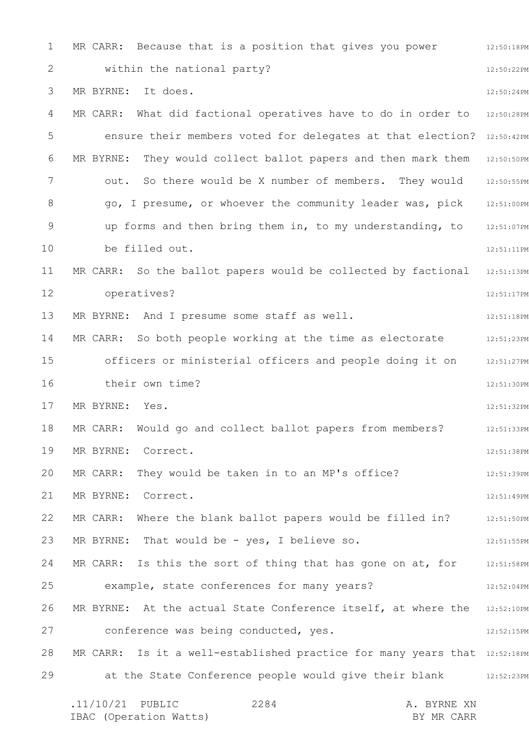1 2 3 4 5 6 7 8 9 10 11 12 13 14 15 16 17 18 19 20 21 22 23 24 25 26 27 28 29 12:50:18PM 12:50:22PM 12:50:24PM MR CARR: What did factional operatives have to do in order to 12:50:28PM ensure their members voted for delegates at that election? 12:50:42PM MR BYRNE: They would collect ballot papers and then mark them 12:50:50PM 12:50:55PM go, I presume, or whoever the community leader was, pick 12:51:00PM 12:51:07PM 12:51:11PM 12:51:13PM 12:51:17PM 12:51:18PM 12:51:23PM officers or ministerial officers and people doing it on 12:51:27PM 12:51:30PM 12:51:32PM 12:51:33PM 12:51:38PM 12:51:39PM 12:51:49PM 12:51:50PM 12:51:55PM MR CARR: Is this the sort of thing that has gone on at, for  $12:51:58PM$ 12:52:04PM MR BYRNE: At the actual State Conference itself, at where the  $12:52:10PM$ 12:52:15PM MR CARR: Is it a well-established practice for many years that 12:52:18PM at the State Conference people would give their blank and 12:52:23PM .11/10/21 PUBLIC 2284 A. BYRNE XN 2284 MR CARR: Because that is a position that gives you power within the national party? MR BYRNE: It does. out. So there would be X number of members. They would up forms and then bring them in, to my understanding, to be filled out. MR CARR: So the ballot papers would be collected by factional operatives? MR BYRNE: And I presume some staff as well. MR CARR: So both people working at the time as electorate their own time? MR BYRNE: Yes. MR CARR: Would go and collect ballot papers from members? MR BYRNE: Correct. MR CARR: They would be taken in to an MP's office? MR BYRNE: Correct. MR CARR: Where the blank ballot papers would be filled in? MR BYRNE: That would be - yes, I believe so. example, state conferences for many years? conference was being conducted, yes.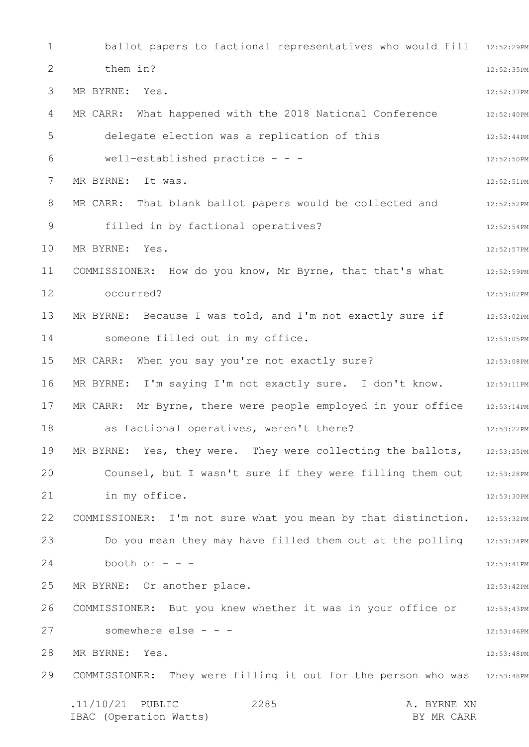1 2 3 4 5 6 7 8 9 10 11 12 13 14 15 16 17 18 19 20 21 22 23 24 25 26 27 28 29 ballot papers to factional representatives who would fill 12:52:29PM 12:52:35PM 12:52:37PM 12:52:40PM 12:52:44PM 12:52:50PM 12:52:51PM 12:52:52PM 12:52:54PM 12:52:57PM 12:52:59PM 12:53:02PM 12:53:02PM 12:53:05PM 12:53:08PM MR BYRNE: I'm saying I'm not exactly sure. I don't know. 12:53:11PM 12:53:14PM 12:53:22PM MR BYRNE: Yes, they were. They were collecting the ballots, 12:53:25PM Counsel, but I wasn't sure if they were filling them out 12:53:28PM 12:53:30PM COMMISSIONER: I'm not sure what you mean by that distinction. 12:53:32PM Do you mean they may have filled them out at the polling 12:53:34PM 12:53:41PM 12:53:42PM 12:53:43PM 12:53:46PM 12:53:48PM COMMISSIONER: They were filling it out for the person who was 12:53:48PM .11/10/21 PUBLIC 2285 A. BYRNE XN IBAC (Operation Watts) BY MR CARR 2285 them in? MR BYRNE: Yes. MR CARR: What happened with the 2018 National Conference delegate election was a replication of this well-established practice - - - MR BYRNE: It was. MR CARR: That blank ballot papers would be collected and filled in by factional operatives? MR BYRNE: Yes. COMMISSIONER: How do you know, Mr Byrne, that that's what occurred? MR BYRNE: Because I was told, and I'm not exactly sure if someone filled out in my office. MR CARR: When you say you're not exactly sure? MR CARR: Mr Byrne, there were people employed in your office as factional operatives, weren't there? in my office. booth or  $-$ MR BYRNE: Or another place. COMMISSIONER: But you knew whether it was in your office or somewhere else - - -MR BYRNE: Yes.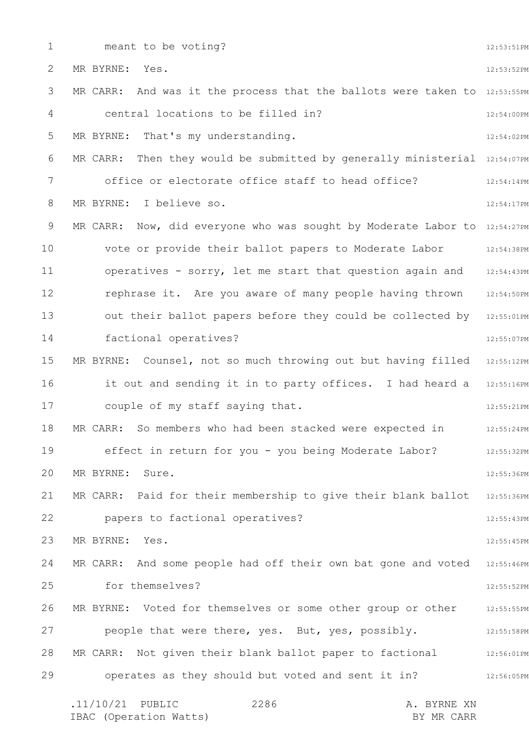1

meant to be voting?

12:53:51PM

2 3 4 5 6 7 8 9 10 11 12 13 14 15 16 17 18 19 20 21 22 23 24 25 26 27 28 29 12:53:52PM MR CARR: And was it the process that the ballots were taken to  $12:53:55PM$ 12:54:00PM 12:54:02PM MR CARR: Then they would be submitted by generally ministerial  $_{12:54:07PM}$ 12:54:14PM 12:54:17PM MR CARR: Now, did everyone who was sought by Moderate Labor to 12:54:27PM 12:54:38PM 12:54:43PM rephrase it. Are you aware of many people having thrown 12:54:50PM out their ballot papers before they could be collected by 12:55:01PM 12:55:07PM MR BYRNE: Counsel, not so much throwing out but having filled 12:55:12PM it out and sending it in to party offices. I had heard a 12:55:16PM 12:55:21PM 12:55:24PM 12:55:32PM 12:55:36PM MR CARR: Paid for their membership to give their blank ballot 12:55:36PM 12:55:43PM 12:55:45PM MR CARR: And some people had off their own bat gone and voted 12:55:46PM 12:55:52PM 12:55:55PM 12:55:58PM MR CARR: Not given their blank ballot paper to factional  $12:56:01$ PM 12:56:05PM .11/10/21 PUBLIC 2286 A. BYRNE XN 2286 MR BYRNE: Yes. central locations to be filled in? MR BYRNE: That's my understanding. office or electorate office staff to head office? MR BYRNE: I believe so. vote or provide their ballot papers to Moderate Labor operatives - sorry, let me start that question again and factional operatives? couple of my staff saying that. MR CARR: So members who had been stacked were expected in effect in return for you - you being Moderate Labor? MR BYRNE: Sure. papers to factional operatives? MR BYRNE: Yes. for themselves? MR BYRNE: Voted for themselves or some other group or other people that were there, yes. But, yes, possibly. operates as they should but voted and sent it in?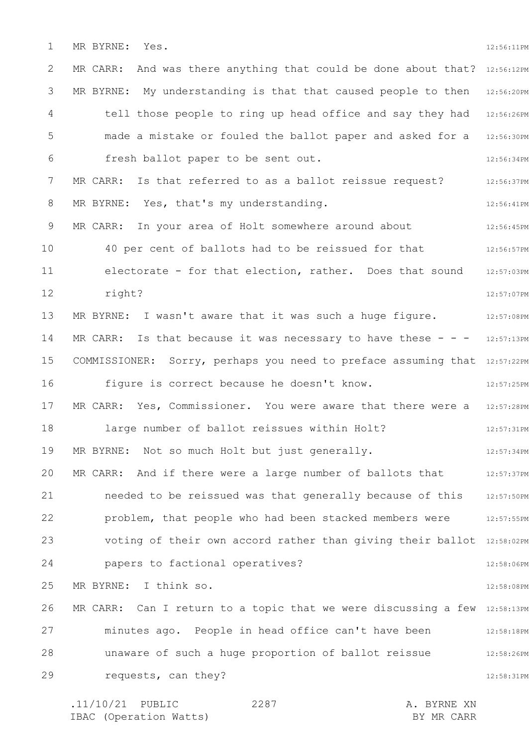1 MR BYRNE: Yes. 12:56:11PM

2 3 4 5 6 7 8 9 10 11 12 13 14 15 16 17 18 19 20 21 22 23 24 25 26 27 28 29 MR CARR: And was there anything that could be done about that?  $12:56:12PM$ MR BYRNE: My understanding is that that caused people to then  $12:56:20$ PM tell those people to ring up head office and say they had 12:56:26PM made a mistake or fouled the ballot paper and asked for a 12:56:30PM 12:56:34PM 12:56:37PM 12:56:41PM 12:56:45PM 12:56:57PM 12:57:03PM 12:57:07PM 12:57:08PM MR CARR: Is that because it was necessary to have these  $-$  12:57:13PM COMMISSIONER: Sorry, perhaps you need to preface assuming that 12:57:22PM 12:57:25PM MR CARR: Yes, Commissioner. You were aware that there were a 12:57:28PM 12:57:31PM 12:57:34PM MR CARR: And if there were a large number of ballots that  $12:57:37PM$ 12:57:50PM problem, that people who had been stacked members were  $12:57:55PM$ voting of their own accord rather than giving their ballot 12:58:02PM 12:58:06PM 12:58:08PM MR CARR:  $\,$  Can I return to a topic that we were discussing a few  $\,$  12:58:13PM  $\,$ 12:58:18PM 12:58:26PM 12:58:31PM .11/10/21 PUBLIC 2287 A. BYRNE XN 2287 fresh ballot paper to be sent out. MR CARR: Is that referred to as a ballot reissue request? MR BYRNE: Yes, that's my understanding. MR CARR: In your area of Holt somewhere around about 40 per cent of ballots had to be reissued for that electorate - for that election, rather. Does that sound right? MR BYRNE: I wasn't aware that it was such a huge figure. figure is correct because he doesn't know. large number of ballot reissues within Holt? MR BYRNE: Not so much Holt but just generally. needed to be reissued was that generally because of this papers to factional operatives? MR BYRNE: I think so. minutes ago. People in head office can't have been unaware of such a huge proportion of ballot reissue requests, can they?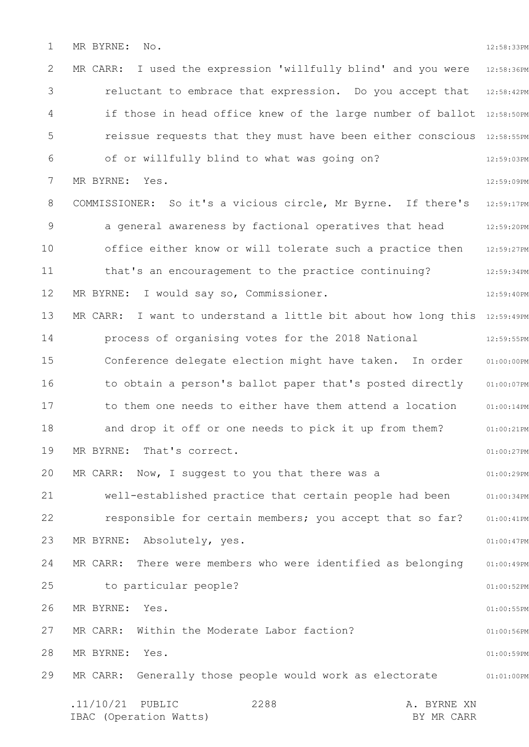1 MR BYRNE: No. 12:58:33PM

2 3 4 5 6 7 8 9 10 11 12 13 14 15 16 17 18 19 20 21 22 23 24 25 26 27 28 29 MR CARR: I used the expression 'willfully blind' and you were 12:58:36PM 12:58:42PM if those in head office knew of the large number of ballot 12:58:50PM reissue requests that they must have been either conscious 12:58:55PM 12:59:03PM 12:59:09PM 12:59:17PM 12:59:20PM 12:59:27PM 12:59:34PM 12:59:40PM MR CARR: I want to understand a little bit about how long this 12:59:49PM 12:59:55PM Conference delegate election might have taken. In order 01:00:00PM to obtain a person's ballot paper that's posted directly 01:00:07PM 01:00:14PM 01:00:21PM 01:00:27PM 01:00:29PM 01:00:34PM 01:00:41PM 01:00:47PM 01:00:49PM 01:00:52PM 01:00:55PM 01:00:56PM 01:00:59PM 01:01:00PM .11/10/21 PUBLIC 2288 A. BYRNE XN IBAC (Operation Watts) and the set of the BY MR CARR BY MR CARR 2288 reluctant to embrace that expression. Do you accept that of or willfully blind to what was going on? MR BYRNE: Yes. COMMISSIONER: So it's a vicious circle, Mr Byrne. If there's a general awareness by factional operatives that head office either know or will tolerate such a practice then that's an encouragement to the practice continuing? MR BYRNE: I would say so, Commissioner. process of organising votes for the 2018 National to them one needs to either have them attend a location and drop it off or one needs to pick it up from them? MR BYRNE: That's correct. MR CARR: Now, I suggest to you that there was a well-established practice that certain people had been responsible for certain members; you accept that so far? MR BYRNE: Absolutely, yes. MR CARR: There were members who were identified as belonging to particular people? MR BYRNE: Yes. MR CARR: Within the Moderate Labor faction? MR BYRNE: Yes. MR CARR: Generally those people would work as electorate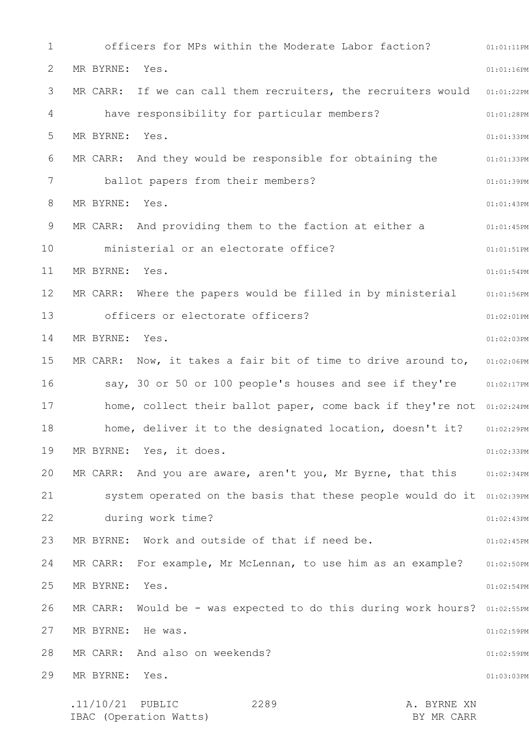1 2 3 4 5 6 7 8 9 10 11 12 13 14 15 16 17 18 19 20 21 22 23 24 25 26 27 28 29 01:01:11PM 01:01:16PM MR CARR: If we can call them recruiters, the recruiters would  $01:01:22$ PM 01:01:28PM 01:01:33PM 01:01:33PM 01:01:39PM 01:01:43PM 01:01:45PM 01:01:51PM 01:01:54PM 01:01:56PM 01:02:01PM 01:02:03PM MR CARR: Now, it takes a fair bit of time to drive around to,  $01:02:06PM$ say, 30 or 50 or 100 people's houses and see if they're 01:02:17PM home, collect their ballot paper, come back if they're not 01:02:24PM 01:02:29PM 01:02:33PM MR CARR: And you are aware, aren't you, Mr Byrne, that this 01:02:34PM System operated on the basis that these people would do it 01:02:39PM 01:02:43PM 01:02:45PM 01:02:50PM 01:02:54PM MR CARR: Would be - was expected to do this during work hours? 01:02:55PM 01:02:59PM 01:02:59PM 01:03:03PM .11/10/21 PUBLIC 2289 A. BYRNE XN 2289 officers for MPs within the Moderate Labor faction? MR BYRNE: Yes. have responsibility for particular members? MR BYRNE: Yes. MR CARR: And they would be responsible for obtaining the ballot papers from their members? MR BYRNE: Yes. MR CARR: And providing them to the faction at either a ministerial or an electorate office? MR BYRNE: Yes. MR CARR: Where the papers would be filled in by ministerial officers or electorate officers? MR BYRNE: Yes. home, deliver it to the designated location, doesn't it? MR BYRNE: Yes, it does. during work time? MR BYRNE: Work and outside of that if need be. MR CARR: For example, Mr McLennan, to use him as an example? MR BYRNE: Yes. MR BYRNE: He was. MR CARR: And also on weekends? MR BYRNE: Yes.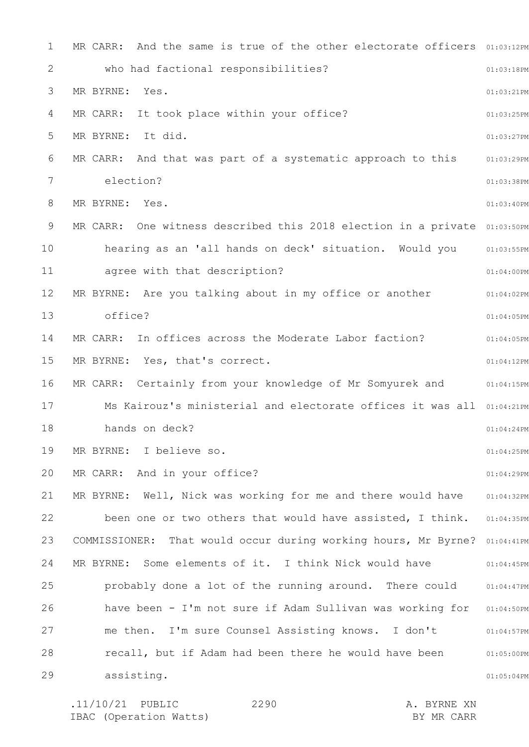1 2 3 4 5 6 7 8 9 10 11 12 13 14 15 16 17 18 19 20 21 22 23 24 25 26 27 28 29 MR CARR: And the same is true of the other electorate officers  $01:03:12PM$ 01:03:18PM 01:03:21PM 01:03:25PM 01:03:27PM 01:03:29PM 01:03:38PM 01:03:40PM MR CARR: One witness described this 2018 election in a private 01:03:50PM 01:03:55PM 01:04:00PM 01:04:02PM 01:04:05PM 01:04:05PM 01:04:12PM MR CARR: Certainly from your knowledge of Mr Somyurek and an:04:15PM Ms Kairouz's ministerial and electorate offices it was all 01:04:21PM 01:04:24PM 01:04:25PM 01:04:29PM 01:04:32PM been one or two others that would have assisted, I think. 01:04:35PM COMMISSIONER: That would occur during working hours, Mr Byrne? 01:04:41PM 01:04:45PM 01:04:47PM have been - I'm not sure if Adam Sullivan was working for 01:04:50PM 01:04:57PM 01:05:00PM 01:05:04PM who had factional responsibilities? MR BYRNE: Yes. MR CARR: It took place within your office? MR BYRNE: It did. MR CARR: And that was part of a systematic approach to this election? MR BYRNE: Yes. hearing as an 'all hands on deck' situation. Would you agree with that description? MR BYRNE: Are you talking about in my office or another office? MR CARR: In offices across the Moderate Labor faction? MR BYRNE: Yes, that's correct. hands on deck? MR BYRNE: I believe so. MR CARR: And in your office? MR BYRNE: Well, Nick was working for me and there would have MR BYRNE: Some elements of it. I think Nick would have probably done a lot of the running around. There could me then. I'm sure Counsel Assisting knows. I don't recall, but if Adam had been there he would have been assisting.

.11/10/21 PUBLIC 2290 A. BYRNE XN IBAC (Operation Watts) BY MR CARR 2290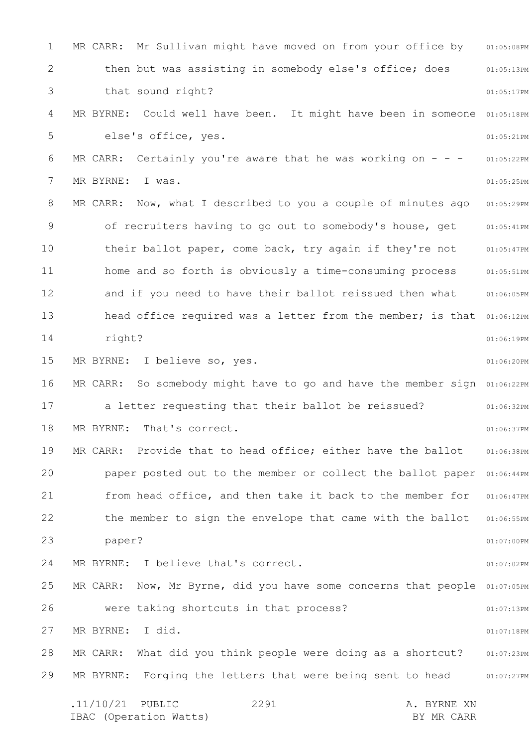1 2 3 4 5 6 7 8 9 10 11 12 13 14 15 16 17 18 19 20 21 22 23 24 25 26 27 28 29 MR CARR: Mr Sullivan might have moved on from your office by 01:05:08PM 01:05:13PM 01:05:17PM MR BYRNE: Could well have been. It might have been in someone 01:05:18PM 01:05:21PM 01:05:22PM 01:05:25PM 01:05:29PM 01:05:41PM 01:05:47PM 01:05:51PM 01:06:05PM head office required was a letter from the member; is that 01:06:12PM 01:06:19PM 01:06:20PM MR CARR: So somebody might have to go and have the member sign 01:06:22PM 01:06:32PM 01:06:37PM 01:06:38PM paper posted out to the member or collect the ballot paper 01:06:44PM 01:06:47PM 01:06:55PM 01:07:00PM 01:07:02PM MR CARR: Now, Mr Byrne, did you have some concerns that people 01:07:05PM 01:07:13PM 01:07:18PM 01:07:23PM 01:07:27PM .11/10/21 PUBLIC 2291 A. BYRNE XN IBAC (Operation Watts) and the set of the BY MR CARR BY MR CARR 2291 then but was assisting in somebody else's office; does that sound right? else's office, yes. MR CARR: Certainly you're aware that he was working on  $-$  -MR BYRNE: I was. MR CARR: Now, what I described to you a couple of minutes ago of recruiters having to go out to somebody's house, get their ballot paper, come back, try again if they're not home and so forth is obviously a time-consuming process and if you need to have their ballot reissued then what right? MR BYRNE: I believe so, yes. a letter requesting that their ballot be reissued? MR BYRNE: That's correct. MR CARR: Provide that to head office; either have the ballot from head office, and then take it back to the member for the member to sign the envelope that came with the ballot paper? MR BYRNE: I believe that's correct. were taking shortcuts in that process? MR BYRNE: I did. MR CARR: What did you think people were doing as a shortcut? MR BYRNE: Forging the letters that were being sent to head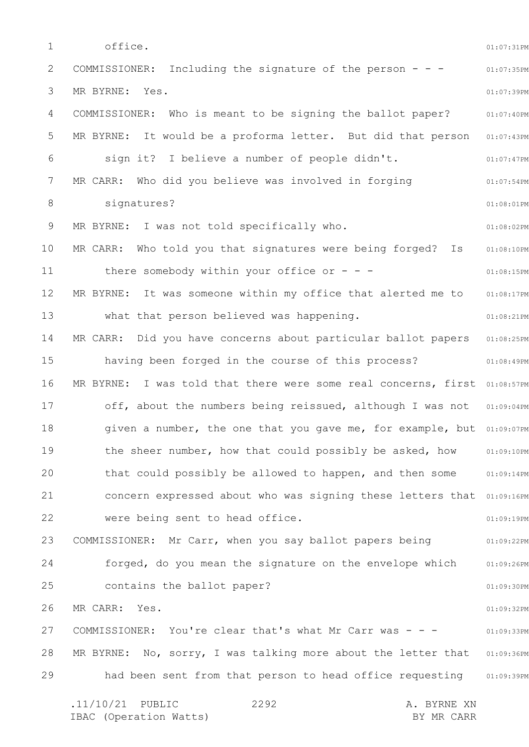1 2 3 4 5 6 7 8 9 10 11 12 13 14 15 16 17 18 19 20 21 22 23 24 25 26 27 28 29 01:07:31PM 01:07:35PM 01:07:39PM 01:07:40PM MR BYRNE: It would be a proforma letter. But did that person 01:07:43PM 01:07:47PM 01:07:54PM 01:08:01PM 01:08:02PM 01:08:10PM 01:08:15PM 01:08:17PM 01:08:21PM 01:08:25PM 01:08:49PM MR BYRNE: I was told that there were some real concerns, first 01:08:57PM 01:09:04PM given a number, the one that you gave me, for example, but 01:09:07PM 01:09:10PM 01:09:14PM concern expressed about who was signing these letters that 01:09:16PM 01:09:19PM 01:09:22PM 01:09:26PM 01:09:30PM 01:09:32PM 01:09:33PM MR BYRNE: No, sorry, I was talking more about the letter that 01:09:36PM had been sent from that person to head office requesting 501:09:39PM .11/10/21 PUBLIC 2292 A. BYRNE XN IBAC (Operation Watts) and the set of the BY MR CARR BY MR CARR 2292 office. COMMISSIONER: Including the signature of the person - - - MR BYRNE: Yes. COMMISSIONER: Who is meant to be signing the ballot paper? sign it? I believe a number of people didn't. MR CARR: Who did you believe was involved in forging signatures? MR BYRNE: I was not told specifically who. MR CARR: Who told you that signatures were being forged? Is there somebody within your office or  $-$  -MR BYRNE: It was someone within my office that alerted me to what that person believed was happening. MR CARR: Did you have concerns about particular ballot papers having been forged in the course of this process? off, about the numbers being reissued, although I was not the sheer number, how that could possibly be asked, how that could possibly be allowed to happen, and then some were being sent to head office. COMMISSIONER: Mr Carr, when you say ballot papers being forged, do you mean the signature on the envelope which contains the ballot paper? MR CARR: Yes. COMMISSIONER: You're clear that's what Mr Carr was - - -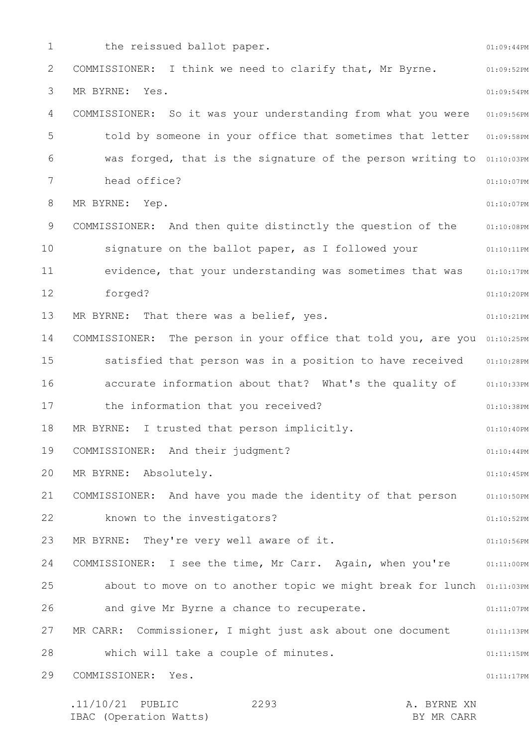1 2 3 4 5 6 7 8 9 10 11 12 13 14 15 16 17 18 19 20 21 22 23 24 25 26 27 28 29 01:09:44PM 01:09:52PM 01:09:54PM 01:09:56PM told by someone in your office that sometimes that letter 01:09:58PM was forged, that is the signature of the person writing to 01:10:03PM 01:10:07PM 01:10:07PM 01:10:08PM 01:10:11PM 01:10:17PM 01:10:20PM 01:10:21PM COMMISSIONER: The person in your office that told you, are you 01:10:25PM satisfied that person was in a position to have received 01:10:28PM accurate information about that? What's the quality of 31:10:33PM 01:10:38PM 01:10:40PM 01:10:44PM 01:10:45PM 01:10:50PM 01:10:52PM 01:10:56PM COMMISSIONER: I see the time, Mr Carr. Again, when you're 01:11:00PM about to move on to another topic we might break for lunch 01:11:03PM 01:11:07PM 01:11:13PM 01:11:15PM 01:11:17PM .11/10/21 PUBLIC 2293 A. BYRNE XN 2293 the reissued ballot paper. COMMISSIONER: I think we need to clarify that, Mr Byrne. MR BYRNE: Yes. COMMISSIONER: So it was your understanding from what you were head office? MR BYRNE: Yep. COMMISSIONER: And then quite distinctly the question of the signature on the ballot paper, as I followed your evidence, that your understanding was sometimes that was forged? MR BYRNE: That there was a belief, yes. the information that you received? MR BYRNE: I trusted that person implicitly. COMMISSIONER: And their judgment? MR BYRNE: Absolutely. COMMISSIONER: And have you made the identity of that person known to the investigators? MR BYRNE: They're very well aware of it. and give Mr Byrne a chance to recuperate. MR CARR: Commissioner, I might just ask about one document which will take a couple of minutes. COMMISSIONER: Yes.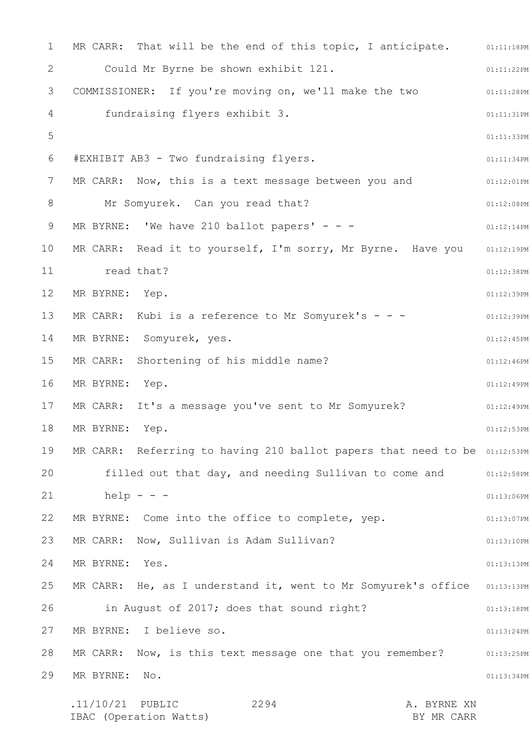1 2 3 4 5 6 7 8 9 10 11 12 13 14 15 16 17 18 19 20 21 22 23 24 25 26 27 28 29 MR CARR: That will be the end of this topic, I anticipate. 01:11:18PM 01:11:22PM 01:11:28PM 01:11:31PM 01:11:33PM 01:11:34PM 01:12:01PM 01:12:08PM 01:12:14PM 01:12:19PM 01:12:38PM 01:12:39PM 01:12:39PM 01:12:45PM 01:12:46PM 01:12:49PM 01:12:49PM 01:12:53PM MR CARR: Referring to having 210 ballot papers that need to be 01:12:53PM filled out that day, and needing Sullivan to come and  $01:12:58PM$ 01:13:06PM 01:13:07PM 01:13:10PM 01:13:13PM MR CARR: He, as I understand it, went to Mr Somyurek's office 01:13:13PM 01:13:18PM 01:13:24PM MR CARR: Now, is this text message one that you remember? 01:13:25PM 01:13:34PM .11/10/21 PUBLIC 2294 A. BYRNE XN 2294 Could Mr Byrne be shown exhibit 121. COMMISSIONER: If you're moving on, we'll make the two fundraising flyers exhibit 3. #EXHIBIT AB3 - Two fundraising flyers. MR CARR: Now, this is a text message between you and Mr Somyurek. Can you read that? MR BYRNE: 'We have 210 ballot papers'  $- -$ MR CARR: Read it to yourself, I'm sorry, Mr Byrne. Have you read that? MR BYRNE: Yep. MR CARR: Kubi is a reference to Mr Somyurek's - - -MR BYRNE: Somyurek, yes. MR CARR: Shortening of his middle name? MR BYRNE: Yep. MR CARR: It's a message you've sent to Mr Somyurek? MR BYRNE: Yep.  $help - - -$ MR BYRNE: Come into the office to complete, yep. MR CARR: Now, Sullivan is Adam Sullivan? MR BYRNE: Yes. in August of 2017; does that sound right? MR BYRNE: I believe so. MR BYRNE: No.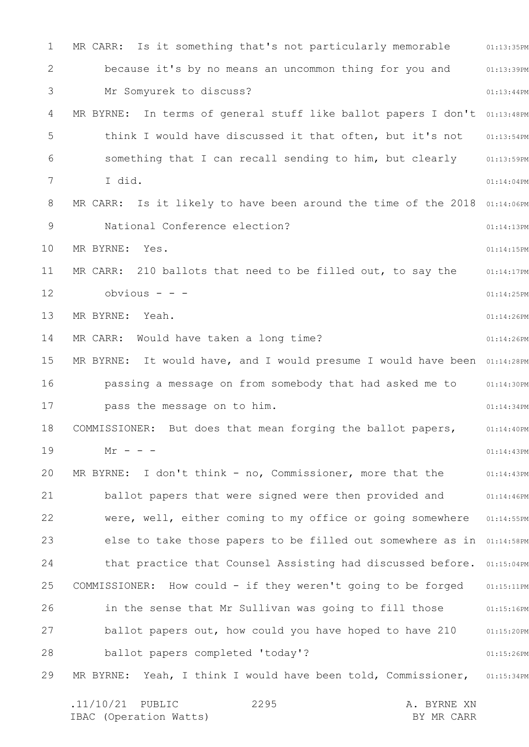1 2 3 4 5 6 7 8 9 10 11 12 13 14 15 16 17 18 19 20 21 22 23 24 25 26 27 28 29 01:13:35PM 01:13:39PM 01:13:44PM MR BYRNE: In terms of general stuff like ballot papers I don't 01:13:48PM 01:13:54PM 01:13:59PM 01:14:04PM MR CARR: Is it likely to have been around the time of the 2018  $01:14:06$ PM 01:14:13PM 01:14:15PM 01:14:17PM 01:14:25PM 01:14:26PM 01:14:26PM MR BYRNE: It would have, and I would presume I would have been  $01:14:28\text{PM}$ 01:14:30PM 01:14:34PM 01:14:40PM 01:14:43PM 01:14:43PM 01:14:46PM 01:14:55PM else to take those papers to be filled out somewhere as in 01:14:58PM that practice that Counsel Assisting had discussed before. 01:15:04PM 01:15:11PM 01:15:16PM 01:15:20PM 01:15:26PM MR BYRNE: Yeah, I think I would have been told, Commissioner, 01:15:34PM MR CARR: Is it something that's not particularly memorable because it's by no means an uncommon thing for you and Mr Somyurek to discuss? think I would have discussed it that often, but it's not something that I can recall sending to him, but clearly I did. National Conference election? MR BYRNE: Yes. MR CARR: 210 ballots that need to be filled out, to say the obvious - - - MR BYRNE: Yeah. MR CARR: Would have taken a long time? passing a message on from somebody that had asked me to pass the message on to him. COMMISSIONER: But does that mean forging the ballot papers,  $Mr - - -$ MR BYRNE: I don't think - no, Commissioner, more that the ballot papers that were signed were then provided and were, well, either coming to my office or going somewhere COMMISSIONER: How could - if they weren't going to be forged in the sense that Mr Sullivan was going to fill those ballot papers out, how could you have hoped to have 210 ballot papers completed 'today'?

.11/10/21 PUBLIC 2295 A. BYRNE XN IBAC (Operation Watts) and the set of the BY MR CARR BY MR CARR 2295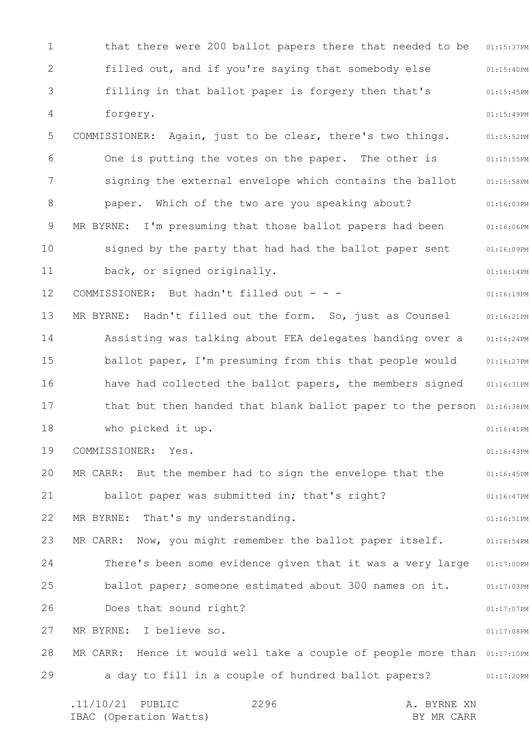1 2 3 4 5 6 7 8 9 10 11 12 13 14 15 16 17 18 19 20 21 22 23 24 25 26 27 28 29 01:15:37PM 01:15:40PM 01:15:45PM 01:15:49PM 01:15:52PM 01:15:55PM 01:15:58PM 01:16:03PM 01:16:06PM 01:16:09PM 01:16:14PM 01:16:19PM 01:16:21PM 01:16:24PM 01:16:27PM 01:16:31PM that but then handed that blank ballot paper to the person 01:16:38PM 01:16:41PM 01:16:43PM 01:16:45PM 01:16:47PM 01:16:51PM MR CARR: Now, you might remember the ballot paper itself. 41:16:54PM There's been some evidence given that it was a very large 01:17:00PM 01:17:03PM 01:17:07PM 01:17:08PM MR CARR: Hence it would well take a couple of people more than 01:17:10PM a day to fill in a couple of hundred ballot papers?  $01:17:20PM$ .11/10/21 PUBLIC 2296 A. BYRNE XN 2296 that there were 200 ballot papers there that needed to be filled out, and if you're saying that somebody else filling in that ballot paper is forgery then that's forgery. COMMISSIONER: Again, just to be clear, there's two things. One is putting the votes on the paper. The other is signing the external envelope which contains the ballot paper. Which of the two are you speaking about? MR BYRNE: I'm presuming that those ballot papers had been signed by the party that had had the ballot paper sent back, or signed originally. COMMISSIONER: But hadn't filled out - - - MR BYRNE: Hadn't filled out the form. So, just as Counsel Assisting was talking about FEA delegates handing over a ballot paper, I'm presuming from this that people would have had collected the ballot papers, the members signed who picked it up. COMMISSIONER: Yes. MR CARR: But the member had to sign the envelope that the ballot paper was submitted in; that's right? MR BYRNE: That's my understanding. ballot paper; someone estimated about 300 names on it. Does that sound right? MR BYRNE: I believe so.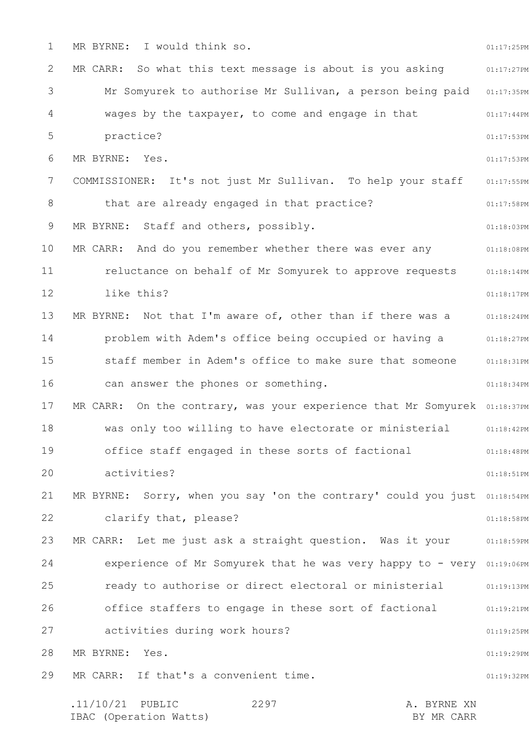1 2 3 4 5 6 7 8 9 10 11 12 13 14 15 16 17 18 19 20 21 22 23 24 25 26 27 28 29 01:17:25PM 01:17:27PM Mr Somyurek to authorise Mr Sullivan, a person being paid 01:17:35PM 01:17:44PM 01:17:53PM 01:17:53PM 01:17:55PM 01:17:58PM 01:18:03PM 01:18:08PM 01:18:14PM 01:18:17PM 01:18:24PM 01:18:27PM 01:18:31PM 01:18:34PM MR CARR: On the contrary, was your experience that Mr Somyurek 01:18:37PM 01:18:42PM 01:18:48PM 01:18:51PM MR BYRNE: Sorry, when you say 'on the contrary' could you just 01:18:54PM 01:18:58PM MR CARR: Let me just ask a straight question. Was it your and the same experience of Mr Somyurek that he was very happy to - very 01:19:06PM 01:19:13PM 01:19:21PM 01:19:25PM 01:19:29PM 01:19:32PM MR BYRNE: I would think so. MR CARR: So what this text message is about is you asking wages by the taxpayer, to come and engage in that practice? MR BYRNE: Yes. COMMISSIONER: It's not just Mr Sullivan. To help your staff that are already engaged in that practice? MR BYRNE: Staff and others, possibly. MR CARR: And do you remember whether there was ever any reluctance on behalf of Mr Somyurek to approve requests like this? MR BYRNE: Not that I'm aware of, other than if there was a problem with Adem's office being occupied or having a staff member in Adem's office to make sure that someone can answer the phones or something. was only too willing to have electorate or ministerial office staff engaged in these sorts of factional activities? clarify that, please? ready to authorise or direct electoral or ministerial office staffers to engage in these sort of factional activities during work hours? MR BYRNE: Yes. MR CARR: If that's a convenient time.

.11/10/21 PUBLIC 2297 A. BYRNE XN IBAC (Operation Watts) BY MR CARR 2297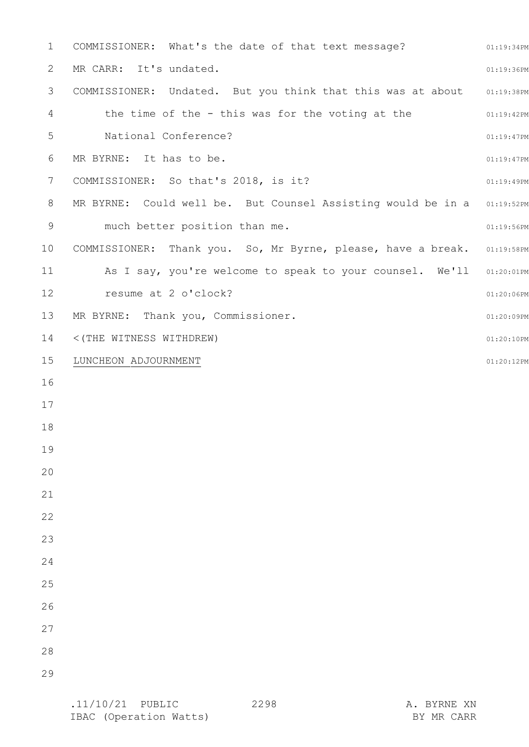| $\mathbf 1$    | COMMISSIONER: What's the date of that text message?                     | 01:19:34PM    |
|----------------|-------------------------------------------------------------------------|---------------|
| 2              | MR CARR: It's undated.                                                  | 01:19:36PM    |
| 3              | COMMISSIONER: Undated. But you think that this was at about 01:19:38PM  |               |
| $\overline{4}$ | the time of the - this was for the voting at the                        | 01:19:42PM    |
| 5              | National Conference?                                                    | 01:19:47PM    |
| 6              | MR BYRNE: It has to be.                                                 | $01:19:47$ PM |
| 7              | COMMISSIONER: So that's 2018, is it?                                    | 01:19:49PM    |
| 8              | MR BYRNE: Could well be. But Counsel Assisting would be in a 01:19:52PM |               |
| 9              | much better position than me.                                           | 01:19:56PM    |
| 10             | COMMISSIONER: Thank you. So, Mr Byrne, please, have a break. 01:19:58PM |               |
| 11             | As I say, you're welcome to speak to your counsel. We'll 01:20:01PM     |               |
| 12             | resume at 2 o'clock?                                                    | $01:20:06$ PM |
| 13             | MR BYRNE: Thank you, Commissioner.                                      | 01:20:09PM    |
| 14             | <(THE WITNESS WITHDREW)                                                 | 01:20:10PM    |
| 15             | LUNCHEON ADJOURNMENT                                                    | 01:20:12PM    |
| 16             |                                                                         |               |
| 17             |                                                                         |               |
| 18             |                                                                         |               |
| 19             |                                                                         |               |
| 20             |                                                                         |               |
| 21             |                                                                         |               |
| 22             |                                                                         |               |
| 23             |                                                                         |               |
| 24             |                                                                         |               |
| 25             |                                                                         |               |
| 26             |                                                                         |               |
| 27             |                                                                         |               |
| 28             |                                                                         |               |
| 29             |                                                                         |               |
|                |                                                                         |               |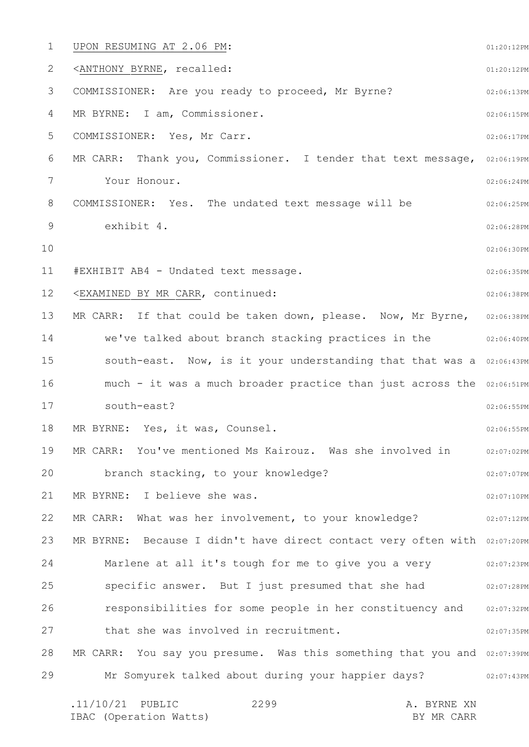1 2 3 4 5 6 7 8 9 10 11 12 13 14 15 16 17 18 19 20 21 22 23 24 25 26 27 28 29 01:20:12PM 01:20:12PM 02:06:13PM 02:06:15PM 02:06:17PM MR CARR: Thank you, Commissioner. I tender that text message, 02:06:19PM 02:06:24PM 02:06:25PM 02:06:28PM 02:06:30PM 02:06:35PM 02:06:38PM MR CARR: If that could be taken down, please. Now, Mr Byrne, 02:06:38PM 02:06:40PM south-east. Now, is it your understanding that that was a 02:06:43PM much - it was a much broader practice than just across the 02:06:51PM 02:06:55PM 02:06:55PM 02:07:02PM 02:07:07PM 02:07:10PM 02:07:12PM MR BYRNE: Because I didn't have direct contact very often with 02:07:20PM Marlene at all it's tough for me to give you a very who well only all it's tough for me to give you a 02:07:28PM 02:07:32PM 02:07:35PM MR CARR: You say you presume. Was this something that you and 02:07:39PM 02:07:43PM .11/10/21 PUBLIC 2299 A. BYRNE XN 2299 UPON RESUMING AT 2.06 PM: <ANTHONY BYRNE, recalled: COMMISSIONER: Are you ready to proceed, Mr Byrne? MR BYRNE: I am, Commissioner. COMMISSIONER: Yes, Mr Carr. Your Honour. COMMISSIONER: Yes. The undated text message will be exhibit 4. #EXHIBIT AB4 - Undated text message. <EXAMINED BY MR CARR, continued: we've talked about branch stacking practices in the south-east? MR BYRNE: Yes, it was, Counsel. MR CARR: You've mentioned Ms Kairouz. Was she involved in branch stacking, to your knowledge? MR BYRNE: I believe she was. MR CARR: What was her involvement, to your knowledge? specific answer. But I just presumed that she had responsibilities for some people in her constituency and that she was involved in recruitment. Mr Somyurek talked about during your happier days?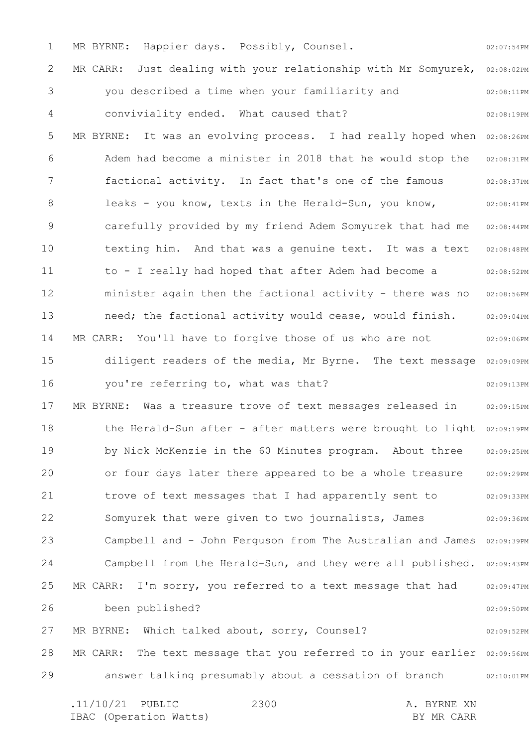1 2 3 4 5 6 7 8 9 10 11 12 13 14 15 16 17 18 19 20 21 22 23 24 25 26 27 28 29 02:07:54PM MR CARR: Just dealing with your relationship with Mr Somyurek, 02:08:02PM 02:08:11PM 02:08:19PM MR BYRNE: It was an evolving process. I had really hoped when 02:08:26PM 02:08:31PM 02:08:37PM 02:08:41PM 02:08:44PM 02:08:48PM 02:08:52PM 02:08:56PM 02:09:04PM 02:09:06PM diligent readers of the media, Mr Byrne. The text message 02:09:09PM 02:09:13PM 02:09:15PM the Herald-Sun after - after matters were brought to light 02:09:19PM 02:09:25PM 02:09:29PM 02:09:33PM 02:09:36PM Campbell and - John Ferguson from The Australian and James 02:09:39PM Campbell from the Herald-Sun, and they were all published. 02:09:43PM 02:09:47PM 02:09:50PM 02:09:52PM MR CARR: The text message that you referred to in your earlier 02:09:56PM answer talking presumably about a cessation of branch or 02:10:01PM .11/10/21 PUBLIC 2300 A. BYRNE XN 2300 MR BYRNE: Happier days. Possibly, Counsel. you described a time when your familiarity and conviviality ended. What caused that? Adem had become a minister in 2018 that he would stop the factional activity. In fact that's one of the famous leaks - you know, texts in the Herald-Sun, you know, carefully provided by my friend Adem Somyurek that had me texting him. And that was a genuine text. It was a text to - I really had hoped that after Adem had become a minister again then the factional activity - there was no need; the factional activity would cease, would finish. MR CARR: You'll have to forgive those of us who are not you're referring to, what was that? MR BYRNE: Was a treasure trove of text messages released in by Nick McKenzie in the 60 Minutes program. About three or four days later there appeared to be a whole treasure trove of text messages that I had apparently sent to Somyurek that were given to two journalists, James MR CARR: I'm sorry, you referred to a text message that had been published? MR BYRNE: Which talked about, sorry, Counsel?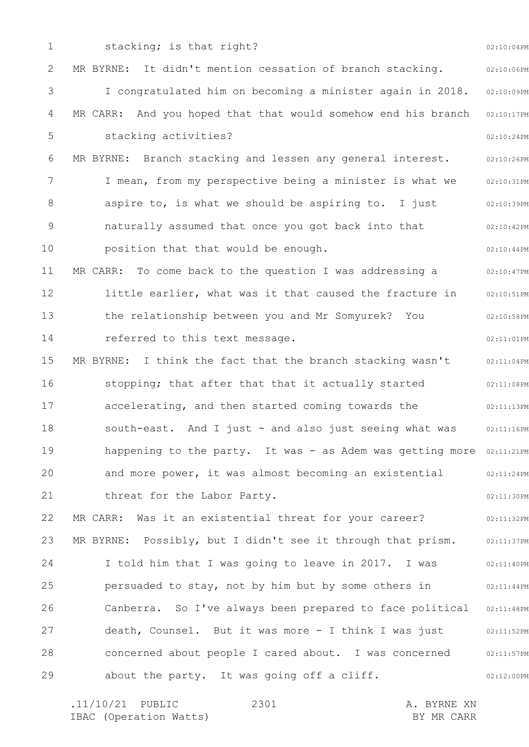1 2 3 4 5 6 7 8 9 10 11 12 13 14 15 16 17 18 19 20 21 22 23 24 25 26 27 28 29 02:10:04PM 02:10:06PM 02:10:09PM 02:10:17PM 02:10:24PM 02:10:26PM 02:10:31PM 02:10:39PM 02:10:42PM 02:10:44PM 02:10:47PM 02:10:51PM 02:10:58PM 02:11:01PM 02:11:04PM 02:11:08PM 02:11:13PM 02:11:16PM happening to the party. It was - as Adem was getting more 02:11:21PM 02:11:24PM 02:11:30PM 02:11:32PM 02:11:37PM 02:11:40PM 02:11:44PM 02:11:48PM 02:11:52PM 02:11:57PM 02:12:00PM stacking; is that right? MR BYRNE: It didn't mention cessation of branch stacking. I congratulated him on becoming a minister again in 2018. MR CARR: And you hoped that that would somehow end his branch stacking activities? MR BYRNE: Branch stacking and lessen any general interest. I mean, from my perspective being a minister is what we aspire to, is what we should be aspiring to. I just naturally assumed that once you got back into that position that that would be enough. MR CARR: To come back to the question I was addressing a little earlier, what was it that caused the fracture in the relationship between you and Mr Somyurek? You referred to this text message. MR BYRNE: I think the fact that the branch stacking wasn't stopping; that after that that it actually started accelerating, and then started coming towards the south-east. And I just - and also just seeing what was and more power, it was almost becoming an existential threat for the Labor Party. MR CARR: Was it an existential threat for your career? MR BYRNE: Possibly, but I didn't see it through that prism. I told him that I was going to leave in 2017. I was persuaded to stay, not by him but by some others in Canberra. So I've always been prepared to face political death, Counsel. But it was more - I think I was just concerned about people I cared about. I was concerned about the party. It was going off a cliff.

.11/10/21 PUBLIC 2301 A. BYRNE XN IBAC (Operation Watts) and the set of the BY MR CARR BY MR CARR 2301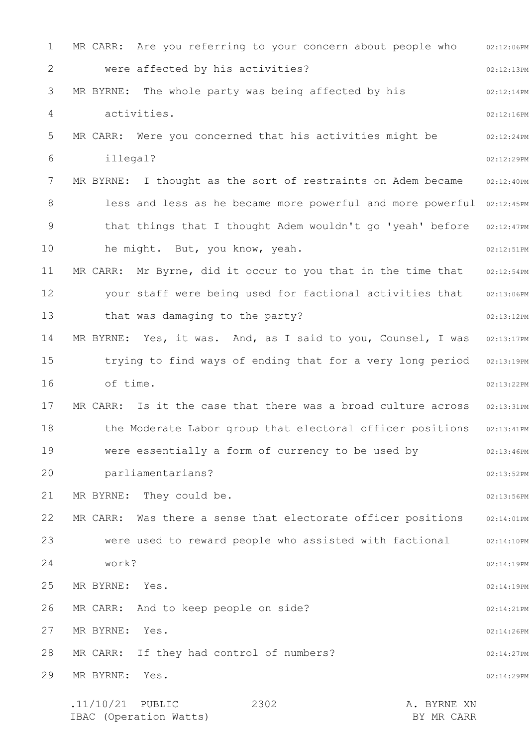| 1              | MR CARR: Are you referring to your concern about people who     | 02:12:06PM |
|----------------|-----------------------------------------------------------------|------------|
| 2              | were affected by his activities?                                | 02:12:13PM |
| 3              | MR BYRNE: The whole party was being affected by his             | 02:12:14PM |
| 4              | activities.                                                     | 02:12:16PM |
| 5              | MR CARR: Were you concerned that his activities might be        | 02:12:24PM |
| 6              | illegal?                                                        | 02:12:29PM |
| 7              | MR BYRNE: I thought as the sort of restraints on Adem became    | 02:12:40PM |
| 8              | less and less as he became more powerful and more powerful      | 02:12:45PM |
| $\overline{9}$ | that things that I thought Adem wouldn't go 'yeah' before       | 02:12:47PM |
| 10             | he might. But, you know, yeah.                                  | 02:12:51PM |
| 11             | MR CARR: Mr Byrne, did it occur to you that in the time that    | 02:12:54PM |
| 12             | your staff were being used for factional activities that        | 02:13:06PM |
| 13             | that was damaging to the party?                                 | 02:13:12PM |
| 14             | MR BYRNE: Yes, it was. And, as I said to you, Counsel, I was    | 02:13:17PM |
| 15             | trying to find ways of ending that for a very long period       | 02:13:19PM |
| 16             | of time.                                                        | 02:13:22PM |
| 17             | MR CARR: Is it the case that there was a broad culture across   | 02:13:31PM |
| 18             | the Moderate Labor group that electoral officer positions       | 02:13:41PM |
| 19             | were essentially a form of currency to be used by               | 02:13:46PM |
| 20             | parliamentarians?                                               | 02:13:52PM |
| 21             | MR BYRNE: They could be.                                        | 02:13:56PM |
| 22             | MR CARR:<br>Was there a sense that electorate officer positions | 02:14:01PM |
| 23             | were used to reward people who assisted with factional          | 02:14:10PM |
| 24             | work?                                                           | 02:14:19PM |
| 25             | MR BYRNE:<br>Yes.                                               | 02:14:19PM |
| 26             | MR CARR: And to keep people on side?                            | 02:14:21PM |
| 27             | MR BYRNE:<br>Yes.                                               | 02:14:26PM |
| 28             | MR CARR: If they had control of numbers?                        | 02:14:27PM |
| 29             | MR BYRNE:<br>Yes.                                               | 02:14:29PM |
|                | $.11/10/21$ PUBLIC<br>2302<br>A. BYRNE XN                       |            |
|                |                                                                 |            |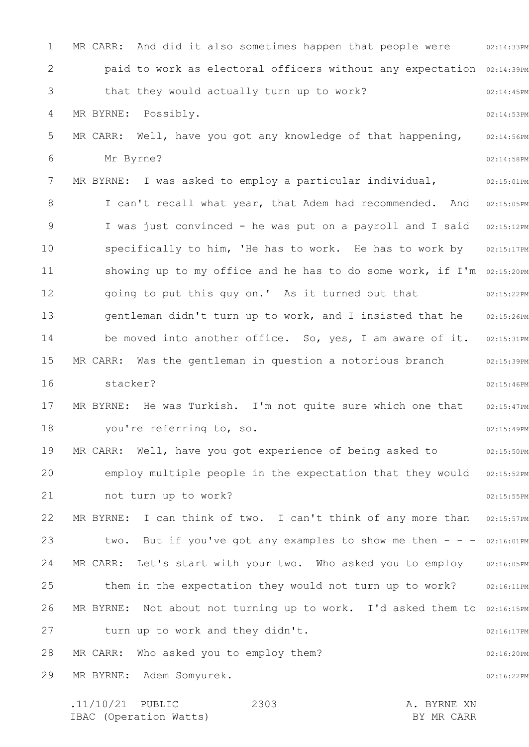1 2 3 4 5 6 7 8 9 10 11 12 13 14 15 16 17 18 19 20 21 22 23 24 25 26 27 28 29 MR CARR: And did it also sometimes happen that people were  $102:14:33PM$ paid to work as electoral officers without any expectation 02:14:39PM 02:14:45PM 02:14:53PM 02:14:56PM 02:14:58PM 02:15:01PM 02:15:05PM I was just convinced - he was put on a payroll and I said 02:15:12PM 02:15:17PM showing up to my office and he has to do some work, if I'm 02:15:20PM 02:15:22PM 02:15:26PM be moved into another office. So, yes, I am aware of it. 02:15:31PM 02:15:39PM 02:15:46PM 02:15:47PM 02:15:49PM 02:15:50PM employ multiple people in the expectation that they would 02:15:52PM 02:15:55PM 02:15:57PM two. But if you've got any examples to show me then  $- -$  02:16:01PM MR CARR: Let's start with your two. Who asked you to employ 02:16:05PM 02:16:11PM MR BYRNE: Not about not turning up to work. I'd asked them to 02:16:15PM 02:16:17PM 02:16:20PM 02:16:22PM that they would actually turn up to work? MR BYRNE: Possibly. MR CARR: Well, have you got any knowledge of that happening, Mr Byrne? MR BYRNE: I was asked to employ a particular individual, I can't recall what year, that Adem had recommended. And specifically to him, 'He has to work. He has to work by going to put this guy on.' As it turned out that gentleman didn't turn up to work, and I insisted that he MR CARR: Was the gentleman in question a notorious branch stacker? MR BYRNE: He was Turkish. I'm not quite sure which one that you're referring to, so. MR CARR: Well, have you got experience of being asked to not turn up to work? MR BYRNE: I can think of two. I can't think of any more than them in the expectation they would not turn up to work? turn up to work and they didn't. MR CARR: Who asked you to employ them? MR BYRNE: Adem Somyurek.

.11/10/21 PUBLIC 2303 A. BYRNE XN IBAC (Operation Watts) and the set of the BY MR CARR BY MR CARR 2303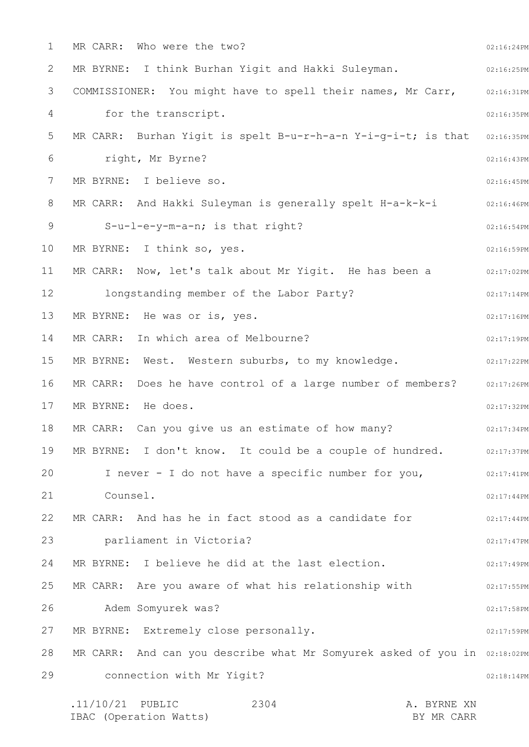1 2 3 4 5 6 7 8 9 10 11 12 13 14 15 16 17 18 19 20 21 22 23 24 25 26 27 28 29 02:16:24PM 02:16:25PM 02:16:31PM 02:16:35PM MR CARR: Burhan Yigit is spelt B-u-r-h-a-n Y-i-g-i-t; is that 02:16:35PM 02:16:43PM 02:16:45PM 02:16:46PM 02:16:54PM 02:16:59PM 02:17:02PM 02:17:14PM 02:17:16PM 02:17:19PM 02:17:22PM MR CARR: Does he have control of a large number of members? 02:17:26PM 02:17:32PM 02:17:34PM MR BYRNE: I don't know. It could be a couple of hundred.  $02:17:37PM$ 02:17:41PM 02:17:44PM 02:17:44PM 02:17:47PM 02:17:49PM 02:17:55PM 02:17:58PM 02:17:59PM MR CARR: And can you describe what Mr Somyurek asked of you in 02:18:02PM 02:18:14PM .11/10/21 PUBLIC 2304 A. BYRNE XN 2304 MR CARR: Who were the two? MR BYRNE: I think Burhan Yigit and Hakki Suleyman. COMMISSIONER: You might have to spell their names, Mr Carr, for the transcript. right, Mr Byrne? MR BYRNE: I believe so. MR CARR: And Hakki Suleyman is generally spelt H-a-k-k-i S-u-l-e-y-m-a-n; is that right? MR BYRNE: I think so, yes. MR CARR: Now, let's talk about Mr Yigit. He has been a longstanding member of the Labor Party? MR BYRNE: He was or is, yes. MR CARR: In which area of Melbourne? MR BYRNE: West. Western suburbs, to my knowledge. MR BYRNE: He does. MR CARR: Can you give us an estimate of how many? I never - I do not have a specific number for you, Counsel. MR CARR: And has he in fact stood as a candidate for parliament in Victoria? MR BYRNE: I believe he did at the last election. MR CARR: Are you aware of what his relationship with Adem Somyurek was? MR BYRNE: Extremely close personally. connection with Mr Yigit?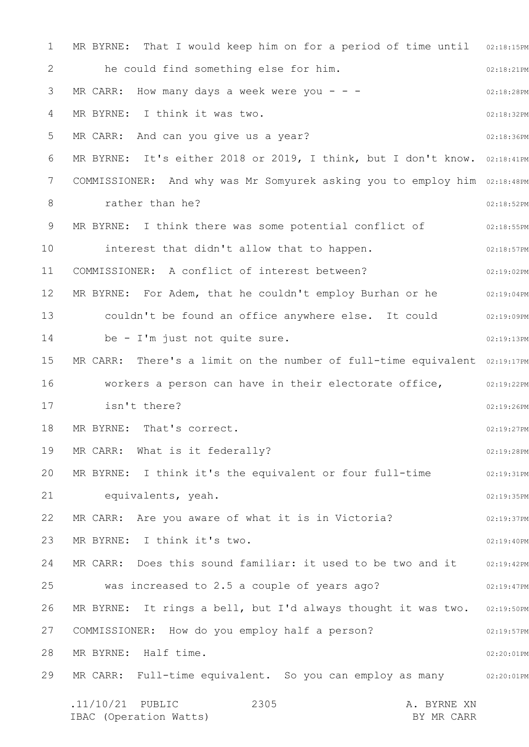1 2 3 4 5 6 7 8 9 10 11 12 13 14 15 16 17 18 19 20 21 22 23 24 25 26 27 28 29 MR BYRNE: That I would keep him on for a period of time until 02:18:15PM 02:18:21PM 02:18:28PM 02:18:32PM 02:18:36PM MR BYRNE: It's either 2018 or 2019, I think, but I don't know. 02:18:41PM COMMISSIONER: And why was Mr Somyurek asking you to employ him 02:18:48PM 02:18:52PM 02:18:55PM 02:18:57PM 02:19:02PM MR BYRNE: For Adem, that he couldn't employ Burhan or he  $102:19:04$ PM 02:19:09PM 02:19:13PM MR CARR: There's a limit on the number of full-time equivalent 02:19:17PM workers a person can have in their electorate office,  $\qquad \qquad 02:19:22 \, \texttt{PM}$ 02:19:26PM 02:19:27PM 02:19:28PM MR BYRNE: I think it's the equivalent or four full-time  $02:19:31PM$ 02:19:35PM 02:19:37PM 02:19:40PM MR CARR: Does this sound familiar: it used to be two and it  $\qquad \qquad 02:19:42 \, \texttt{PM}$ 02:19:47PM MR BYRNE: It rings a bell, but I'd always thought it was two. 02:19:50PM 02:19:57PM 02:20:01PM MR CARR: Full-time equivalent. So you can employ as many ornerosion .11/10/21 PUBLIC 2305 A. BYRNE XN IBAC (Operation Watts) BY MR CARR 2305 he could find something else for him. MR CARR: How many days a week were you  $- -$ MR BYRNE: I think it was two. MR CARR: And can you give us a year? rather than he? MR BYRNE: I think there was some potential conflict of interest that didn't allow that to happen. COMMISSIONER: A conflict of interest between? couldn't be found an office anywhere else. It could be - I'm just not quite sure. isn't there? MR BYRNE: That's correct. MR CARR: What is it federally? equivalents, yeah. MR CARR: Are you aware of what it is in Victoria? MR BYRNE: I think it's two. was increased to 2.5 a couple of years ago? COMMISSIONER: How do you employ half a person? MR BYRNE: Half time.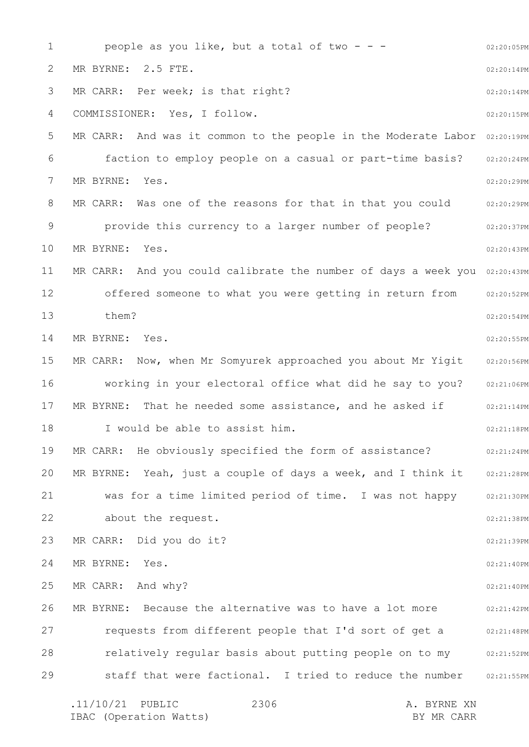1 2 3 4 5 6 7 8 9 10 11 12 13 14 15 16 17 18 19 20 21 22 23 24 25 26 27 28 29 02:20:05PM 02:20:14PM 02:20:14PM 02:20:15PM MR CARR: And was it common to the people in the Moderate Labor 02:20:19PM 02:20:24PM 02:20:29PM MR CARR: Was one of the reasons for that in that you could are are only as a seri 02:20:37PM 02:20:43PM MR CARR: And you could calibrate the number of days a week you 02:20:43PM 02:20:52PM 02:20:54PM 02:20:55PM 02:20:56PM 02:21:06PM 02:21:14PM 02:21:18PM 02:21:24PM MR BYRNE: Yeah, just a couple of days a week, and I think it 02:21:28PM 02:21:30PM 02:21:38PM 02:21:39PM 02:21:40PM 02:21:40PM 02:21:42PM requests from different people that I'd sort of get a  $02:21:48PM$ relatively regular basis about putting people on to my 02:21:52PM 02:21:55PM .11/10/21 PUBLIC 2306 A. BYRNE XN people as you like, but a total of two  $- -$ MR BYRNE: 2.5 FTE. MR CARR: Per week; is that right? COMMISSIONER: Yes, I follow. faction to employ people on a casual or part-time basis? MR BYRNE: Yes. provide this currency to a larger number of people? MR BYRNE: Yes. offered someone to what you were getting in return from them? MR BYRNE: Yes. MR CARR: Now, when Mr Somyurek approached you about Mr Yigit working in your electoral office what did he say to you? MR BYRNE: That he needed some assistance, and he asked if I would be able to assist him. MR CARR: He obviously specified the form of assistance? was for a time limited period of time. I was not happy about the request. MR CARR: Did you do it? MR BYRNE: Yes. MR CARR: And why? MR BYRNE: Because the alternative was to have a lot more staff that were factional. I tried to reduce the number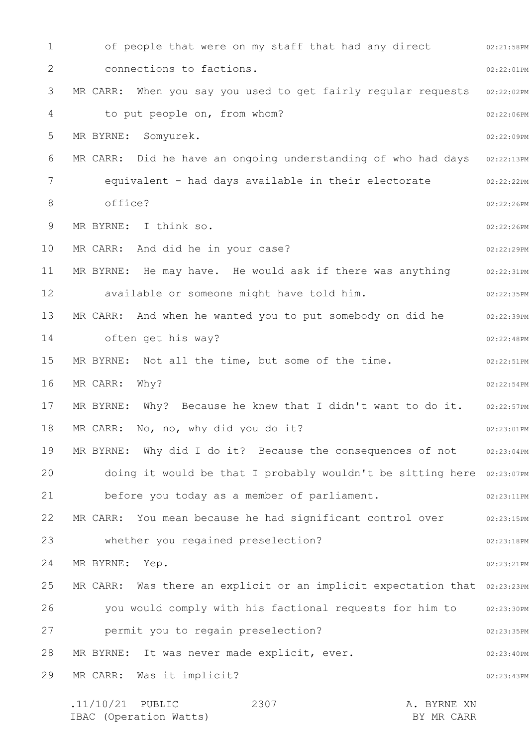1 2 3 4 5 6 7 8 9 10 11 12 13 14 15 16 17 18 19 20 21 22 23 24 25 26 27 28 29 02:21:58PM 02:22:01PM 02:22:02PM 02:22:06PM 02:22:09PM MR CARR: Did he have an ongoing understanding of who had days  $\,$  02:22:13PM  $\,$ 02:22:22PM 02:22:26PM 02:22:26PM 02:22:29PM 02:22:31PM 02:22:35PM 02:22:39PM 02:22:48PM 02:22:51PM 02:22:54PM 02:22:57PM 02:23:01PM MR BYRNE: Why did I do it? Because the consequences of not 02:23:04PM doing it would be that I probably wouldn't be sitting here 02:23:07PM 02:23:11PM 02:23:15PM 02:23:18PM 02:23:21PM MR CARR: Was there an explicit or an implicit expectation that  $02:23:23PM$ 02:23:30PM 02:23:35PM 02:23:40PM 02:23:43PM .11/10/21 PUBLIC 2307 A. BYRNE XN 2307 of people that were on my staff that had any direct connections to factions. MR CARR: When you say you used to get fairly regular requests to put people on, from whom? MR BYRNE: Somyurek. equivalent - had days available in their electorate office? MR BYRNE: I think so. MR CARR: And did he in your case? MR BYRNE: He may have. He would ask if there was anything available or someone might have told him. MR CARR: And when he wanted you to put somebody on did he often get his way? MR BYRNE: Not all the time, but some of the time. MR CARR: Why? MR BYRNE: Why? Because he knew that I didn't want to do it. MR CARR: No, no, why did you do it? before you today as a member of parliament. MR CARR: You mean because he had significant control over whether you regained preselection? MR BYRNE: Yep. you would comply with his factional requests for him to permit you to regain preselection? MR BYRNE: It was never made explicit, ever. MR CARR: Was it implicit?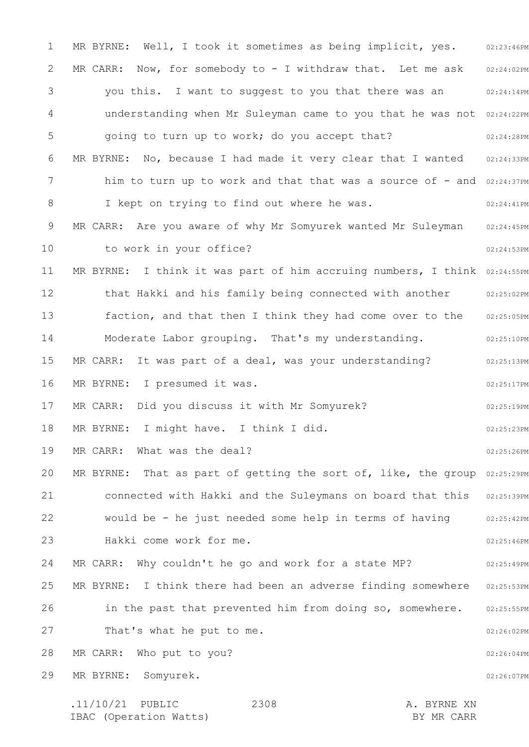1 2 3 4 5 6 7 8 9 10 11 12 13 14 15 16 17 18 19 20 21 22 23 24 25 26 27 28 29 MR BYRNE: Well, I took it sometimes as being implicit, yes. 02:23:46PM 02:24:02PM 02:24:14PM understanding when Mr Suleyman came to you that he was not 02:24:22PM 02:24:28PM 02:24:33PM him to turn up to work and that that was a source of - and 02:24:37PM 02:24:41PM 02:24:45PM 02:24:53PM MR BYRNE: I think it was part of him accruing numbers, I think 02:24:55PM that Hakki and his family being connected with another 02:25:02PM 02:25:05PM 02:25:10PM 02:25:13PM 02:25:17PM 02:25:19PM 02:25:23PM 02:25:26PM MR BYRNE: That as part of getting the sort of, like, the group  $02:25:29PM$ connected with Hakki and the Suleymans on board that this 02:25:39PM 02:25:42PM 02:25:46PM 02:25:49PM MR BYRNE: I think there had been an adverse finding somewhere 02:25:53PM 02:25:55PM 02:26:02PM 02:26:04PM 02:26:07PM MR CARR: Now, for somebody to - I withdraw that. Let me ask you this. I want to suggest to you that there was an going to turn up to work; do you accept that? MR BYRNE: No, because I had made it very clear that I wanted I kept on trying to find out where he was. MR CARR: Are you aware of why Mr Somyurek wanted Mr Suleyman to work in your office? faction, and that then I think they had come over to the Moderate Labor grouping. That's my understanding. MR CARR: It was part of a deal, was your understanding? MR BYRNE: I presumed it was. MR CARR: Did you discuss it with Mr Somyurek? MR BYRNE: I might have. I think I did. MR CARR: What was the deal? would be - he just needed some help in terms of having Hakki come work for me. MR CARR: Why couldn't he go and work for a state MP? in the past that prevented him from doing so, somewhere. That's what he put to me. MR CARR: Who put to you? MR BYRNE: Somyurek.

.11/10/21 PUBLIC 2308 A. BYRNE XN IBAC (Operation Watts) and the set of the BY MR CARR BY MR CARR 2308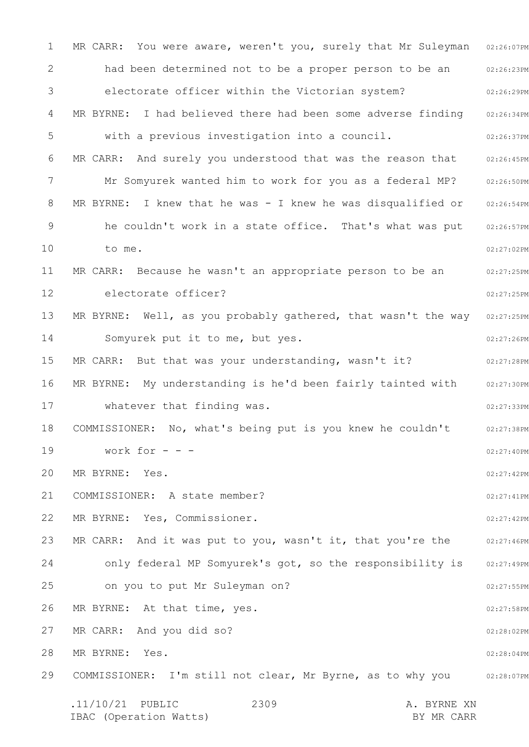1 2 3 4 5 6 7 8 9 10 11 12 13 14 15 16 17 18 19 20 21 22 23 24 25 26 27 28 29 MR CARR: You were aware, weren't you, surely that Mr Suleyman 02:26:07PM 02:26:23PM 02:26:29PM MR BYRNE: I had believed there had been some adverse finding 02:26:34PM 02:26:37PM 02:26:45PM 02:26:50PM MR BYRNE: I knew that he was - I knew he was disqualified or 02:26:54PM 02:26:57PM 02:27:02PM 02:27:25PM 02:27:25PM MR BYRNE: Well, as you probably gathered, that wasn't the way  $\,$  02:27:25PM  $\,$ 02:27:26PM 02:27:28PM MR BYRNE: My understanding is he'd been fairly tainted with 02:27:30PM 02:27:33PM 02:27:38PM 02:27:40PM 02:27:42PM 02:27:41PM 02:27:42PM MR CARR: And it was put to you, wasn't it, that you're the o2:27:46PM 02:27:49PM 02:27:55PM 02:27:58PM 02:28:02PM 02:28:04PM COMMISSIONER: I'm still not clear, Mr Byrne, as to why you o2:28:07PM .11/10/21 PUBLIC 2309 A. BYRNE XN IBAC (Operation Watts) and the set of the BY MR CARR BY MR CARR 2309 had been determined not to be a proper person to be an electorate officer within the Victorian system? with a previous investigation into a council. MR CARR: And surely you understood that was the reason that Mr Somyurek wanted him to work for you as a federal MP? he couldn't work in a state office. That's what was put to me. MR CARR: Because he wasn't an appropriate person to be an electorate officer? Somyurek put it to me, but yes. MR CARR: But that was your understanding, wasn't it? whatever that finding was. COMMISSIONER: No, what's being put is you knew he couldn't work for  $-$ MR BYRNE: Yes. COMMISSIONER: A state member? MR BYRNE: Yes, Commissioner. only federal MP Somyurek's got, so the responsibility is on you to put Mr Suleyman on? MR BYRNE: At that time, yes. MR CARR: And you did so? MR BYRNE: Yes.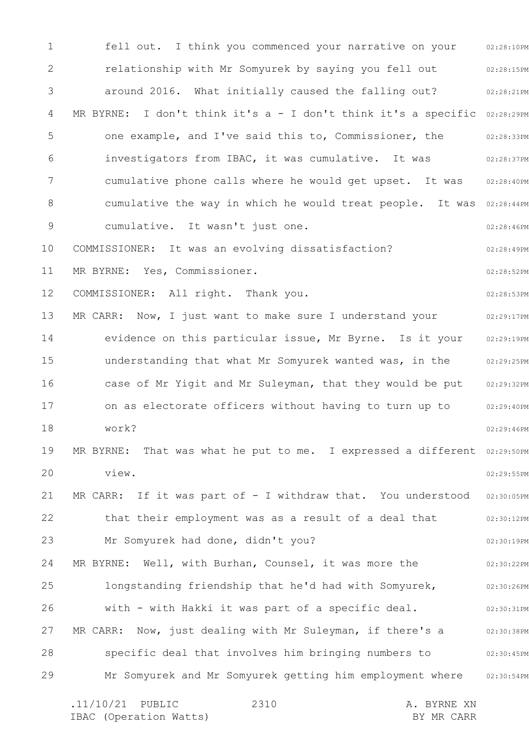1 2 3 4 5 6 7 8 9 10 11 12 13 14 15 16 17 18 19 20 21 22 23 24 25 26 27 28 29 02:28:10PM 02:28:15PM 02:28:21PM MR BYRNE: I don't think it's a - I don't think it's a specific 02:28:29PM 02:28:33PM 02:28:37PM 02:28:40PM cumulative the way in which he would treat people. It was 02:28:44PM 02:28:46PM 02:28:49PM 02:28:52PM 02:28:53PM 02:29:17PM 02:29:19PM 02:29:25PM 02:29:32PM 02:29:40PM 02:29:46PM MR BYRNE: That was what he put to me. I expressed a different 02:29:50PM 02:29:55PM 02:30:05PM 02:30:12PM 02:30:19PM 02:30:22PM 02:30:26PM 02:30:31PM 02:30:38PM 02:30:45PM 02:30:54PM fell out. I think you commenced your narrative on your relationship with Mr Somyurek by saying you fell out around 2016. What initially caused the falling out? one example, and I've said this to, Commissioner, the investigators from IBAC, it was cumulative. It was cumulative phone calls where he would get upset. It was cumulative. It wasn't just one. COMMISSIONER: It was an evolving dissatisfaction? MR BYRNE: Yes, Commissioner. COMMISSIONER: All right. Thank you. MR CARR: Now, I just want to make sure I understand your evidence on this particular issue, Mr Byrne. Is it your understanding that what Mr Somyurek wanted was, in the case of Mr Yigit and Mr Suleyman, that they would be put on as electorate officers without having to turn up to work? view. MR CARR: If it was part of - I withdraw that. You understood that their employment was as a result of a deal that Mr Somyurek had done, didn't you? MR BYRNE: Well, with Burhan, Counsel, it was more the longstanding friendship that he'd had with Somyurek, with - with Hakki it was part of a specific deal. MR CARR: Now, just dealing with Mr Suleyman, if there's a specific deal that involves him bringing numbers to Mr Somyurek and Mr Somyurek getting him employment where

.11/10/21 PUBLIC 2310 A. BYRNE XN IBAC (Operation Watts) and the set of the BY MR CARR BY MR CARR 2310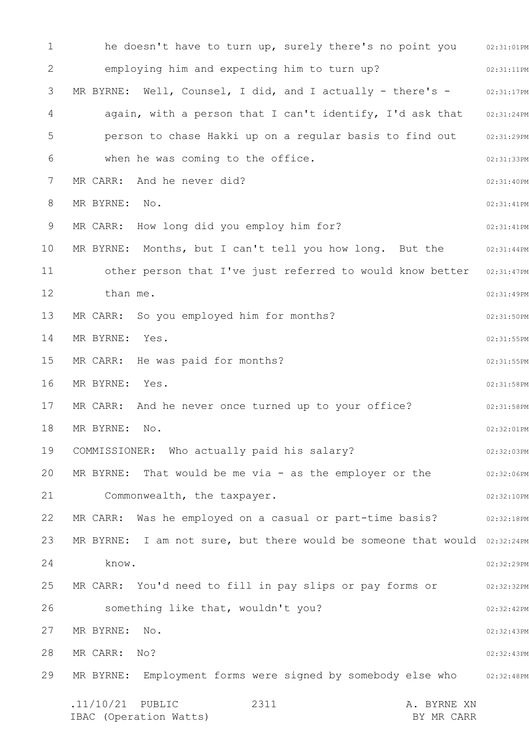1 2 3 4 5 6 7 8 9 10 11 12 13 14 15 16 17 18 19 20 21 22 23 24 25 26 27 28 29 he doesn't have to turn up, surely there's no point you and  $02:31:01$ PM 02:31:11PM 02:31:17PM again, with a person that I can't identify, I'd ask that 02:31:24PM 02:31:29PM 02:31:33PM 02:31:40PM 02:31:41PM 02:31:41PM 02:31:44PM other person that I've just referred to would know better 02:31:47PM 02:31:49PM 02:31:50PM 02:31:55PM 02:31:55PM 02:31:58PM 02:31:58PM 02:32:01PM 02:32:03PM 02:32:06PM 02:32:10PM 02:32:18PM MR BYRNE: I am not sure, but there would be someone that would  $02:32:24PM$ 02:32:29PM 02:32:32PM 02:32:42PM 02:32:43PM 02:32:43PM MR BYRNE: Employment forms were signed by somebody else who alionisment .11/10/21 PUBLIC 2311 A. BYRNE XN IBAC (Operation Watts) BY MR CARR 2311 employing him and expecting him to turn up? MR BYRNE: Well, Counsel, I did, and I actually - there's person to chase Hakki up on a regular basis to find out when he was coming to the office. MR CARR: And he never did? MR BYRNE: No. MR CARR: How long did you employ him for? MR BYRNE: Months, but I can't tell you how long. But the than me. MR CARR: So you employed him for months? MR BYRNE: Yes. MR CARR: He was paid for months? MR BYRNE: Yes. MR CARR: And he never once turned up to your office? MR BYRNE: No. COMMISSIONER: Who actually paid his salary? MR BYRNE: That would be me via - as the employer or the Commonwealth, the taxpayer. MR CARR: Was he employed on a casual or part-time basis? know. MR CARR: You'd need to fill in pay slips or pay forms or something like that, wouldn't you? MR BYRNE: No. MR CARR: No?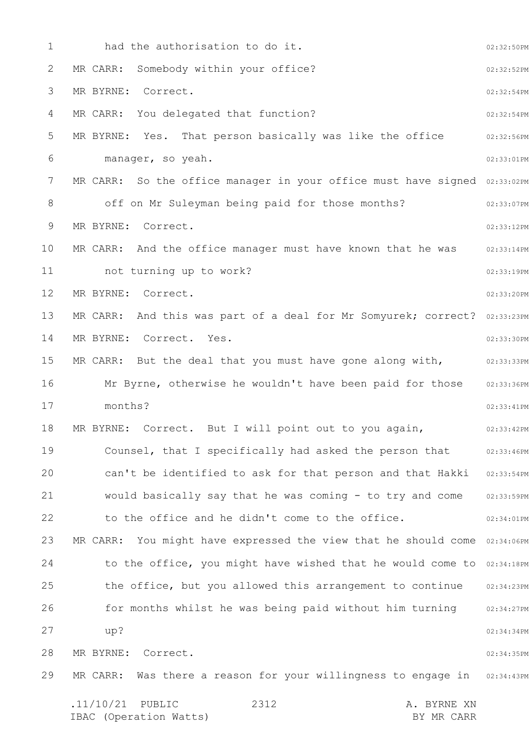| 1  | had the authorisation to do it.                                           | 02:32:50PM |  |  |
|----|---------------------------------------------------------------------------|------------|--|--|
| 2  | Somebody within your office?<br>MR CARR:                                  | 02:32:52PM |  |  |
| 3  | MR BYRNE: Correct.                                                        | 02:32:54PM |  |  |
| 4  | MR CARR: You delegated that function?                                     |            |  |  |
| 5  | MR BYRNE: Yes. That person basically was like the office                  |            |  |  |
| 6  | manager, so yeah.                                                         |            |  |  |
| 7  | MR CARR: So the office manager in your office must have signed 02:33:02PM |            |  |  |
| 8  | off on Mr Suleyman being paid for those months?                           | 02:33:07PM |  |  |
| 9  | MR BYRNE:<br>Correct.                                                     |            |  |  |
| 10 | MR CARR: And the office manager must have known that he was               | 02:33:14PM |  |  |
| 11 | not turning up to work?                                                   | 02:33:19PM |  |  |
| 12 | MR BYRNE:<br>Correct.                                                     | 02:33:20PM |  |  |
| 13 | MR CARR: And this was part of a deal for Mr Somyurek; correct? 02:33:23PM |            |  |  |
| 14 | MR BYRNE: Correct. Yes.                                                   | 02:33:30PM |  |  |
| 15 | MR CARR: But the deal that you must have gone along with,                 | 02:33:33PM |  |  |
| 16 | Mr Byrne, otherwise he wouldn't have been paid for those                  | 02:33:36PM |  |  |
| 17 | months?                                                                   | 02:33:41PM |  |  |
| 18 | MR BYRNE: Correct. But I will point out to you again,                     | 02:33:42PM |  |  |
| 19 | Counsel, that I specifically had asked the person that                    | 02:33:46PM |  |  |
| 20 | can't be identified to ask for that person and that Hakki                 | 02:33:54PM |  |  |
| 21 | would basically say that he was coming - to try and come                  | 02:33:59PM |  |  |
| 22 | to the office and he didn't come to the office.                           | 02:34:01PM |  |  |
| 23 | MR CARR: You might have expressed the view that he should come            | 02:34:06PM |  |  |
| 24 | to the office, you might have wished that he would come to                | 02:34:18PM |  |  |
| 25 | the office, but you allowed this arrangement to continue                  | 02:34:23PM |  |  |
| 26 | for months whilst he was being paid without him turning                   | 02:34:27PM |  |  |
| 27 | up?                                                                       | 02:34:34PM |  |  |
| 28 | MR BYRNE:<br>Correct.                                                     | 02:34:35PM |  |  |
| 29 | Was there a reason for your willingness to engage in<br>MR CARR:          | 02:34:43PM |  |  |
|    | .11/10/21<br>2312<br>PUBLIC<br>A. BYRNE XN                                |            |  |  |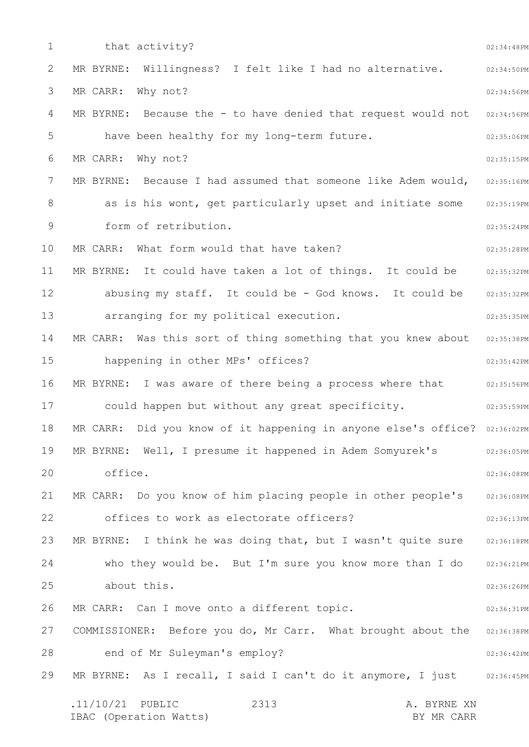1 2 3 4 5 6 7 8 9 10 11 12 13 14 15 16 17 18 19 20 21 22 23 24 25 26 27 28 29 02:34:48PM 02:34:50PM 02:34:56PM MR BYRNE: Because the - to have denied that request would not 02:34:56PM 02:35:06PM 02:35:15PM MR BYRNE: Because I had assumed that someone like Adem would,  $\,$  02:35:16PM as is his wont, get particularly upset and initiate some 02:35:19PM 02:35:24PM 02:35:28PM 02:35:32PM abusing my staff. It could be - God knows. It could be 02:35:32PM 02:35:35PM MR CARR: Was this sort of thing something that you knew about 02:35:38PM 02:35:42PM MR BYRNE: I was aware of there being a process where that  $102:35:56PM$ 02:35:59PM MR CARR: Did you know of it happening in anyone else's office? 02:36:02PM 02:36:05PM 02:36:08PM 02:36:08PM 02:36:13PM MR BYRNE: I think he was doing that, but I wasn't quite sure 02:36:18PM who they would be. But I'm sure you know more than I do 02:36:21PM 02:36:26PM 02:36:31PM COMMISSIONER: Before you do, Mr Carr. What brought about the 02:36:38PM 02:36:42PM MR BYRNE: As I recall, I said I can't do it anymore, I just 02:36:45PM .11/10/21 PUBLIC 2313 A. BYRNE XN IBAC (Operation Watts) BY MR CARR 2313 that activity? MR BYRNE: Willingness? I felt like I had no alternative. MR CARR: Why not? have been healthy for my long-term future. MR CARR: Why not? form of retribution. MR CARR: What form would that have taken? MR BYRNE: It could have taken a lot of things. It could be arranging for my political execution. happening in other MPs' offices? could happen but without any great specificity. MR BYRNE: Well, I presume it happened in Adem Somyurek's office. MR CARR: Do you know of him placing people in other people's offices to work as electorate officers? about this. MR CARR: Can I move onto a different topic. end of Mr Suleyman's employ?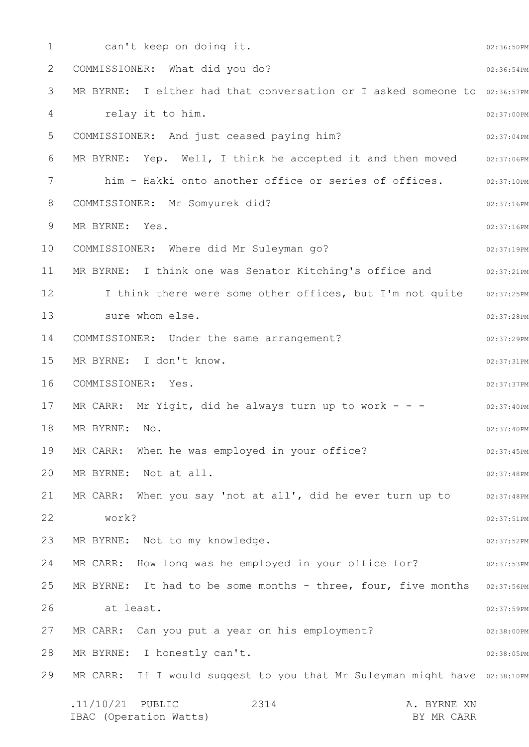1 2 3 4 5 6 7 8 9 10 11 12 13 14 15 16 17 18 19 20 21 22 23 24 25 26 27 28 29 02:36:50PM 02:36:54PM MR BYRNE: I either had that conversation or I asked someone to 02:36:57PM 02:37:00PM 02:37:04PM 02:37:06PM him - Hakki onto another office or series of offices.  $\qquad \qquad 02:37:10PM$ 02:37:16PM 02:37:16PM 02:37:19PM MR BYRNE: I think one was Senator Kitching's office and  $02:37:21PM$ I think there were some other offices, but I'm not quite 02:37:25PM 02:37:28PM 02:37:29PM 02:37:31PM 02:37:37PM 02:37:40PM 02:37:40PM 02:37:45PM 02:37:48PM 02:37:48PM 02:37:51PM 02:37:52PM MR CARR: How long was he employed in your office for?  $02:37:53PM$ MR BYRNE: It had to be some months - three, four, five months 02:37:56PM 02:37:59PM 02:38:00PM 02:38:05PM MR CARR: If I would suggest to you that Mr Suleyman might have 02:38:10PM .11/10/21 PUBLIC 2314 A. BYRNE XN IBAC (Operation Watts) BY MR CARR 2314 can't keep on doing it. COMMISSIONER: What did you do? relay it to him. COMMISSIONER: And just ceased paying him? MR BYRNE: Yep. Well, I think he accepted it and then moved COMMISSIONER: Mr Somyurek did? MR BYRNE: Yes. COMMISSIONER: Where did Mr Suleyman go? sure whom else. COMMISSIONER: Under the same arrangement? MR BYRNE: I don't know. COMMISSIONER: Yes. MR CARR: Mr Yigit, did he always turn up to work - - -MR BYRNE: No. MR CARR: When he was employed in your office? MR BYRNE: Not at all. MR CARR: When you say 'not at all', did he ever turn up to work? MR BYRNE: Not to my knowledge. at least. MR CARR: Can you put a year on his employment? MR BYRNE: I honestly can't.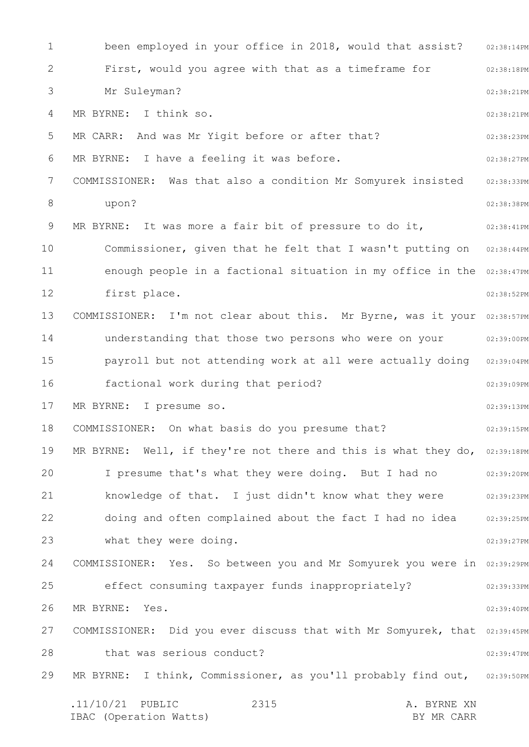1 2 3 4 5 6 7 8 9 10 11 12 13 14 15 16 17 18 19 20 21 22 23 24 25 26 27 28 29 02:38:14PM 02:38:18PM 02:38:21PM 02:38:21PM 02:38:23PM 02:38:27PM 02:38:33PM 02:38:38PM 02:38:41PM Commissioner, given that he felt that I wasn't putting on 02:38:44PM enough people in a factional situation in my office in the 02:38:47PM 02:38:52PM COMMISSIONER: I'm not clear about this. Mr Byrne, was it your 02:38:57PM 02:39:00PM payroll but not attending work at all were actually doing 02:39:04PM 02:39:09PM 02:39:13PM 02:39:15PM MR BYRNE: Well, if they're not there and this is what they do,  $02:39:18PM$ I presume that's what they were doing. But I had no  $02:39:20PM$ 02:39:23PM 02:39:25PM 02:39:27PM COMMISSIONER: Yes. So between you and Mr Somyurek you were in 02:39:29PM 02:39:33PM 02:39:40PM COMMISSIONER: Did you ever discuss that with Mr Somyurek, that 02:39:45PM 02:39:47PM MR BYRNE: I think, Commissioner, as you'll probably find out, 02:39:50PM .11/10/21 PUBLIC 2315 A. BYRNE XN IBAC (Operation Watts) and the set of the BY MR CARR BY MR CARR 2315 been employed in your office in 2018, would that assist? First, would you agree with that as a timeframe for Mr Suleyman? MR BYRNE: I think so. MR CARR: And was Mr Yigit before or after that? MR BYRNE: I have a feeling it was before. COMMISSIONER: Was that also a condition Mr Somyurek insisted upon? MR BYRNE: It was more a fair bit of pressure to do it, first place. understanding that those two persons who were on your factional work during that period? MR BYRNE: I presume so. COMMISSIONER: On what basis do you presume that? knowledge of that. I just didn't know what they were doing and often complained about the fact I had no idea what they were doing. effect consuming taxpayer funds inappropriately? MR BYRNE: Yes. that was serious conduct?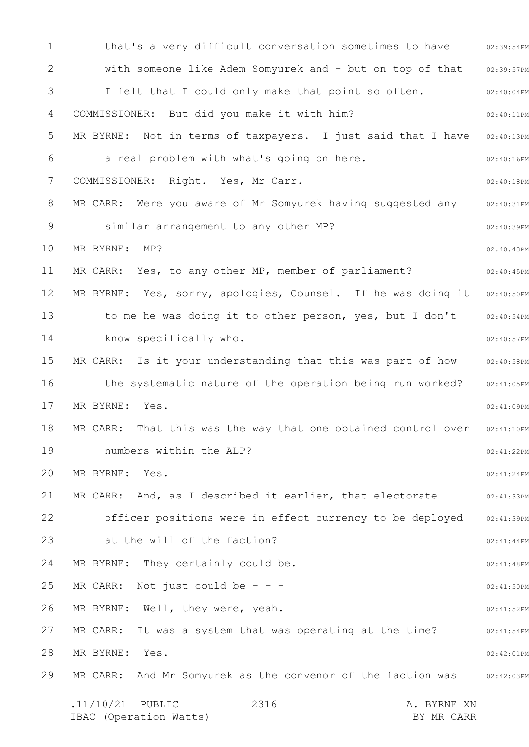1 2 3 4 5 6 7 8 9 10 11 12 13 14 15 16 17 18 19 20 21 22 23 24 25 26 27 28 29 that's a very difficult conversation sometimes to have 02:39:54PM 02:39:57PM 02:40:04PM 02:40:11PM MR BYRNE: Not in terms of taxpayers. I just said that I have 02:40:13PM 02:40:16PM 02:40:18PM MR CARR: Were you aware of Mr Somyurek having suggested any allexistem 02:40:39PM 02:40:43PM 02:40:45PM MR BYRNE: Yes, sorry, apologies, Counsel. If he was doing it 02:40:50PM 02:40:54PM 02:40:57PM MR CARR: Is it your understanding that this was part of how 02:40:58PM 02:41:05PM 02:41:09PM 02:41:10PM 02:41:22PM 02:41:24PM 02:41:33PM 02:41:39PM 02:41:44PM 02:41:48PM 02:41:50PM 02:41:52PM 02:41:54PM 02:42:01PM MR CARR: And Mr Somyurek as the convenor of the faction was 02:42:03PM .11/10/21 PUBLIC 2316 A. BYRNE XN IBAC (Operation Watts) and the set of the BY MR CARR BY MR CARR 2316 with someone like Adem Somyurek and - but on top of that I felt that I could only make that point so often. COMMISSIONER: But did you make it with him? a real problem with what's going on here. COMMISSIONER: Right. Yes, Mr Carr. similar arrangement to any other MP? MR BYRNE: MP? MR CARR: Yes, to any other MP, member of parliament? to me he was doing it to other person, yes, but I don't know specifically who. the systematic nature of the operation being run worked? MR BYRNE: Yes. MR CARR: That this was the way that one obtained control over numbers within the ALP? MR BYRNE: Yes. MR CARR: And, as I described it earlier, that electorate officer positions were in effect currency to be deployed at the will of the faction? MR BYRNE: They certainly could be. MR CARR: Not just could be  $-$  -  $-$ MR BYRNE: Well, they were, yeah. MR CARR: It was a system that was operating at the time? MR BYRNE: Yes.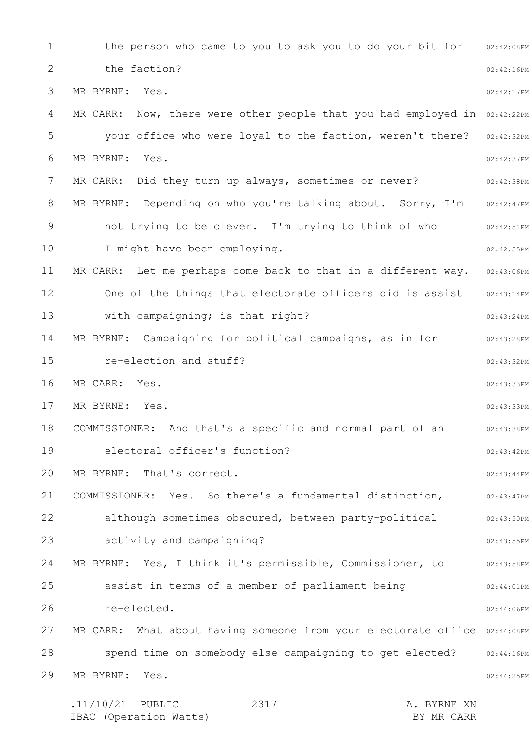1 2 3 4 5 6 7 8 9 10 11 12 13 14 15 16 17 18 19 20 21 22 23 24 25 26 27 28 29 the person who came to you to ask you to do your bit for 02:42:08PM 02:42:16PM 02:42:17PM MR CARR: Now, there were other people that you had employed in 02:42:22PM your office who were loyal to the faction, weren't there? 02:42:32PM 02:42:37PM 02:42:38PM MR BYRNE: Depending on who you're talking about. Sorry, I'm 02:42:47PM 02:42:51PM 02:42:55PM MR CARR: Let me perhaps come back to that in a different way. 02:43:06PM 02:43:14PM 02:43:24PM 02:43:28PM 02:43:32PM 02:43:33PM 02:43:33PM 02:43:38PM 02:43:42PM 02:43:44PM 02:43:47PM 02:43:50PM 02:43:55PM MR BYRNE: Yes, I think it's permissible, Commissioner, to and the 12:43:58PM 02:44:01PM 02:44:06PM MR CARR: What about having someone from your electorate office 02:44:08PM spend time on somebody else campaigning to get elected? 02:44:16PM 02:44:25PM .11/10/21 PUBLIC 2317 A. BYRNE XN 2317 the faction? MR BYRNE: Yes. MR BYRNE: Yes. MR CARR: Did they turn up always, sometimes or never? not trying to be clever. I'm trying to think of who I might have been employing. One of the things that electorate officers did is assist with campaigning; is that right? MR BYRNE: Campaigning for political campaigns, as in for re-election and stuff? MR CARR: Yes. MR BYRNE: Yes. COMMISSIONER: And that's a specific and normal part of an electoral officer's function? MR BYRNE: That's correct. COMMISSIONER: Yes. So there's a fundamental distinction, although sometimes obscured, between party-political activity and campaigning? assist in terms of a member of parliament being re-elected. MR BYRNE: Yes.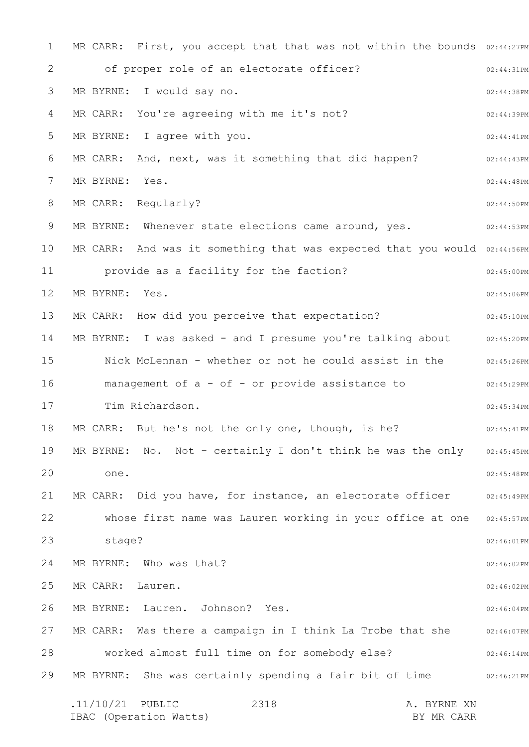1 2 3 4 5 6 7 8 9 10 11 12 13 14 15 16 17 18 19 20 21 22 23 24 25 26 27 28 29 MR CARR: First, you accept that that was not within the bounds 02:44:27PM 02:44:31PM 02:44:38PM 02:44:39PM 02:44:41PM 02:44:43PM 02:44:48PM 02:44:50PM 02:44:53PM MR CARR: And was it something that was expected that you would 02:44:56PM 02:45:00PM 02:45:06PM 02:45:10PM 02:45:20PM Nick McLennan - whether or not he could assist in the  $102:45:26$ PM 02:45:29PM 02:45:34PM 02:45:41PM MR BYRNE: No. Not - certainly I don't think he was the only 02:45:45PM 02:45:48PM 02:45:49PM 02:45:57PM 02:46:01PM 02:46:02PM 02:46:02PM 02:46:04PM MR CARR: Was there a campaign in I think La Trobe that she 02:46:07PM 02:46:14PM 02:46:21PM .11/10/21 PUBLIC 2318 A. BYRNE XN 2318 of proper role of an electorate officer? MR BYRNE: I would say no. MR CARR: You're agreeing with me it's not? MR BYRNE: I agree with you. MR CARR: And, next, was it something that did happen? MR BYRNE: Yes. MR CARR: Regularly? MR BYRNE: Whenever state elections came around, yes. provide as a facility for the faction? MR BYRNE: Yes. MR CARR: How did you perceive that expectation? MR BYRNE: I was asked - and I presume you're talking about management of a - of - or provide assistance to Tim Richardson. MR CARR: But he's not the only one, though, is he? one. MR CARR: Did you have, for instance, an electorate officer whose first name was Lauren working in your office at one stage? MR BYRNE: Who was that? MR CARR: Lauren. MR BYRNE: Lauren. Johnson? Yes. worked almost full time on for somebody else? MR BYRNE: She was certainly spending a fair bit of time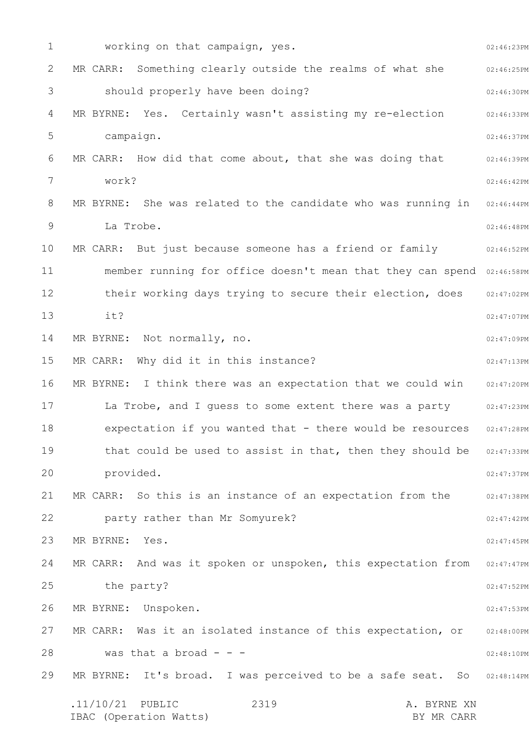1 2 3 4 5 6 7 8 9 10 11 12 13 14 15 16 17 18 19 20 21 22 23 24 25 26 27 28 29 02:46:23PM 02:46:25PM 02:46:30PM 02:46:33PM 02:46:37PM 02:46:39PM 02:46:42PM MR BYRNE: She was related to the candidate who was running in 02:46:44PM 02:46:48PM 02:46:52PM member running for office doesn't mean that they can spend 02:46:58PM 02:47:02PM 02:47:07PM 02:47:09PM 02:47:13PM MR BYRNE: I think there was an expectation that we could win 02:47:20PM 02:47:23PM 02:47:28PM that could be used to assist in that, then they should be 02:47:33PM 02:47:37PM 02:47:38PM 02:47:42PM 02:47:45PM MR CARR: And was it spoken or unspoken, this expectation from 02:47:47PM 02:47:52PM 02:47:53PM 02:48:00PM 02:48:10PM MR BYRNE: It's broad. I was perceived to be a safe seat. So 02:48:14PM .11/10/21 PUBLIC 2319 A. BYRNE XN IBAC (Operation Watts) BY MR CARR 2319 working on that campaign, yes. MR CARR: Something clearly outside the realms of what she should properly have been doing? MR BYRNE: Yes. Certainly wasn't assisting my re-election campaign. MR CARR: How did that come about, that she was doing that work? La Trobe. MR CARR: But just because someone has a friend or family their working days trying to secure their election, does it? MR BYRNE: Not normally, no. MR CARR: Why did it in this instance? La Trobe, and I guess to some extent there was a party expectation if you wanted that - there would be resources provided. MR CARR: So this is an instance of an expectation from the party rather than Mr Somyurek? MR BYRNE: Yes. the party? MR BYRNE: Unspoken. MR CARR: Was it an isolated instance of this expectation, or was that a broad  $- -$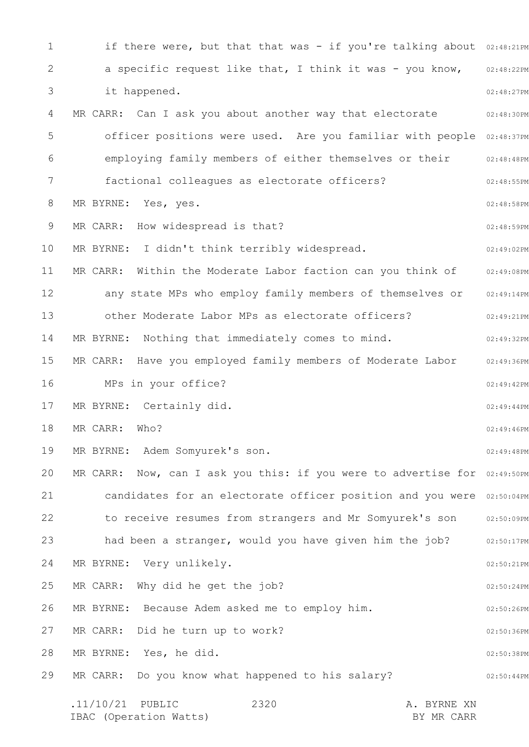1 2 3 4 5 6 7 8 9 10 11 12 13 14 15 16 17 18 19 20 21 22 23 24 25 26 27 28 29 if there were, but that that was - if you're talking about 02:48:21PM 02:48:22PM 02:48:27PM 02:48:30PM officer positions were used. Are you familiar with people 02:48:37PM 02:48:48PM 02:48:55PM 02:48:58PM 02:48:59PM 02:49:02PM 02:49:08PM any state MPs who employ family members of themselves or 02:49:14PM 02:49:21PM 02:49:32PM 02:49:36PM 02:49:42PM 02:49:44PM 02:49:46PM 02:49:48PM MR CARR: Now, can I ask you this: if you were to advertise for  $02:49:50$ PM candidates for an electorate officer position and you were 02:50:04PM to receive resumes from strangers and Mr Somyurek's son 02:50:09PM had been a stranger, would you have given him the job? 32:50:17PM 02:50:21PM 02:50:24PM 02:50:26PM 02:50:36PM 02:50:38PM 02:50:44PM .11/10/21 PUBLIC 2320 A. BYRNE XN 2320 a specific request like that, I think it was - you know, it happened. MR CARR: Can I ask you about another way that electorate employing family members of either themselves or their factional colleagues as electorate officers? MR BYRNE: Yes, yes. MR CARR: How widespread is that? MR BYRNE: I didn't think terribly widespread. MR CARR: Within the Moderate Labor faction can you think of other Moderate Labor MPs as electorate officers? MR BYRNE: Nothing that immediately comes to mind. MR CARR: Have you employed family members of Moderate Labor MPs in your office? MR BYRNE: Certainly did. MR CARR: Who? MR BYRNE: Adem Somyurek's son. MR BYRNE: Very unlikely. MR CARR: Why did he get the job? MR BYRNE: Because Adem asked me to employ him. MR CARR: Did he turn up to work? MR BYRNE: Yes, he did. MR CARR: Do you know what happened to his salary?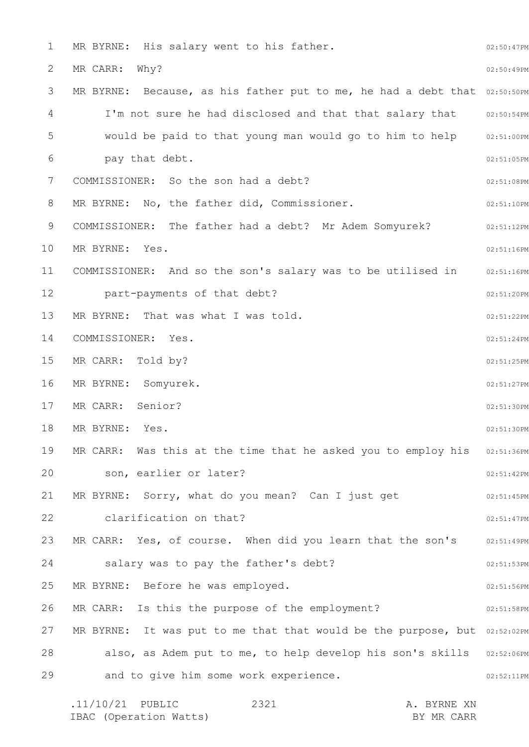1 2 3 4 5 6 7 8 9 10 11 12 13 14 15 16 17 18 19 20 21 22 23 24 25 26 27 28 29 02:50:47PM 02:50:49PM MR BYRNE: Because, as his father put to me, he had a debt that  $02:50:50PM$ I'm not sure he had disclosed and that that salary that 02:50:54PM 02:51:00PM 02:51:05PM 02:51:08PM 02:51:10PM 02:51:12PM 02:51:16PM 02:51:16PM 02:51:20PM 02:51:22PM 02:51:24PM 02:51:25PM 02:51:27PM 02:51:30PM 02:51:30PM MR CARR: Was this at the time that he asked you to employ his 02:51:36PM 02:51:42PM 02:51:45PM 02:51:47PM MR CARR: Yes, of course. When did you learn that the son's 02:51:49PM 02:51:53PM 02:51:56PM 02:51:58PM MR BYRNE: It was put to me that that would be the purpose, but 02:52:02PM also, as Adem put to me, to help develop his son's skills 02:52:06PM 02:52:11PM MR BYRNE: His salary went to his father. MR CARR: Why? would be paid to that young man would go to him to help pay that debt. COMMISSIONER: So the son had a debt? MR BYRNE: No, the father did, Commissioner. COMMISSIONER: The father had a debt? Mr Adem Somyurek? MR BYRNE: Yes. COMMISSIONER: And so the son's salary was to be utilised in part-payments of that debt? MR BYRNE: That was what I was told. COMMISSIONER: Yes. MR CARR: Told by? MR BYRNE: Somyurek. MR CARR: Senior? MR BYRNE: Yes. son, earlier or later? MR BYRNE: Sorry, what do you mean? Can I just get clarification on that? salary was to pay the father's debt? MR BYRNE: Before he was employed. MR CARR: Is this the purpose of the employment? and to give him some work experience.

| $.11/10/21$ PUBLIC     | 2321 |  | A. BYRNE XN |
|------------------------|------|--|-------------|
| IBAC (Operation Watts) |      |  | BY MR CARR  |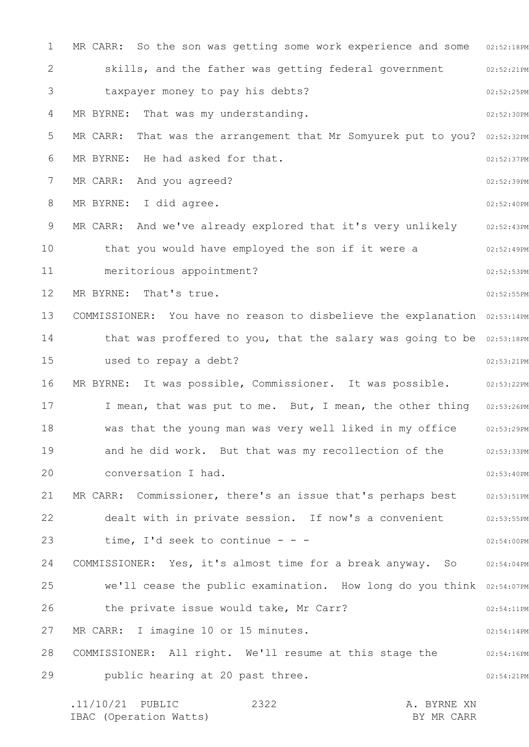1 2 3 4 5 6 7 8 9 10 11 12 13 14 15 16 17 18 19 20 21 22 23 24 25 26 27 28 29 MR CARR: So the son was getting some work experience and some 02:52:18PM 02:52:21PM 02:52:25PM 02:52:30PM MR CARR: That was the arrangement that Mr Somyurek put to you? 02:52:32PM 02:52:37PM 02:52:39PM 02:52:40PM 02:52:43PM 02:52:49PM 02:52:53PM 02:52:55PM COMMISSIONER: You have no reason to disbelieve the explanation 02:53:14PM that was proffered to you, that the salary was going to be 02:53:18PM 02:53:21PM MR BYRNE: It was possible, Commissioner. It was possible. 02:53:22PM I mean, that was put to me. But, I mean, the other thing 02:53:26PM 02:53:29PM 02:53:33PM 02:53:40PM 02:53:51PM 02:53:55PM 02:54:00PM COMMISSIONER: Yes, it's almost time for a break anyway. So 02:54:04PM we'll cease the public examination. How long do you think 02:54:07PM 02:54:11PM 02:54:14PM 02:54:16PM 02:54:21PM skills, and the father was getting federal government taxpayer money to pay his debts? MR BYRNE: That was my understanding. MR BYRNE: He had asked for that. MR CARR: And you agreed? MR BYRNE: I did agree. MR CARR: And we've already explored that it's very unlikely that you would have employed the son if it were a meritorious appointment? MR BYRNE: That's true. used to repay a debt? was that the young man was very well liked in my office and he did work. But that was my recollection of the conversation I had. MR CARR: Commissioner, there's an issue that's perhaps best dealt with in private session. If now's a convenient time, I'd seek to continue - - the private issue would take, Mr Carr? MR CARR: I imagine 10 or 15 minutes. COMMISSIONER: All right. We'll resume at this stage the public hearing at 20 past three.

.11/10/21 PUBLIC 2322 A. BYRNE XN IBAC (Operation Watts) and the set of the BY MR CARR BY MR CARR 2322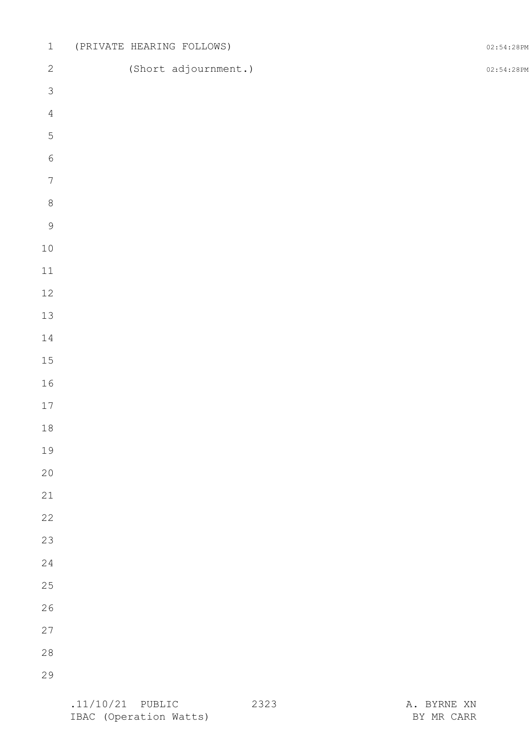| $\ensuremath{\mathbbm{1}}$ |  | (PRIVATE HEARING FOLLOWS) | 02:54:28PM |
|----------------------------|--|---------------------------|------------|
| $\mathbf{2}$               |  | (Short adjournment.)      | 02:54:28PM |
| $\mathfrak{Z}$             |  |                           |            |
| $\overline{4}$             |  |                           |            |
| $\mathbf 5$                |  |                           |            |
| $\sqrt{6}$                 |  |                           |            |
| $\sqrt{ }$                 |  |                           |            |
| $\,8\,$                    |  |                           |            |
| $\mathsf 9$                |  |                           |            |
| 10                         |  |                           |            |
| 11                         |  |                           |            |
| 12                         |  |                           |            |
| 13                         |  |                           |            |
| 14                         |  |                           |            |
| 15                         |  |                           |            |
| 16                         |  |                           |            |
| 17                         |  |                           |            |
| 18                         |  |                           |            |
| 19                         |  |                           |            |
| 20                         |  |                           |            |
| 21                         |  |                           |            |
| 22                         |  |                           |            |
| 23                         |  |                           |            |
| 24<br>25                   |  |                           |            |
| 26                         |  |                           |            |
|                            |  |                           |            |
| 27                         |  |                           |            |
| 28                         |  |                           |            |
| 29                         |  |                           |            |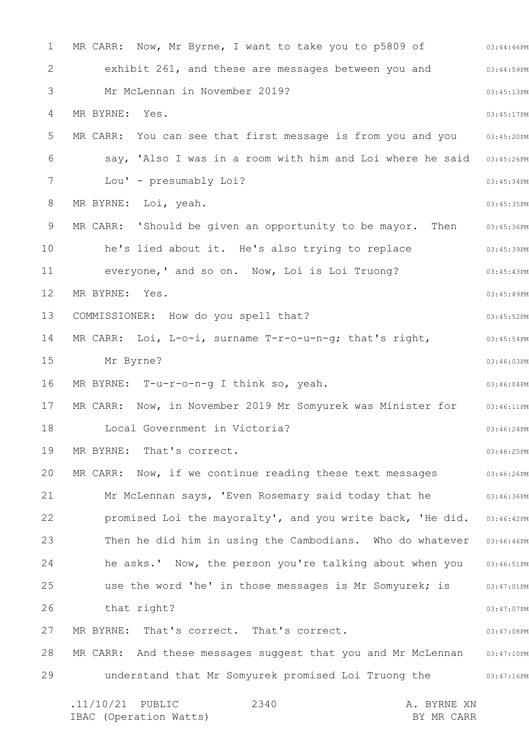1 2 3 4 5 6 7 8 9 10 11 12 13 14 15 16 17 18 19 20 21 22 23 24 25 26 27 28 29 03:44:46PM 03:44:59PM 03:45:13PM 03:45:17PM 03:45:20PM 03:45:26PM 03:45:34PM 03:45:35PM 03:45:36PM 03:45:39PM 03:45:43PM 03:45:49PM 03:45:52PM 03:45:54PM 03:46:03PM 03:46:04PM 03:46:11PM 03:46:24PM 03:46:25PM 03:46:26PM 03:46:36PM 03:46:42PM Then he did him in using the Cambodians. Who do whatever 03:46:46PM he asks.' Now, the person you're talking about when you 03:46:51PM 03:47:01PM 03:47:07PM 03:47:08PM MR CARR: And these messages suggest that you and Mr McLennan 03:47:10PM 03:47:16PM .11/10/21 PUBLIC 2340 A. BYRNE XN 2340 MR CARR: Now, Mr Byrne, I want to take you to p5809 of exhibit 261, and these are messages between you and Mr McLennan in November 2019? MR BYRNE: Yes. MR CARR: You can see that first message is from you and you say, 'Also I was in a room with him and Loi where he said Lou' - presumably Loi? MR BYRNE: Loi, yeah. MR CARR: 'Should be given an opportunity to be mayor. Then he's lied about it. He's also trying to replace everyone,' and so on. Now, Loi is Loi Truong? MR BYRNE: Yes. COMMISSIONER: How do you spell that? MR CARR: Loi, L-o-i, surname T-r-o-u-n-g; that's right, Mr Byrne? MR BYRNE: T-u-r-o-n-g I think so, yeah. MR CARR: Now, in November 2019 Mr Somyurek was Minister for Local Government in Victoria? MR BYRNE: That's correct. MR CARR: Now, if we continue reading these text messages Mr McLennan says, 'Even Rosemary said today that he promised Loi the mayoralty', and you write back, 'He did. use the word 'he' in those messages is Mr Somyurek; is that right? MR BYRNE: That's correct. That's correct. understand that Mr Somyurek promised Loi Truong the

IBAC (Operation Watts) BY MR CARR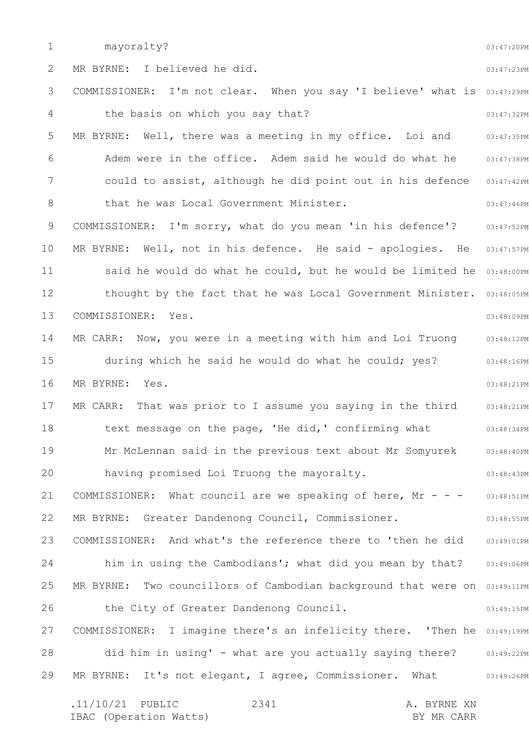1 2 3 4 5 6 7 8 9 10 11 12 13 14 15 16 17 18 19 20 21 22 23 24 25 26 27 28 29 03:47:20PM 03:47:23PM COMMISSIONER: I'm not clear. When you say 'I believe' what is 03:47:29PM 03:47:32PM 03:47:35PM 03:47:38PM could to assist, although he did point out in his defence 03:47:42PM 03:47:46PM 03:47:52PM 03:47:57PM said he would do what he could, but he would be limited he 03:48:00PM thought by the fact that he was Local Government Minister. 03:48:05PM 03:48:09PM 03:48:12PM 03:48:16PM 03:48:21PM 03:48:21PM 03:48:34PM 03:48:40PM 03:48:43PM 03:48:51PM 03:48:55PM 03:49:01PM 03:49:06PM MR BYRNE: Two councillors of Cambodian background that were on 03:49:11PM 03:49:15PM COMMISSIONER: I imagine there's an infelicity there. 'Then he 03:49:19PM did him in using' - what are you actually saying there? 03:49:22PM 03:49:26PM .11/10/21 PUBLIC 2341 A. BYRNE XN 2341 mayoralty? MR BYRNE: I believed he did. the basis on which you say that? MR BYRNE: Well, there was a meeting in my office. Loi and Adem were in the office. Adem said he would do what he that he was Local Government Minister. COMMISSIONER: I'm sorry, what do you mean 'in his defence'? MR BYRNE: Well, not in his defence. He said - apologies. He COMMISSIONER: Yes. MR CARR: Now, you were in a meeting with him and Loi Truong during which he said he would do what he could; yes? MR BYRNE: Yes. MR CARR: That was prior to I assume you saying in the third text message on the page, 'He did,' confirming what Mr McLennan said in the previous text about Mr Somyurek having promised Loi Truong the mayoralty. COMMISSIONER: What council are we speaking of here,  $Mr - -$ MR BYRNE: Greater Dandenong Council, Commissioner. COMMISSIONER: And what's the reference there to 'then he did him in using the Cambodians'; what did you mean by that? the City of Greater Dandenong Council. MR BYRNE: It's not elegant, I agree, Commissioner. What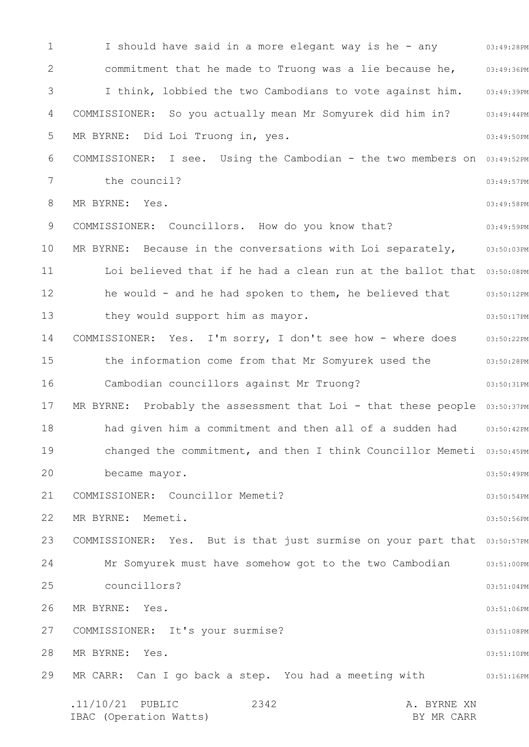1 2 3 4 5 6 7 8 9 10 11 12 13 14 15 16 17 18 19 20 21 22 23 24 25 26 27 28 29 I should have said in a more elegant way is he - any o3:49:28PM 03:49:36PM 03:49:39PM 03:49:44PM 03:49:50PM COMMISSIONER: I see. Using the Cambodian - the two members on 03:49:52PM 03:49:57PM 03:49:58PM 03:49:59PM 03:50:03PM Loi believed that if he had a clean run at the ballot that 03:50:08PM he would - and he had spoken to them, he believed that 03:50:12PM 03:50:17PM 03:50:22PM 03:50:28PM 03:50:31PM MR BYRNE: Probably the assessment that Loi - that these people 03:50:37PM 03:50:42PM changed the commitment, and then I think Councillor Memeti 03:50:45PM 03:50:49PM 03:50:54PM 03:50:56PM COMMISSIONER: Yes. But is that just surmise on your part that 03:50:57PM Mr Somyurek must have somehow got to the two Cambodian and  $03:51:00$ PM 03:51:04PM 03:51:06PM 03:51:08PM 03:51:10PM 03:51:16PM .11/10/21 PUBLIC 2342 A. BYRNE XN IBAC (Operation Watts) and the set of the BY MR CARR BY MR CARR 2342 commitment that he made to Truong was a lie because he, I think, lobbied the two Cambodians to vote against him. COMMISSIONER: So you actually mean Mr Somyurek did him in? MR BYRNE: Did Loi Truong in, yes. the council? MR BYRNE: Yes. COMMISSIONER: Councillors. How do you know that? MR BYRNE: Because in the conversations with Loi separately, they would support him as mayor. COMMISSIONER: Yes. I'm sorry, I don't see how - where does the information come from that Mr Somyurek used the Cambodian councillors against Mr Truong? had given him a commitment and then all of a sudden had became mayor. COMMISSIONER: Councillor Memeti? MR BYRNE: Memeti. councillors? MR BYRNE: Yes. COMMISSIONER: It's your surmise? MR BYRNE: Yes. MR CARR: Can I go back a step. You had a meeting with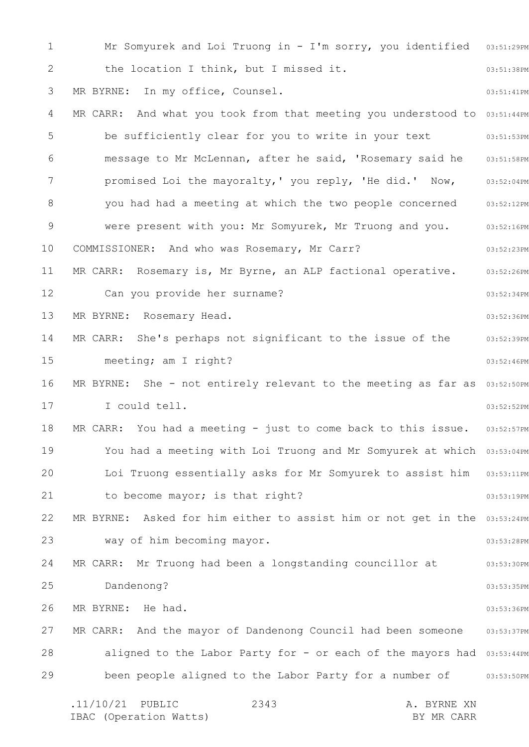1 2 3 4 5 6 7 8 9 10 11 12 13 14 15 16 17 18 19 20 21 22 23 24 25 26 27 28 29 Mr Somyurek and Loi Truong in - I'm sorry, you identified 03:51:29PM 03:51:38PM 03:51:41PM MR CARR: And what you took from that meeting you understood to 03:51:44PM 03:51:53PM 03:51:58PM 03:52:04PM you had had a meeting at which the two people concerned 03:52:12PM 03:52:16PM 03:52:23PM 03:52:26PM 03:52:34PM 03:52:36PM 03:52:39PM 03:52:46PM MR BYRNE: She - not entirely relevant to the meeting as far as 03:52:50PM 03:52:52PM 03:52:57PM You had a meeting with Loi Truong and Mr Somyurek at which 03:53:04PM Loi Truong essentially asks for Mr Somyurek to assist him 03:53:11PM 03:53:19PM MR BYRNE: Asked for him either to assist him or not get in the 03:53:24PM 03:53:28PM 03:53:30PM 03:53:35PM 03:53:36PM MR CARR: And the mayor of Dandenong Council had been someone 03:53:37PM aligned to the Labor Party for - or each of the mayors had 03:53:44PM been people aligned to the Labor Party for a number of  $\qquad \qquad$  03:53:50PM .11/10/21 PUBLIC 2343 A. BYRNE XN 2343 the location I think, but I missed it. MR BYRNE: In my office, Counsel. be sufficiently clear for you to write in your text message to Mr McLennan, after he said, 'Rosemary said he promised Loi the mayoralty,' you reply, 'He did.' Now, were present with you: Mr Somyurek, Mr Truong and you. COMMISSIONER: And who was Rosemary, Mr Carr? MR CARR: Rosemary is, Mr Byrne, an ALP factional operative. Can you provide her surname? MR BYRNE: Rosemary Head. MR CARR: She's perhaps not significant to the issue of the meeting; am I right? I could tell. MR CARR: You had a meeting - just to come back to this issue. to become mayor; is that right? way of him becoming mayor. MR CARR: Mr Truong had been a longstanding councillor at Dandenong? MR BYRNE: He had.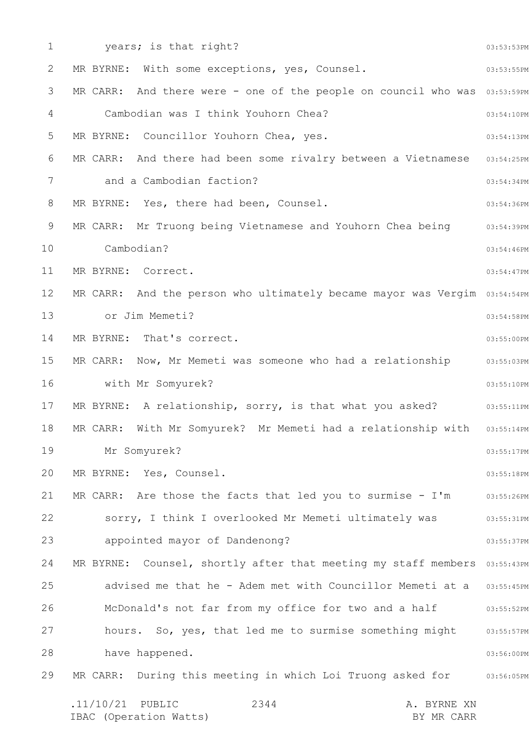| $\mathbf 1$ | years; is that right?                                                             | 03:53:53PM |
|-------------|-----------------------------------------------------------------------------------|------------|
| 2           | MR BYRNE: With some exceptions, yes, Counsel.                                     | 03:53:55PM |
| 3           | MR CARR: And there were - one of the people on council who was 03:53:59PM         |            |
| 4           | Cambodian was I think Youhorn Chea?                                               | 03:54:10PM |
| 5           | MR BYRNE: Councillor Youhorn Chea, yes.                                           | 03:54:13PM |
| 6           | MR CARR: And there had been some rivalry between a Vietnamese                     | 03:54:25PM |
| 7           | and a Cambodian faction?                                                          | 03:54:34PM |
| 8           | MR BYRNE: Yes, there had been, Counsel.                                           | 03:54:36PM |
| 9           | MR CARR: Mr Truong being Vietnamese and Youhorn Chea being                        | 03:54:39PM |
| 10          | Cambodian?                                                                        | 03:54:46PM |
| 11          | MR BYRNE: Correct.                                                                | 03:54:47PM |
| 12          | MR CARR: And the person who ultimately became mayor was Vergim 03:54:54PM         |            |
| 13          | or Jim Memeti?                                                                    | 03:54:58PM |
| 14          | MR BYRNE: That's correct.                                                         | 03:55:00PM |
| 15          | MR CARR: Now, Mr Memeti was someone who had a relationship                        | 03:55:03PM |
| 16          | with Mr Somyurek?                                                                 | 03:55:10PM |
| 17          | MR BYRNE: A relationship, sorry, is that what you asked?                          | 03:55:11PM |
| 18          | MR CARR: With Mr Somyurek? Mr Memeti had a relationship with                      | 03:55:14PM |
| 19          | Mr Somyurek?                                                                      | 03:55:17PM |
| 20          | MR BYRNE: Yes, Counsel.                                                           | 03:55:18PM |
| 21          | MR CARR: Are those the facts that led you to surmise - I'm                        | 03:55:26PM |
| 22          | sorry, I think I overlooked Mr Memeti ultimately was                              | 03:55:31PM |
| 23          | appointed mayor of Dandenong?                                                     | 03:55:37PM |
| 24          | MR BYRNE: Counsel, shortly after that meeting my staff members                    | 03:55:43PM |
| 25          | advised me that he - Adem met with Councillor Memeti at a                         | 03:55:45PM |
| 26          | McDonald's not far from my office for two and a half                              | 03:55:52PM |
| 27          | hours. So, yes, that led me to surmise something might                            | 03:55:57PM |
| 28          | have happened.                                                                    | 03:56:00PM |
| 29          | MR CARR: During this meeting in which Loi Truong asked for                        | 03:56:05PM |
|             | $.11/10/21$ PUBLIC<br>2344<br>A. BYRNE XN<br>IBAC (Operation Watts)<br>BY MR CARR |            |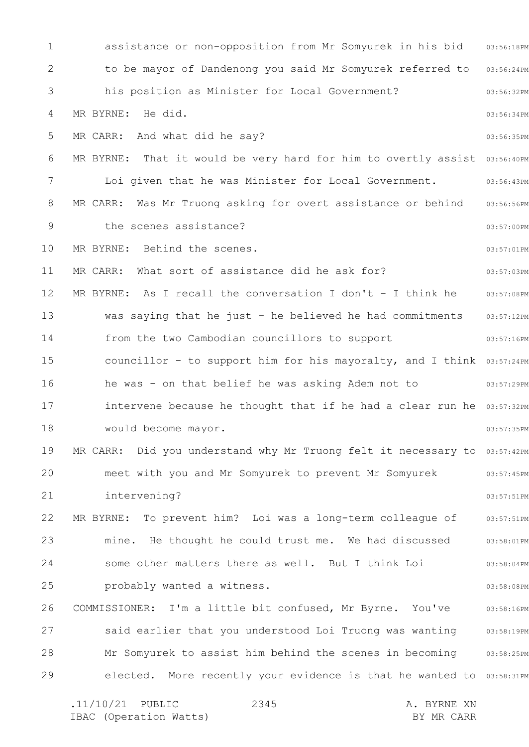1 2 3 4 5 6 7 8 9 10 11 12 13 14 15 16 17 18 19 20 21 22 23 24 25 26 27 28 29 assistance or non-opposition from Mr Somyurek in his bid 03:56:18PM 03:56:24PM 03:56:32PM 03:56:34PM 03:56:35PM MR BYRNE: That it would be very hard for him to overtly assist 03:56:40PM 03:56:43PM MR CARR: Was Mr Truong asking for overt assistance or behind 03:56:56PM 03:57:00PM 03:57:01PM 03:57:03PM MR BYRNE: As I recall the conversation I don't - I think he 03:57:08PM 03:57:12PM 03:57:16PM councillor - to support him for his mayoralty, and I think 03:57:24PM he was - on that belief he was asking Adem not to  $103:57:29PM$ intervene because he thought that if he had a clear run he 03:57:32PM 03:57:35PM MR CARR: Did you understand why Mr Truong felt it necessary to 03:57:42PM 03:57:45PM 03:57:51PM 03:57:51PM mine. He thought he could trust me. We had discussed and  $03:58:01\,\text{PM}$ 03:58:04PM 03:58:08PM 03:58:16PM said earlier that you understood Loi Truong was wanting 03:58:19PM Mr Somyurek to assist him behind the scenes in becoming an:58:25PM elected. More recently your evidence is that he wanted to 03:58:31PM .11/10/21 PUBLIC 2345 A. BYRNE XN 2345 to be mayor of Dandenong you said Mr Somyurek referred to his position as Minister for Local Government? MR BYRNE: He did. MR CARR: And what did he say? Loi given that he was Minister for Local Government. the scenes assistance? MR BYRNE: Behind the scenes. MR CARR: What sort of assistance did he ask for? was saying that he just - he believed he had commitments from the two Cambodian councillors to support would become mayor. meet with you and Mr Somyurek to prevent Mr Somyurek intervening? MR BYRNE: To prevent him? Loi was a long-term colleague of some other matters there as well. But I think Loi probably wanted a witness. COMMISSIONER: I'm a little bit confused, Mr Byrne. You've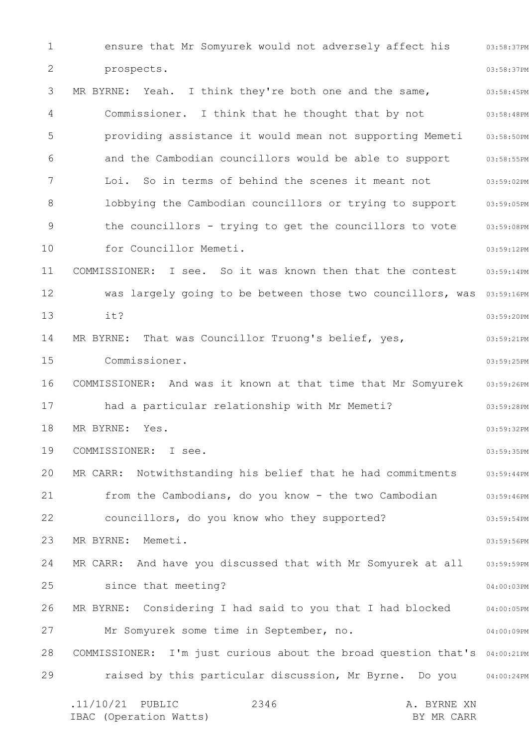1 2 3 4 5 6 7 8 9 10 11 12 13 14 15 16 17 18 19 20 21 22 23 24 25 26 27 28 29 03:58:37PM 03:58:37PM 03:58:45PM 03:58:48PM 03:58:50PM 03:58:55PM 03:59:02PM lobbying the Cambodian councillors or trying to support 03:59:05PM 03:59:08PM 03:59:12PM 03:59:14PM was largely going to be between those two councillors, was 03:59:16PM 03:59:20PM 03:59:21PM 03:59:25PM COMMISSIONER: And was it known at that time that Mr Somyurek 03:59:26PM 03:59:28PM 03:59:32PM 03:59:35PM MR CARR: Notwithstanding his belief that he had commitments 03:59:44PM 03:59:46PM 03:59:54PM 03:59:56PM MR CARR: And have you discussed that with Mr Somyurek at all 03:59:59PM 04:00:03PM 04:00:05PM 04:00:09PM COMMISSIONER: I'm just curious about the broad question that's 04:00:21PM raised by this particular discussion, Mr Byrne. Do you 04:00:24PM .11/10/21 PUBLIC 2346 A. BYRNE XN IBAC (Operation Watts) and the set of the BY MR CARR BY MR CARR 2346 ensure that Mr Somyurek would not adversely affect his prospects. MR BYRNE: Yeah. I think they're both one and the same, Commissioner. I think that he thought that by not providing assistance it would mean not supporting Memeti and the Cambodian councillors would be able to support Loi. So in terms of behind the scenes it meant not the councillors - trying to get the councillors to vote for Councillor Memeti. COMMISSIONER: I see. So it was known then that the contest it? MR BYRNE: That was Councillor Truong's belief, yes, Commissioner. had a particular relationship with Mr Memeti? MR BYRNE: Yes. COMMISSIONER: I see. from the Cambodians, do you know - the two Cambodian councillors, do you know who they supported? MR BYRNE: Memeti. since that meeting? MR BYRNE: Considering I had said to you that I had blocked Mr Somyurek some time in September, no.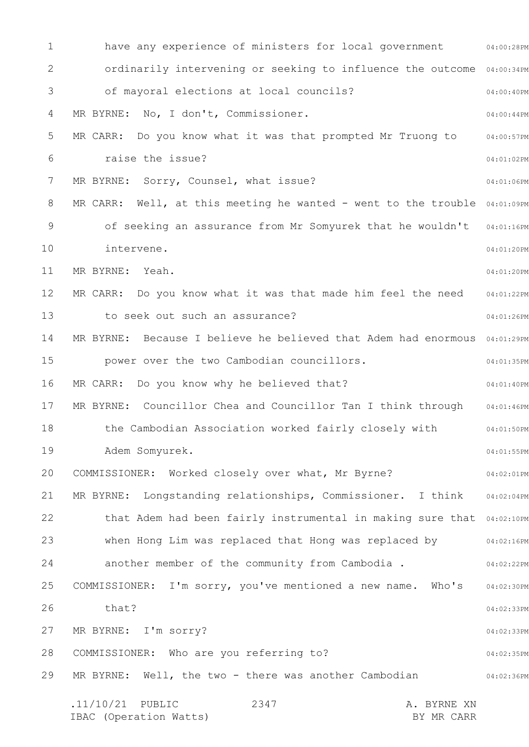1 2 3 4 5 6 7 8 9 10 11 12 13 14 15 16 17 18 19 20 21 22 23 24 25 26 27 28 29 have any experience of ministers for local government 64:00:28PM ordinarily intervening or seeking to influence the outcome 04:00:34PM 04:00:40PM 04:00:44PM 04:00:57PM 04:01:02PM 04:01:06PM MR CARR: Well, at this meeting he wanted - went to the trouble  $04:01:09$ PM of seeking an assurance from Mr Somyurek that he wouldn't 04:01:16PM 04:01:20PM 04:01:20PM 04:01:22PM 04:01:26PM MR BYRNE: Because I believe he believed that Adem had enormous 04:01:29PM 04:01:35PM 04:01:40PM 04:01:46PM 04:01:50PM 04:01:55PM 04:02:01PM 04:02:04PM that Adem had been fairly instrumental in making sure that 04:02:10PM when Hong Lim was replaced that Hong was replaced by  $104:02:16$ PM 04:02:22PM 04:02:30PM 04:02:33PM 04:02:33PM 04:02:35PM 04:02:36PM .11/10/21 PUBLIC 2347 A. BYRNE XN IBAC (Operation Watts) and the set of the BY MR CARR BY MR CARR 2347 of mayoral elections at local councils? MR BYRNE: No, I don't, Commissioner. MR CARR: Do you know what it was that prompted Mr Truong to raise the issue? MR BYRNE: Sorry, Counsel, what issue? intervene. MR BYRNE: Yeah. MR CARR: Do you know what it was that made him feel the need to seek out such an assurance? power over the two Cambodian councillors. MR CARR: Do you know why he believed that? MR BYRNE: Councillor Chea and Councillor Tan I think through the Cambodian Association worked fairly closely with Adem Somyurek. COMMISSIONER: Worked closely over what, Mr Byrne? MR BYRNE: Longstanding relationships, Commissioner. I think another member of the community from Cambodia . COMMISSIONER: I'm sorry, you've mentioned a new name. Who's that? MR BYRNE: I'm sorry? COMMISSIONER: Who are you referring to? MR BYRNE: Well, the two - there was another Cambodian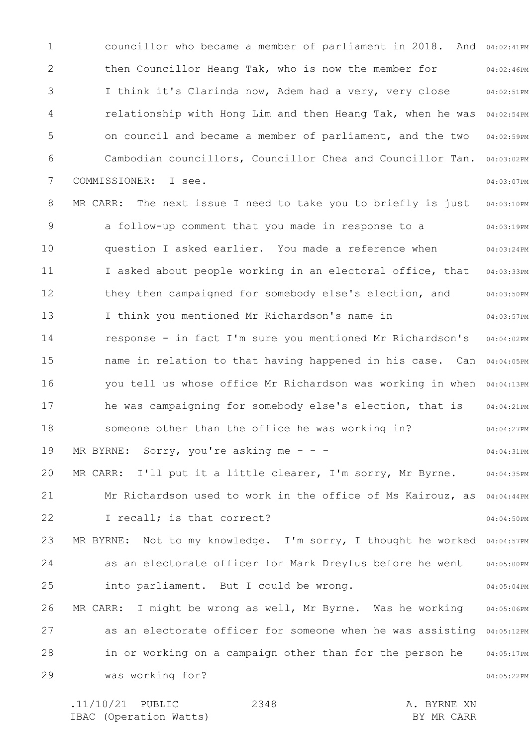1 2 3 4 5 6 7 8 9 10 11 12 13 14 15 16 17 18 19 20 21 22 23 24 25 26 27 28 29 councillor who became a member of parliament in 2018. And 04:02:41PM 04:02:46PM 04:02:51PM relationship with Hong Lim and then Heang Tak, when he was 04:02:54PM 04:02:59PM 04:03:02PM 04:03:07PM 04:03:10PM 04:03:19PM 04:03:24PM 04:03:33PM 04:03:50PM 04:03:57PM 04:04:02PM name in relation to that having happened in his case. Can 04:04:05PM you tell us whose office Mr Richardson was working in when 04:04:13PM 04:04:21PM 04:04:27PM 04:04:31PM 04:04:35PM Mr Richardson used to work in the office of Ms Kairouz, as 04:04:44PM 04:04:50PM MR BYRNE: Not to my knowledge. I'm sorry, I thought he worked 04:04:57PM 04:05:00PM 04:05:04PM 04:05:06PM as an electorate officer for someone when he was assisting 04:05:12PM 04:05:17PM 04:05:22PM then Councillor Heang Tak, who is now the member for I think it's Clarinda now, Adem had a very, very close on council and became a member of parliament, and the two Cambodian councillors, Councillor Chea and Councillor Tan. COMMISSIONER: I see. MR CARR: The next issue I need to take you to briefly is just a follow-up comment that you made in response to a question I asked earlier. You made a reference when I asked about people working in an electoral office, that they then campaigned for somebody else's election, and I think you mentioned Mr Richardson's name in response - in fact I'm sure you mentioned Mr Richardson's he was campaigning for somebody else's election, that is someone other than the office he was working in? MR BYRNE: Sorry, you're asking me - - -MR CARR: I'll put it a little clearer, I'm sorry, Mr Byrne. I recall; is that correct? as an electorate officer for Mark Dreyfus before he went into parliament. But I could be wrong. MR CARR: I might be wrong as well, Mr Byrne. Was he working in or working on a campaign other than for the person he was working for?

.11/10/21 PUBLIC 2348 A. BYRNE XN IBAC (Operation Watts) and the set of the BY MR CARR BY MR CARR 2348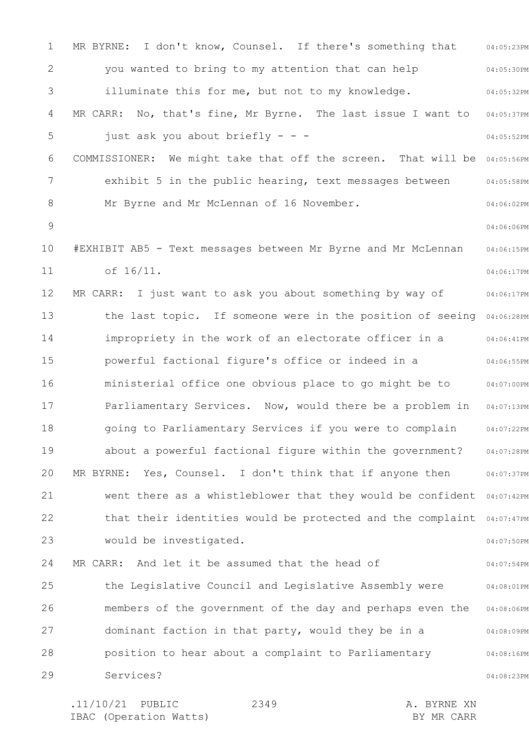1 2 3 4 5 6 7 8 9 10 11 12 13 14 15 16 17 18 19 20 21 22 23 24 25 26 27 28 29 04:05:23PM 04:05:30PM 04:05:32PM 04:05:37PM 04:05:52PM COMMISSIONER: We might take that off the screen. That will be 04:05:56PM 04:05:58PM 04:06:02PM 04:06:06PM 04:06:15PM 04:06:17PM 04:06:17PM the last topic. If someone were in the position of seeing 04:06:28PM 04:06:41PM 04:06:55PM ministerial office one obvious place to go might be to and  $04:07:00$ PM Parliamentary Services. Now, would there be a problem in 04:07:13PM 04:07:22PM 04:07:28PM 04:07:37PM went there as a whistleblower that they would be confident 04:07:42PM that their identities would be protected and the complaint 04:07:47PM 04:07:50PM 04:07:54PM 04:08:01PM 04:08:06PM 04:08:09PM 04:08:16PM 04:08:23PM MR BYRNE: I don't know, Counsel. If there's something that you wanted to bring to my attention that can help illuminate this for me, but not to my knowledge. MR CARR: No, that's fine, Mr Byrne. The last issue I want to just ask you about briefly - - exhibit 5 in the public hearing, text messages between Mr Byrne and Mr McLennan of 16 November. #EXHIBIT AB5 - Text messages between Mr Byrne and Mr McLennan of 16/11. MR CARR: I just want to ask you about something by way of impropriety in the work of an electorate officer in a powerful factional figure's office or indeed in a going to Parliamentary Services if you were to complain about a powerful factional figure within the government? MR BYRNE: Yes, Counsel. I don't think that if anyone then would be investigated. MR CARR: And let it be assumed that the head of the Legislative Council and Legislative Assembly were members of the government of the day and perhaps even the dominant faction in that party, would they be in a position to hear about a complaint to Parliamentary Services?

.11/10/21 PUBLIC 2349 A. BYRNE XN IBAC (Operation Watts) BY MR CARR 2349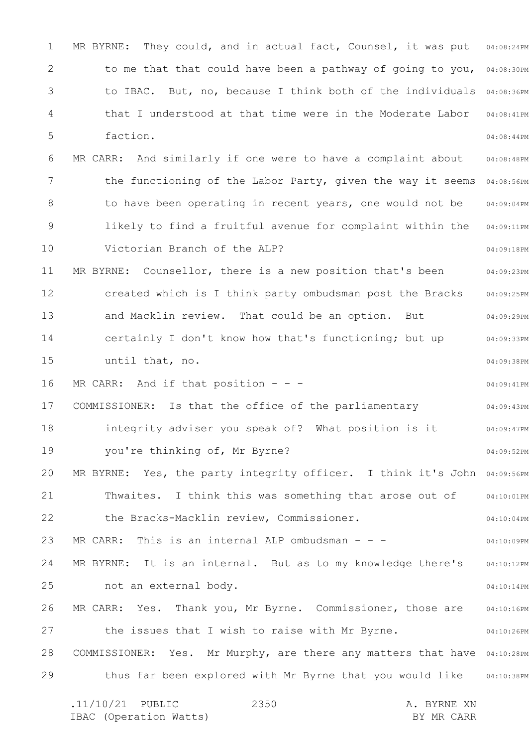1 2 3 4 5 6 7 8 9 10 11 12 13 14 15 16 17 18 19 20 21 22 23 24 25 26 27 28 29 MR BYRNE: They could, and in actual fact, Counsel, it was put  $0.08:24$ PM to me that that could have been a pathway of going to you, 04:08:30PM to IBAC. But, no, because I think both of the individuals 04:08:36PM 04:08:41PM 04:08:44PM 04:08:48PM the functioning of the Labor Party, given the way it seems 04:08:56PM 04:09:04PM 04:09:11PM 04:09:18PM 04:09:23PM 04:09:25PM 04:09:29PM 04:09:33PM 04:09:38PM 04:09:41PM 04:09:43PM 04:09:47PM 04:09:52PM MR BYRNE: Yes, the party integrity officer. I think it's John 04:09:56PM 04:10:01PM 04:10:04PM 04:10:09PM 04:10:12PM 04:10:14PM 04:10:16PM 04:10:26PM COMMISSIONER: Yes. Mr Murphy, are there any matters that have 04:10:28PM thus far been explored with Mr Byrne that you would like 04:10:38PM .11/10/21 PUBLIC 2350 A. BYRNE XN 2350 that I understood at that time were in the Moderate Labor faction. MR CARR: And similarly if one were to have a complaint about to have been operating in recent years, one would not be likely to find a fruitful avenue for complaint within the Victorian Branch of the ALP? MR BYRNE: Counsellor, there is a new position that's been created which is I think party ombudsman post the Bracks and Macklin review. That could be an option. But certainly I don't know how that's functioning; but up until that, no. MR CARR: And if that position  $-$  -COMMISSIONER: Is that the office of the parliamentary integrity adviser you speak of? What position is it you're thinking of, Mr Byrne? Thwaites. I think this was something that arose out of the Bracks-Macklin review, Commissioner. MR CARR: This is an internal ALP ombudsman - - -MR BYRNE: It is an internal. But as to my knowledge there's not an external body. MR CARR: Yes. Thank you, Mr Byrne. Commissioner, those are the issues that I wish to raise with Mr Byrne.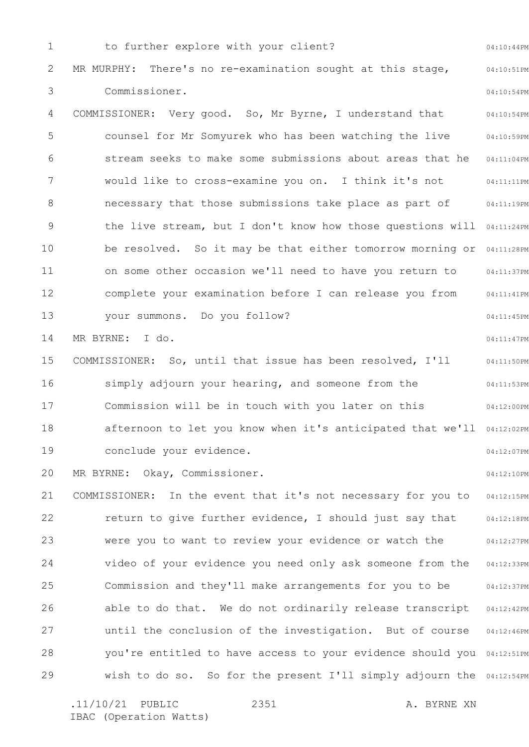1 2 3 4 5 6 7 8 9 10 11 12 13 14 15 16 17 18 19 20 21 22 23 24 25 26 27 28 29 04:10:44PM 04:10:51PM 04:10:54PM 04:10:54PM 04:10:59PM 04:11:04PM 04:11:11PM 04:11:19PM the live stream, but I don't know how those questions will 04:11:24PM be resolved. So it may be that either tomorrow morning or 04:11:28PM 04:11:37PM 04:11:41PM 04:11:45PM 04:11:47PM 04:11:50PM 04:11:53PM 04:12:00PM afternoon to let you know when it's anticipated that we'll 04:12:02PM 04:12:07PM 04:12:10PM 04:12:15PM 04:12:18PM 04:12:27PM 04:12:33PM 04:12:37PM 04:12:42PM 04:12:46PM you're entitled to have access to your evidence should you 04:12:51PM wish to do so. So for the present I'll simply adjourn the 04:12:54PM to further explore with your client? MR MURPHY: There's no re-examination sought at this stage, Commissioner. COMMISSIONER: Very good. So, Mr Byrne, I understand that counsel for Mr Somyurek who has been watching the live stream seeks to make some submissions about areas that he would like to cross-examine you on. I think it's not necessary that those submissions take place as part of on some other occasion we'll need to have you return to complete your examination before I can release you from your summons. Do you follow? MR BYRNE: I do. COMMISSIONER: So, until that issue has been resolved, I'll simply adjourn your hearing, and someone from the Commission will be in touch with you later on this conclude your evidence. MR BYRNE: Okay, Commissioner. COMMISSIONER: In the event that it's not necessary for you to return to give further evidence, I should just say that were you to want to review your evidence or watch the video of your evidence you need only ask someone from the Commission and they'll make arrangements for you to be able to do that. We do not ordinarily release transcript until the conclusion of the investigation. But of course

2351

.11/10/21 PUBLIC 2351 A. BYRNE XN IBAC (Operation Watts)